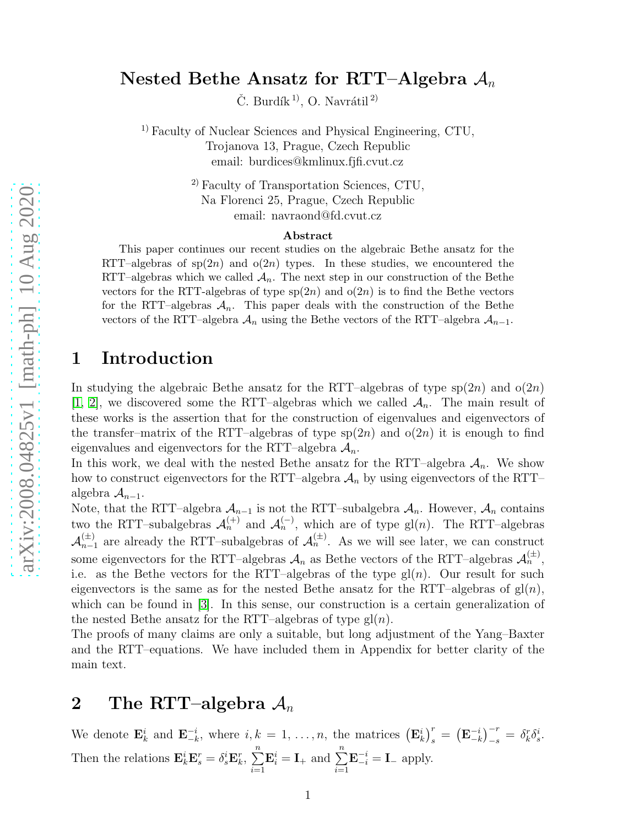### Nested Bethe Ansatz for RTT–Algebra  $A_n$

Č. Burdík<sup>1)</sup>, O. Navrátil<sup>2)</sup>

<sup>1)</sup> Faculty of Nuclear Sciences and Physical Engineering, CTU, Trojanova 13, Prague, Czech Republic email: burdices@kmlinux.fjfi.cvut.cz

> 2) Faculty of Transportation Sciences, CTU, Na Florenci 25, Prague, Czech Republic email: navraond@fd.cvut.cz

#### Abstract

This paper continues our recent studies on the algebraic Bethe ansatz for the RTT–algebras of  $sp(2n)$  and  $o(2n)$  types. In these studies, we encountered the RTT–algebras which we called  $\mathcal{A}_n$ . The next step in our construction of the Bethe vectors for the RTT-algebras of type  $sp(2n)$  and  $o(2n)$  is to find the Bethe vectors for the RTT–algebras  $A_n$ . This paper deals with the construction of the Bethe vectors of the RTT–algebra  $A_n$  using the Bethe vectors of the RTT–algebra  $A_{n-1}$ .

### 1 Introduction

In studying the algebraic Bethe ansatz for the RTT–algebras of type  $sp(2n)$  and  $o(2n)$ [\[1,](#page-13-0) [2\]](#page-13-1), we discovered some the RTT–algebras which we called  $\mathcal{A}_n$ . The main result of these works is the assertion that for the construction of eigenvalues and eigenvectors of the transfer–matrix of the RTT–algebras of type  $sp(2n)$  and  $o(2n)$  it is enough to find eigenvalues and eigenvectors for the RTT–algebra  $\mathcal{A}_n$ .

In this work, we deal with the nested Bethe ansatz for the RTT–algebra  $A_n$ . We show how to construct eigenvectors for the RTT–algebra  $A_n$  by using eigenvectors of the RTT– algebra  $A_{n-1}$ .

Note, that the RTT–algebra  $A_{n-1}$  is not the RTT–subalgebra  $A_n$ . However,  $A_n$  contains two the RTT–subalgebras  $\mathcal{A}_n^{(+)}$  and  $\mathcal{A}_n^{(-)}$ , which are of type gl(n). The RTT–algebras  $\mathcal{A}_{n-1}^{(\pm)}$  are already the RTT-subalgebras of  $\mathcal{A}_n^{(\pm)}$ . As we will see later, we can construct some eigenvectors for the RTT–algebras  $\mathcal{A}_n$  as Bethe vectors of the RTT–algebras  $\mathcal{A}_n^{(\pm)}$ , i.e. as the Bethe vectors for the RTT–algebras of the type  $gl(n)$ . Our result for such eigenvectors is the same as for the nested Bethe ansatz for the RTT–algebras of  $gl(n)$ , which can be found in [\[3\]](#page-13-2). In this sense, our construction is a certain generalization of the nested Bethe ansatz for the RTT–algebras of type  $gl(n)$ .

The proofs of many claims are only a suitable, but long adjustment of the Yang–Baxter and the RTT–equations. We have included them in Appendix for better clarity of the main text.

## 2 The RTT-algebra  $A_n$

We denote  $\mathbf{E}_k^i$  and  $\mathbf{E}_{-k}^{-i}$  $\frac{-i}{-k}$ , where  $i, k = 1, \ldots, n$ , the matrices  $(\mathbf{E}_k^i)_{s}^r = (\mathbf{E}_{-k}^{-i})_{s}^r$  $\begin{bmatrix} -i \\ -k \end{bmatrix}^{-r}_{-s} = \delta^r_k \delta^i_s.$ Then the relations  $\mathbf{E}_k^i \mathbf{E}_s^r = \delta_s^i \mathbf{E}_k^r, \sum_{i=1}^n$  $i=1$  $\mathbf{E}_i^i = \mathbf{I}_+$  and  $\sum_{i=1}^n$  $\mathbf{E}_{-i}^{-i} = \mathbf{I}_{-}$  apply.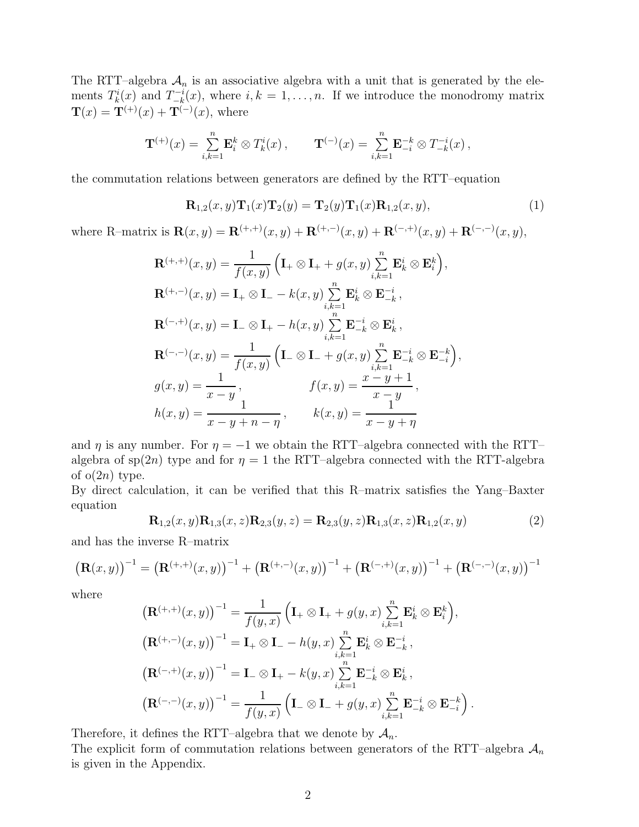The RTT–algebra  $A_n$  is an associative algebra with a unit that is generated by the elements  $T_k^i(x)$  and  $T_{-k}^{-i}$  $\binom{-i}{-k}(x)$ , where  $i, k = 1, \ldots, n$ . If we introduce the monodromy matrix  $\mathbf{T}(x) = \mathbf{T}^{(+)}(x) + \mathbf{T}^{(-)}(x)$ , where

$$
\mathbf{T}^{(+)}(x) = \sum_{i,k=1}^n \mathbf{E}_i^k \otimes T_k^i(x) , \qquad \mathbf{T}^{(-)}(x) = \sum_{i,k=1}^n \mathbf{E}_{-i}^{-k} \otimes T_{-k}^{-i}(x) ,
$$

the commutation relations between generators are defined by the RTT–equation

<span id="page-1-0"></span>
$$
\mathbf{R}_{1,2}(x,y)\mathbf{T}_1(x)\mathbf{T}_2(y) = \mathbf{T}_2(y)\mathbf{T}_1(x)\mathbf{R}_{1,2}(x,y),\tag{1}
$$

where R–matrix is  $\mathbf{R}(x, y) = \mathbf{R}^{(+,+)}(x, y) + \mathbf{R}^{(+,-)}(x, y) + \mathbf{R}^{(-,+)}(x, y) + \mathbf{R}^{(-,-)}(x, y),$ 

$$
\mathbf{R}^{(+,+)}(x,y) = \frac{1}{f(x,y)} \left( \mathbf{I}_{+} \otimes \mathbf{I}_{+} + g(x,y) \sum_{i,k=1}^{n} \mathbf{E}_{k}^{i} \otimes \mathbf{E}_{i}^{k} \right),
$$
  
\n
$$
\mathbf{R}^{(+,-)}(x,y) = \mathbf{I}_{+} \otimes \mathbf{I}_{-} - k(x,y) \sum_{i,k=1}^{n} \mathbf{E}_{k}^{i} \otimes \mathbf{E}_{-k}^{-i},
$$
  
\n
$$
\mathbf{R}^{(-,+)}(x,y) = \mathbf{I}_{-} \otimes \mathbf{I}_{+} - h(x,y) \sum_{i,k=1}^{n} \mathbf{E}_{-k}^{-i} \otimes \mathbf{E}_{k}^{i},
$$
  
\n
$$
\mathbf{R}^{(-,-)}(x,y) = \frac{1}{f(x,y)} \left( \mathbf{I}_{-} \otimes \mathbf{I}_{-} + g(x,y) \sum_{i,k=1}^{n} \mathbf{E}_{-k}^{-i} \otimes \mathbf{E}_{-i}^{-k} \right),
$$
  
\n
$$
g(x,y) = \frac{1}{x-y}, \qquad f(x,y) = \frac{x-y+1}{x-y},
$$
  
\n
$$
h(x,y) = \frac{1}{x-y+n-\eta}, \qquad k(x,y) = \frac{1}{x-y+\eta}
$$

and  $\eta$  is any number. For  $\eta = -1$  we obtain the RTT–algebra connected with the RTT– algebra of sp(2n) type and for  $\eta = 1$  the RTT–algebra connected with the RTT-algebra of  $o(2n)$  type.

By direct calculation, it can be verified that this R–matrix satisfies the Yang–Baxter equation

$$
\mathbf{R}_{1,2}(x,y)\mathbf{R}_{1,3}(x,z)\mathbf{R}_{2,3}(y,z) = \mathbf{R}_{2,3}(y,z)\mathbf{R}_{1,3}(x,z)\mathbf{R}_{1,2}(x,y)
$$
(2)

and has the inverse R–matrix

$$
\left(\mathbf{R}(x,y)\right)^{-1} = \left(\mathbf{R}^{(+,+)}(x,y)\right)^{-1} + \left(\mathbf{R}^{(+,-)}(x,y)\right)^{-1} + \left(\mathbf{R}^{(-,+)}(x,y)\right)^{-1} + \left(\mathbf{R}^{(-,-)}(x,y)\right)^{-1}
$$

where

$$
\begin{split}\n&\left(\mathbf{R}^{(+,+)}(x,y)\right)^{-1} = \frac{1}{f(y,x)} \left(\mathbf{I}_{+} \otimes \mathbf{I}_{+} + g(y,x) \sum_{i,k=1}^{n} \mathbf{E}_{k}^{i} \otimes \mathbf{E}_{i}^{k}\right), \\
&\left(\mathbf{R}^{(+,-)}(x,y)\right)^{-1} = \mathbf{I}_{+} \otimes \mathbf{I}_{-} - h(y,x) \sum_{i,k=1}^{n} \mathbf{E}_{k}^{i} \otimes \mathbf{E}_{-k}^{-i}, \\
&\left(\mathbf{R}^{(-,+)}(x,y)\right)^{-1} = \mathbf{I}_{-} \otimes \mathbf{I}_{+} - k(y,x) \sum_{i,k=1}^{n} \mathbf{E}_{-k}^{-i} \otimes \mathbf{E}_{k}^{i}, \\
&\left(\mathbf{R}^{(-,-)}(x,y)\right)^{-1} = \frac{1}{f(y,x)} \left(\mathbf{I}_{-} \otimes \mathbf{I}_{-} + g(y,x) \sum_{i,k=1}^{n} \mathbf{E}_{-k}^{-i} \otimes \mathbf{E}_{-i}^{-k}\right).\n\end{split}
$$

Therefore, it defines the RTT–algebra that we denote by  $A_n$ . The explicit form of commutation relations between generators of the RTT–algebra  $A_n$ is given in the Appendix.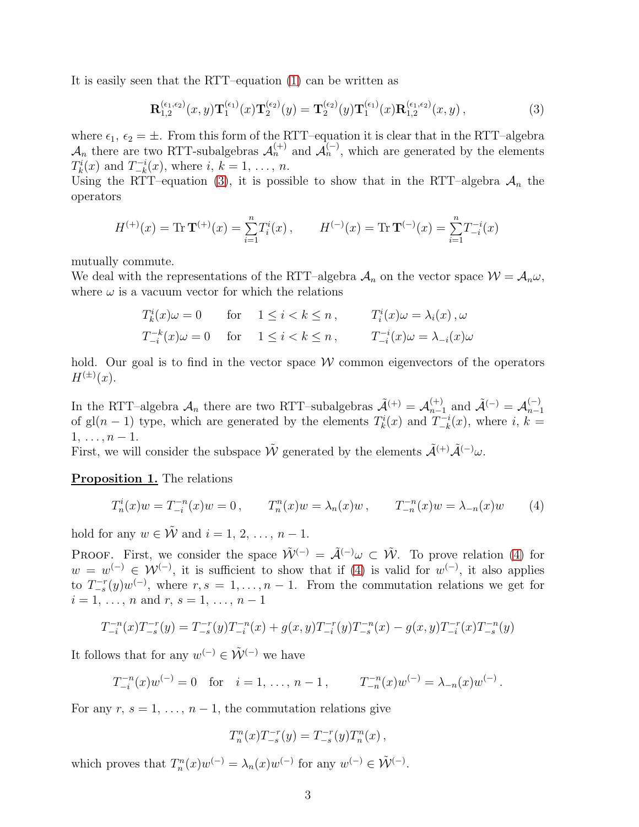It is easily seen that the RTT–equation [\(1\)](#page-1-0) can be written as

<span id="page-2-0"></span>
$$
\mathbf{R}_{1,2}^{(\epsilon_1,\epsilon_2)}(x,y)\mathbf{T}_1^{(\epsilon_1)}(x)\mathbf{T}_2^{(\epsilon_2)}(y) = \mathbf{T}_2^{(\epsilon_2)}(y)\mathbf{T}_1^{(\epsilon_1)}(x)\mathbf{R}_{1,2}^{(\epsilon_1,\epsilon_2)}(x,y),\tag{3}
$$

where  $\epsilon_1, \epsilon_2 = \pm$ . From this form of the RTT–equation it is clear that in the RTT–algebra  $\mathcal{A}_n$  there are two RTT-subalgebras  $\mathcal{A}_n^{(+)}$  and  $\mathcal{A}_n^{(-)}$ , which are generated by the elements  $T_k^i(x)$  and  $T_{-k}^{-i}$  $\binom{n-i}{-k}(x)$ , where  $i, k = 1, \ldots, n$ .

Using the RTT–equation [\(3\)](#page-2-0), it is possible to show that in the RTT–algebra  $A_n$  the operators

$$
H^{(+)}(x) = \text{Tr}\,\mathbf{T}^{(+)}(x) = \sum_{i=1}^{n} T_i^i(x) , \qquad H^{(-)}(x) = \text{Tr}\,\mathbf{T}^{(-)}(x) = \sum_{i=1}^{n} T_{-i}^{-i}(x)
$$

mutually commute.

We deal with the representations of the RTT–algebra  $A_n$  on the vector space  $W = A_n \omega$ , where  $\omega$  is a vacuum vector for which the relations

$$
T_k^i(x)\omega = 0 \quad \text{for} \quad 1 \le i < k \le n \,, \qquad T_i^i(x)\omega = \lambda_i(x) \,, \omega
$$
\n
$$
T_{-i}^{-k}(x)\omega = 0 \quad \text{for} \quad 1 \le i < k \le n \,, \qquad T_{-i}^{-i}(x)\omega = \lambda_{-i}(x)\omega
$$

hold. Our goal is to find in the vector space  $W$  common eigenvectors of the operators  $H^{(\pm)}(x)$ .

In the RTT–algebra  $\mathcal{A}_n$  there are two RTT–subalgebras  $\tilde{\mathcal{A}}^{(+)} = \mathcal{A}_{n-1}^{(+)}$  and  $\tilde{\mathcal{A}}^{(-)} = \mathcal{A}_{n-1}^{(-)}$  $n-1$ of gl(n – 1) type, which are generated by the elements  $T_k^i(x)$  and  $T_{-k}^{-i}$  $\binom{n-i}{-k}(x)$ , where  $i, k =$  $1, \ldots, n-1.$ 

First, we will consider the subspace  $\tilde{\mathcal{W}}$  generated by the elements  $\tilde{\mathcal{A}}^{(+)}\tilde{\mathcal{A}}^{(-)}\omega$ .

#### Proposition 1. The relations

<span id="page-2-1"></span>
$$
T_n^i(x)w = T_{-i}^{-n}(x)w = 0, \qquad T_n^n(x)w = \lambda_n(x)w, \qquad T_{-n}^{-n}(x)w = \lambda_{-n}(x)w \qquad (4)
$$

hold for any  $w \in \tilde{\mathcal{W}}$  and  $i = 1, 2, \ldots, n - 1$ .

PROOF. First, we consider the space  $\tilde{\mathcal{W}}^{(-)} = \tilde{\mathcal{A}}^{(-)} \omega \subset \tilde{\mathcal{W}}$ . To prove relation [\(4\)](#page-2-1) for  $w = w^{(-)} \in \mathcal{W}^{(-)}$ , it is sufficient to show that if [\(4\)](#page-2-1) is valid for  $w^{(-)}$ , it also applies to  $T_{-s}^{-r}(y)w^{(-)}$ , where  $r, s = 1, \ldots, n-1$ . From the commutation relations we get for  $i = 1, \ldots, n$  and  $r, s = 1, \ldots, n - 1$ 

$$
T_{-i}^{-n}(x)T_{-s}^{-r}(y) = T_{-s}^{-r}(y)T_{-i}^{-n}(x) + g(x,y)T_{-i}^{-r}(y)T_{-s}^{-n}(x) - g(x,y)T_{-i}^{-r}(x)T_{-s}^{-n}(y)
$$

It follows that for any  $w^{(-)} \in \tilde{\mathcal{W}}^{(-)}$  we have

$$
T_{-i}^{-n}(x)w^{(-)} = 0
$$
 for  $i = 1, ..., n - 1$ ,  $T_{-n}^{-n}(x)w^{(-)} = \lambda_{-n}(x)w^{(-)}$ .

For any  $r, s = 1, \ldots, n-1$ , the commutation relations give

$$
T_n^n(x)T_{-s}^{-r}(y) = T_{-s}^{-r}(y)T_n^n(x) ,
$$

which proves that  $T_n^n(x)w^{(-)} = \lambda_n(x)w^{(-)}$  for any  $w^{(-)} \in \tilde{\mathcal{W}}^{(-)}$ .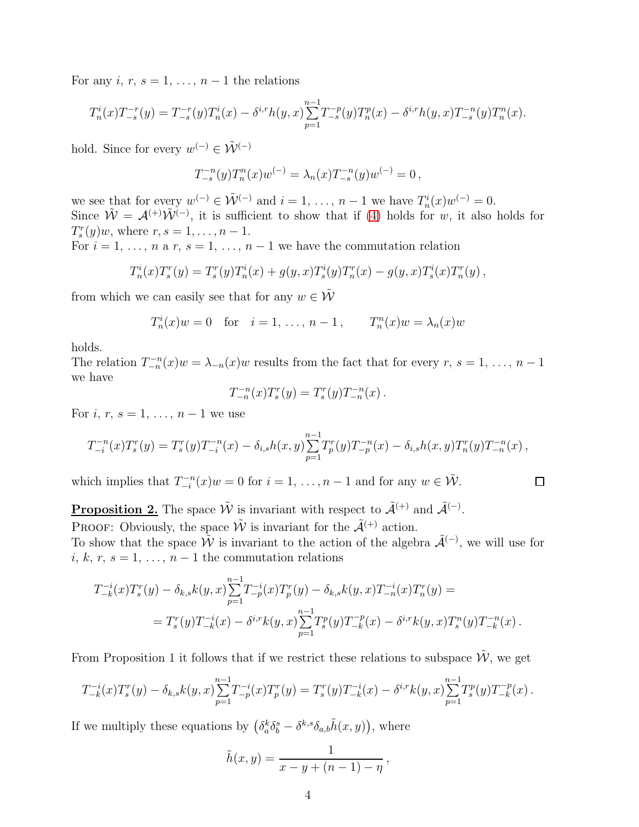For any i, r,  $s = 1, \ldots, n-1$  the relations

$$
T_n^i(x)T_{-s}^{-r}(y) = T_{-s}^{-r}(y)T_n^i(x) - \delta^{i,r}h(y,x)\sum_{p=1}^{n-1}T_{-s}^{-p}(y)T_n^p(x) - \delta^{i,r}h(y,x)T_{-s}^{-n}(y)T_n^n(x).
$$

hold. Since for every  $w^{(-)} \in \tilde{\mathcal{W}}^{(-)}$ 

$$
T_{-s}^{-n}(y)T_n^n(x)w^{(-)} = \lambda_n(x)T_{-s}^{-n}(y)w^{(-)} = 0,
$$

we see that for every  $w^{(-)} \in \tilde{\mathcal{W}}^{(-)}$  and  $i = 1, \ldots, n-1$  we have  $T_n^i(x)w^{(-)} = 0$ . Since  $\tilde{W} = A^{(+)}\tilde{W}^{(-)}$ , it is sufficient to show that if [\(4\)](#page-2-1) holds for w, it also holds for  $T_s^r(y)w$ , where  $r, s = 1, ..., n - 1$ .

For  $i = 1, \ldots, n$  a r,  $s = 1, \ldots, n-1$  we have the commutation relation

$$
T_n^i(x)T_s^r(y) = T_s^r(y)T_n^i(x) + g(y,x)T_s^i(y)T_n^r(x) - g(y,x)T_s^i(x)T_n^r(y),
$$

from which we can easily see that for any  $w \in \tilde{\mathcal{W}}$ 

$$
T_n^i(x)w = 0
$$
 for  $i = 1, ..., n - 1$ ,  $T_n^n(x)w = \lambda_n(x)w$ 

holds.

The relation  $T_{-n}^{-n}(x)w = \lambda_{-n}(x)w$  results from the fact that for every  $r, s = 1, \ldots, n-1$ we have

$$
T_{-n}^{-n}(x)T_s^r(y) = T_s^r(y)T_{-n}^{-n}(x).
$$

For *i*,  $r, s = 1, ..., n - 1$  we use

$$
T_{-i}^{-n}(x)T_s^r(y) = T_s^r(y)T_{-i}^{-n}(x) - \delta_{i,s}h(x,y)\sum_{p=1}^{n-1}T_p^r(y)T_{-p}^{-n}(x) - \delta_{i,s}h(x,y)T_n^r(y)T_{-n}^{-n}(x) ,
$$

which implies that  $T_{-i}^{-n}$  $\sum_{i=1}^{n-n}(x)w = 0$  for  $i = 1, \ldots, n-1$  and for any  $w \in \tilde{\mathcal{W}}$ .

$$
\qquad \qquad \Box
$$

**Proposition 2.** The space  $\tilde{W}$  is invariant with respect to  $\tilde{\mathcal{A}}^{(+)}$  and  $\tilde{\mathcal{A}}^{(-)}$ . PROOF: Obviously, the space  $\tilde{\mathcal{W}}$  is invariant for the  $\tilde{\mathcal{A}}^{(+)}$  action.

To show that the space  $\tilde{W}$  is invariant to the action of the algebra  $\tilde{\mathcal{A}}^{(-)}$ , we will use for i, k, r, s = 1, ..., n – 1 the commutation relations

$$
T_{-k}^{-i}(x)T_s^r(y) - \delta_{k,s}k(y,x)\sum_{p=1}^{n-1}T_{-p}^{-i}(x)T_p^r(y) - \delta_{k,s}k(y,x)T_{-n}^{-i}(x)T_n^r(y) =
$$
  
= 
$$
T_s^r(y)T_{-k}^{-i}(x) - \delta^{i,r}k(y,x)\sum_{p=1}^{n-1}T_s^p(y)T_{-k}^{-p}(x) - \delta^{i,r}k(y,x)T_s^n(y)T_{-k}^{-n}(x).
$$

From Proposition 1 it follows that if we restrict these relations to subspace  $\tilde{W}$ , we get

$$
T_{-k}^{-i}(x)T_s^r(y) - \delta_{k,s}k(y,x)\sum_{p=1}^{n-1}T_{-p}^{-i}(x)T_p^r(y) = T_s^r(y)T_{-k}^{-i}(x) - \delta^{i,r}k(y,x)\sum_{p=1}^{n-1}T_s^p(y)T_{-k}^{-p}(x).
$$

If we multiply these equations by  $(\delta_a^k \delta_b^s - \delta^{k,s} \delta_{a,b} \tilde{h}(x, y))$ , where

$$
\tilde{h}(x, y) = \frac{1}{x - y + (n - 1) - \eta},
$$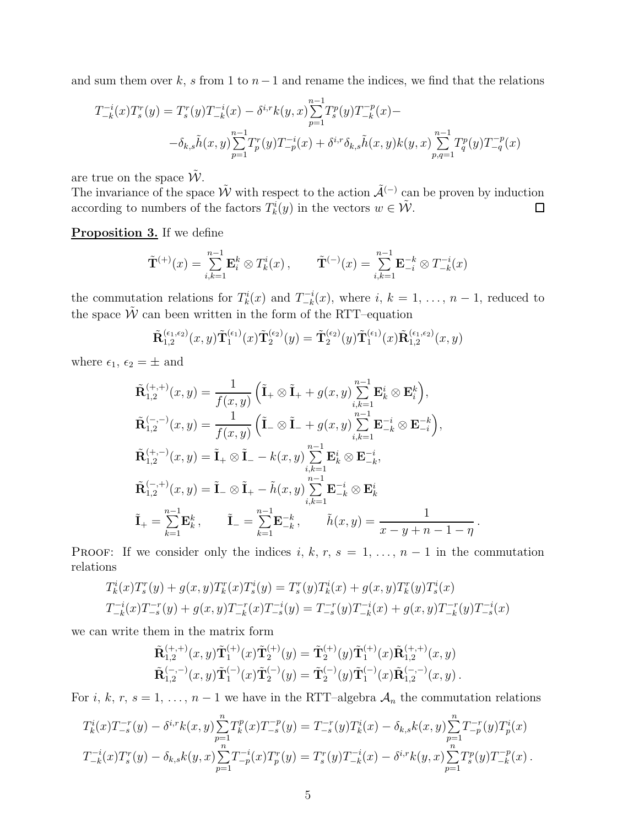and sum them over k, s from 1 to  $n-1$  and rename the indices, we find that the relations

$$
T_{-k}^{-i}(x)T_s^r(y) = T_s^r(y)T_{-k}^{-i}(x) - \delta^{i,r}k(y,x)\sum_{p=1}^{n-1} T_s^p(y)T_{-k}^{-p}(x) -
$$
  

$$
-\delta_{k,s}\tilde{h}(x,y)\sum_{p=1}^{n-1} T_p^r(y)T_{-p}^{-i}(x) + \delta^{i,r}\delta_{k,s}\tilde{h}(x,y)k(y,x)\sum_{p,q=1}^{n-1} T_q^p(y)T_{-q}^{-p}(x)
$$

are true on the space  $\tilde{W}$ .

The invariance of the space  $\tilde{W}$  with respect to the action  $\tilde{\mathcal{A}}^{(-)}$  can be proven by induction according to numbers of the factors  $T_k^i(y)$  in the vectors  $w \in \tilde{\mathcal{W}}$ .  $\Box$ 

#### **Proposition 3.** If we define

$$
\tilde{\mathbf{T}}^{(+)}(x) = \sum_{i,k=1}^{n-1} \mathbf{E}_i^k \otimes T_k^i(x) , \qquad \tilde{\mathbf{T}}^{(-)}(x) = \sum_{i,k=1}^{n-1} \mathbf{E}_{-i}^{-k} \otimes T_{-k}^{-i}(x)
$$

the commutation relations for  $T_k^i(x)$  and  $T_{-k}^{-i}$  $\binom{n-i}{-k}(x)$ , where  $i, k = 1, \ldots, n-1$ , reduced to the space  $\tilde{W}$  can been written in the form of the RTT–equation

$$
\tilde{\mathbf{R}}_{1,2}^{(\epsilon_1,\epsilon_2)}(x,y)\tilde{\mathbf{T}}_1^{(\epsilon_1)}(x)\tilde{\mathbf{T}}_2^{(\epsilon_2)}(y) = \tilde{\mathbf{T}}_2^{(\epsilon_2)}(y)\tilde{\mathbf{T}}_1^{(\epsilon_1)}(x)\tilde{\mathbf{R}}_{1,2}^{(\epsilon_1,\epsilon_2)}(x,y)
$$

where  $\epsilon_1, \epsilon_2 = \pm$  and

$$
\tilde{\mathbf{R}}_{1,2}^{(+,+)}(x,y) = \frac{1}{f(x,y)} \left( \tilde{\mathbf{I}}_{+} \otimes \tilde{\mathbf{I}}_{+} + g(x,y) \sum_{i,k=1}^{n-1} \mathbf{E}_{k}^{i} \otimes \mathbf{E}_{i}^{k} \right),
$$
\n
$$
\tilde{\mathbf{R}}_{1,2}^{(-,-)}(x,y) = \frac{1}{f(x,y)} \left( \tilde{\mathbf{I}}_{-} \otimes \tilde{\mathbf{I}}_{-} + g(x,y) \sum_{i,k=1}^{n-1} \mathbf{E}_{-k}^{-i} \otimes \mathbf{E}_{-i}^{-k} \right),
$$
\n
$$
\tilde{\mathbf{R}}_{1,2}^{(+,-)}(x,y) = \tilde{\mathbf{I}}_{+} \otimes \tilde{\mathbf{I}}_{-} - k(x,y) \sum_{i,k=1}^{n-1} \mathbf{E}_{k}^{i} \otimes \mathbf{E}_{-k}^{-i},
$$
\n
$$
\tilde{\mathbf{R}}_{1,2}^{(-,+)}(x,y) = \tilde{\mathbf{I}}_{-} \otimes \tilde{\mathbf{I}}_{+} - \tilde{h}(x,y) \sum_{i,k=1}^{n-1} \mathbf{E}_{-k}^{-i} \otimes \mathbf{E}_{k}^{i}
$$
\n
$$
\tilde{\mathbf{I}}_{+} = \sum_{k=1}^{n-1} \mathbf{E}_{k}^{k}, \qquad \tilde{\mathbf{I}}_{-} = \sum_{k=1}^{n-1} \mathbf{E}_{-k}^{-k}, \qquad \tilde{h}(x,y) = \frac{1}{x-y+n-1-\eta}.
$$

PROOF: If we consider only the indices i, k, r, s = 1, ..., n – 1 in the commutation relations

$$
T_k^i(x)T_s^r(y) + g(x, y)T_k^r(x)T_s^i(y) = T_s^r(y)T_k^i(x) + g(x, y)T_k^r(y)T_s^i(x)
$$
  

$$
T_{-k}^{-i}(x)T_{-s}^{-r}(y) + g(x, y)T_{-k}^{-r}(x)T_{-s}^{-i}(y) = T_{-s}^{-r}(y)T_{-k}^{-i}(x) + g(x, y)T_{-k}^{-r}(y)T_{-s}^{-i}(x)
$$

we can write them in the matrix form

$$
\tilde{\mathbf{R}}_{1,2}^{(+,+)}(x,y)\tilde{\mathbf{T}}_{1}^{(+)}(x)\tilde{\mathbf{T}}_{2}^{(+)}(y) = \tilde{\mathbf{T}}_{2}^{(+)}(y)\tilde{\mathbf{T}}_{1}^{(+)}(x)\tilde{\mathbf{R}}_{1,2}^{(+,+)}(x,y) \n\tilde{\mathbf{R}}_{1,2}^{(-,-)}(x,y)\tilde{\mathbf{T}}_{1}^{(-)}(x)\tilde{\mathbf{T}}_{2}^{(-)}(y) = \tilde{\mathbf{T}}_{2}^{(-)}(y)\tilde{\mathbf{T}}_{1}^{(-)}(x)\tilde{\mathbf{R}}_{1,2}^{(-,-)}(x,y).
$$

For i, k, r, s = 1, ..., n – 1 we have in the RTT–algebra  $A_n$  the commutation relations

$$
T_k^i(x)T_{-s}^{-r}(y) - \delta^{i,r}k(x,y)\sum_{p=1}^n T_k^p(x)T_{-s}^{-p}(y) = T_{-s}^{-r}(y)T_k^i(x) - \delta_{k,s}k(x,y)\sum_{p=1}^n T_{-p}^{-r}(y)T_p^i(x)
$$
  

$$
T_{-k}^{-i}(x)T_s^r(y) - \delta_{k,s}k(y,x)\sum_{p=1}^n T_{-p}^{-i}(x)T_p^r(y) = T_s^r(y)T_{-k}^{-i}(x) - \delta^{i,r}k(y,x)\sum_{p=1}^n T_s^p(y)T_{-k}^{-p}(x).
$$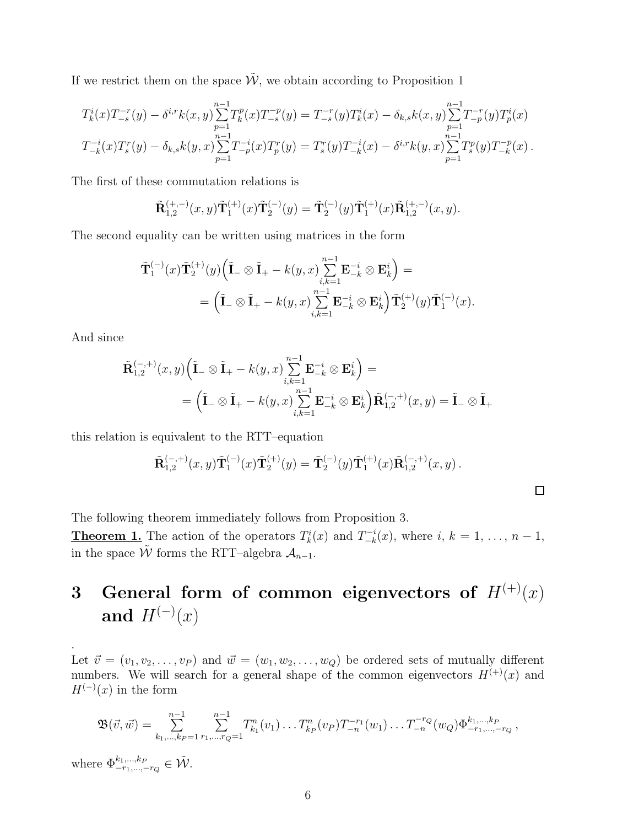If we restrict them on the space  $\tilde{\mathcal{W}}$ , we obtain according to Proposition 1

$$
T_k^i(x)T_{-s}^{-r}(y) - \delta^{i,r}k(x,y)\sum_{p=1}^{n-1}T_k^p(x)T_{-s}^{-p}(y) = T_{-s}^{-r}(y)T_k^i(x) - \delta_{k,s}k(x,y)\sum_{p=1}^{n-1}T_{-p}^{-r}(y)T_p^i(x)
$$
  

$$
T_{-k}^{-i}(x)T_s^r(y) - \delta_{k,s}k(y,x)\sum_{p=1}^{n-1}T_{-p}^{-i}(x)T_p^r(y) = T_s^r(y)T_{-k}^{-i}(x) - \delta^{i,r}k(y,x)\sum_{p=1}^{n-1}T_s^p(y)T_{-k}^{-p}(x).
$$

The first of these commutation relations is

$$
\tilde{\mathbf{R}}_{1,2}^{(+,-)}(x,y)\tilde{\mathbf{T}}_1^{(+)}(x)\tilde{\mathbf{T}}_2^{(-)}(y) = \tilde{\mathbf{T}}_2^{(-)}(y)\tilde{\mathbf{T}}_1^{(+)}(x)\tilde{\mathbf{R}}_{1,2}^{(+,-)}(x,y).
$$

The second equality can be written using matrices in the form

$$
\begin{aligned} &\tilde{\mathbf{T}}_1^{(-)}(x)\tilde{\mathbf{T}}_2^{(+)}(y)\Big(\tilde{\mathbf{I}}_-\otimes \tilde{\mathbf{I}}_+-k(y,x)\underset{i,k=1}{\overset{n-1}{\sum}}\mathbf{E}_{-k}^{-i}\otimes \mathbf{E}_k^i\Big)= \\ &=\Big(\tilde{\mathbf{I}}_-\otimes \tilde{\mathbf{I}}_+-k(y,x)\underset{i,k=1}{\overset{n-1}{\sum}}\mathbf{E}_{-k}^{-i}\otimes \mathbf{E}_k^i\Big)\tilde{\mathbf{T}}_2^{(+)}(y)\tilde{\mathbf{T}}_1^{(-)}(x). \end{aligned}
$$

And since

$$
\tilde{\mathbf{R}}_{1,2}^{(-,+)}(x,y)\Big(\tilde{\mathbf{I}}_{-}\otimes\tilde{\mathbf{I}}_{+}-k(y,x)\sum_{i,k=1}^{n-1}\mathbf{E}_{-k}^{-i}\otimes\mathbf{E}_{k}^{i}\Big)=\\=\Big(\tilde{\mathbf{I}}_{-}\otimes\tilde{\mathbf{I}}_{+}-k(y,x)\sum_{i,k=1}^{n-1}\mathbf{E}_{-k}^{-i}\otimes\mathbf{E}_{k}^{i}\Big)\tilde{\mathbf{R}}_{1,2}^{(-,+)}(x,y)=\tilde{\mathbf{I}}_{-}\otimes\tilde{\mathbf{I}}_{+}
$$

this relation is equivalent to the RTT–equation

$$
\tilde{\mathbf{R}}_{1,2}^{(-,+)}(x,y)\tilde{\mathbf{T}}_1^{(-)}(x)\tilde{\mathbf{T}}_2^{(+)}(y) = \tilde{\mathbf{T}}_2^{(-)}(y)\tilde{\mathbf{T}}_1^{(+)}(x)\tilde{\mathbf{R}}_{1,2}^{(-,+)}(x,y).
$$

The following theorem immediately follows from Proposition 3.

**Theorem 1.** The action of the operators  $T_k^i(x)$  and  $T_{-k}^{-i}$  $\binom{n-i}{-k}(x)$ , where  $i, k = 1, \ldots, n-1$ , in the space  $\tilde{W}$  forms the RTT–algebra  $\mathcal{A}_{n-1}$ .

# 3 General form of common eigenvectors of  $H^{(+)}(x)$ and  $H^{(-)}(x)$

Let  $\vec{v} = (v_1, v_2, \dots, v_P)$  and  $\vec{w} = (w_1, w_2, \dots, w_Q)$  be ordered sets of mutually different numbers. We will search for a general shape of the common eigenvectors  $H^{(+)}(x)$  and  $H^{(-)}(x)$  in the form

$$
\mathfrak{B}(\vec{v},\vec{w}) = \sum_{k_1,\dots,k_P=1}^{n-1} \sum_{r_1,\dots,r_Q=1}^{n-1} T_{k_1}^n(v_1)\dots T_{k_P}^n(v_P) T_{-n}^{-r_1}(w_1)\dots T_{-n}^{-r_Q}(w_Q) \Phi_{-r_1,\dots,-r_Q}^{k_1,\dots,k_P},
$$

where  $\Phi^{k_1,...,k_P}_{-r_1,...,-r_Q} \in \tilde{\mathcal{W}}$ .

.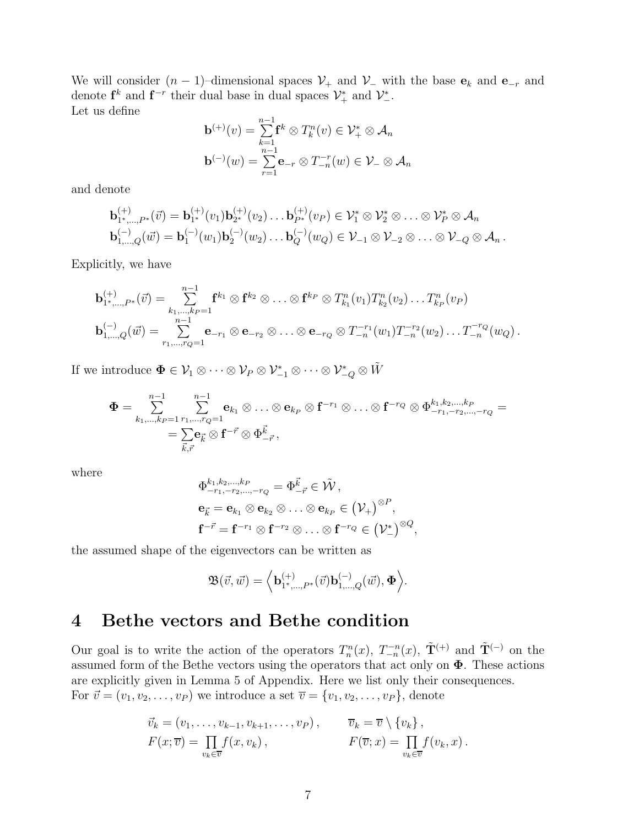We will consider  $(n-1)$ –dimensional spaces  $\mathcal{V}_+$  and  $\mathcal{V}_-$  with the base  $\mathbf{e}_k$  and  $\mathbf{e}_{-r}$  and denote  $\mathbf{f}^k$  and  $\mathbf{f}^{-r}$  their dual base in dual spaces  $\mathcal{V}^*_+$  and  $\mathcal{V}^*_{-}$ . Let us define

$$
\mathbf{b}^{(+)}(v) = \sum_{k=1}^{n-1} \mathbf{f}^k \otimes T_k^n(v) \in \mathcal{V}_+^* \otimes \mathcal{A}_n
$$
  

$$
\mathbf{b}^{(-)}(w) = \sum_{r=1}^{n-1} \mathbf{e}_{-r} \otimes T_{-n}^{-r}(w) \in \mathcal{V}_- \otimes \mathcal{A}_n
$$

and denote

$$
\mathbf{b}_{1^*,...,P^*}^{(+)}(\vec{v}) = \mathbf{b}_{1^*}^{(+)}(v_1)\mathbf{b}_{2^*}^{(+)}(v_2)\dots \mathbf{b}_{P^*}^{(+)}(v_P) \in \mathcal{V}_1^* \otimes \mathcal{V}_2^* \otimes \dots \otimes \mathcal{V}_P^* \otimes \mathcal{A}_n
$$
  
\n
$$
\mathbf{b}_{1,...,Q}^{(-)}(\vec{w}) = \mathbf{b}_1^{(-)}(w_1)\mathbf{b}_2^{(-)}(w_2)\dots \mathbf{b}_Q^{(-)}(w_Q) \in \mathcal{V}_{-1} \otimes \mathcal{V}_{-2} \otimes \dots \otimes \mathcal{V}_{-Q} \otimes \mathcal{A}_n.
$$

Explicitly, we have

$$
\mathbf{b}_{1^*,...,P^*}^{(+)}(\vec{v}) = \sum_{k_1,...,k_P=1}^{n-1} \mathbf{f}^{k_1} \otimes \mathbf{f}^{k_2} \otimes ... \otimes \mathbf{f}^{k_P} \otimes T_{k_1}^n(v_1) T_{k_2}^n(v_2) ... T_{k_P}^n(v_P)
$$
  

$$
\mathbf{b}_{1,...,Q}^{(-)}(\vec{w}) = \sum_{r_1,...,r_Q=1}^{n-1} \mathbf{e}_{-r_1} \otimes \mathbf{e}_{-r_2} \otimes ... \otimes \mathbf{e}_{-r_Q} \otimes T_{-n}^{-r_1}(w_1) T_{-n}^{-r_2}(w_2) ... T_{-n}^{-r_Q}(w_Q).
$$

If we introduce  $\Phi \in \mathcal{V}_1 \otimes \cdots \otimes \mathcal{V}_P \otimes \mathcal{V}_{-1}^* \otimes \cdots \otimes \mathcal{V}_{-Q}^* \otimes \tilde{W}$ 

$$
\begin{aligned} \Phi &= \sum_{k_1,\ldots,k_P=1}^{n-1} \sum_{r_1,\ldots,r_Q=1}^{n-1} \mathbf{e}_{k_1} \otimes \ldots \otimes \mathbf{e}_{k_P} \otimes \mathbf{f}^{-r_1} \otimes \ldots \otimes \mathbf{f}^{-r_Q} \otimes \Phi^{k_1,k_2,\ldots,k_P}_{-r_1,-r_2,\ldots,-r_Q} = \\ &= \sum_{\vec{k},\vec{r}} \mathbf{e}_{\vec{k}} \otimes \mathbf{f}^{-\vec{r}} \otimes \Phi^{\vec{k}}_{-\vec{r}} \,, \end{aligned}
$$

where

$$
\begin{aligned} &\Phi^{k_1,k_2,...,k_P}_{-r_1,-r_2,...,-r_Q}=\Phi^{\vec{k}}_{-\vec{r}}\in\tilde{\mathcal{W}}\,,\\ &\mathbf{e}_{\vec{k}}=\mathbf{e}_{k_1}\otimes\mathbf{e}_{k_2}\otimes\ldots\otimes\mathbf{e}_{k_P}\in\big(\mathcal{V}_+\big)^{\otimes P},\\ &\mathbf{f}^{-\vec{r}}=\mathbf{f}^{-r_1}\otimes\mathbf{f}^{-r_2}\otimes\ldots\otimes\mathbf{f}^{-r_Q}\in\big(\mathcal{V}_-^*\big)^{\otimes Q}, \end{aligned}
$$

the assumed shape of the eigenvectors can be written as

$$
\mathfrak{B}(\vec{v},\vec{w}) = \Big\langle \mathbf{b}_{1^*,\dots,P^*}^{(+)}(\vec{v}) \mathbf{b}_{1,\dots,Q}^{(-)}(\vec{w}), \boldsymbol{\Phi} \Big\rangle.
$$

### 4 Bethe vectors and Bethe condition

Our goal is to write the action of the operators  $T_n^n(x)$ ,  $T_{-n}^{n}(x)$ ,  $\tilde{\mathbf{T}}^{(+)}$  and  $\tilde{\mathbf{T}}^{(-)}$  on the assumed form of the Bethe vectors using the operators that act only on  $\Phi$ . These actions are explicitly given in Lemma 5 of Appendix. Here we list only their consequences. For  $\vec{v} = (v_1, v_2, \dots, v_P)$  we introduce a set  $\overline{v} = \{v_1, v_2, \dots, v_P\}$ , denote

$$
\vec{v}_k = (v_1, \dots, v_{k-1}, v_{k+1}, \dots, v_P), \qquad \overline{v}_k = \overline{v} \setminus \{v_k\}, \nF(x; \overline{v}) = \prod_{v_k \in \overline{v}} f(x, v_k), \qquad F(\overline{v}; x) = \prod_{v_k \in \overline{v}} f(v_k, x).
$$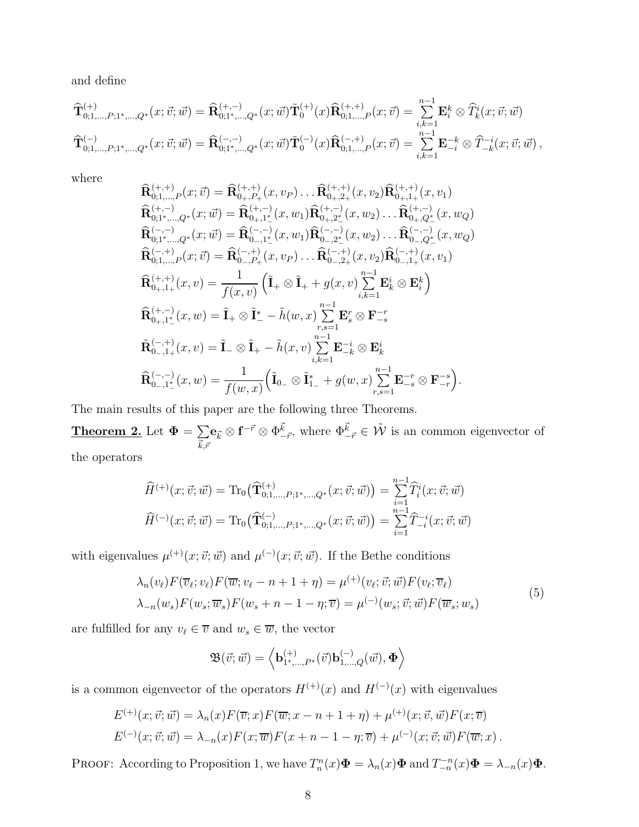and define

$$
\widehat{\mathbf{T}}^{(+)}_{0;1,\ldots,P;1^{*},\ldots,Q^{*}}(x;\vec{v};\vec{w}) = \widehat{\mathbf{R}}^{(+,-)}_{0;1^{*},\ldots,Q^{*}}(x;\vec{w})\tilde{\mathbf{T}}^{(+)}_{0}(x)\widehat{\mathbf{R}}^{(+,+)}_{0;1,\ldots,P}(x;\vec{v}) = \sum_{i,k=1}^{n-1} \mathbf{E}^{k}_{i} \otimes \widehat{T}^{i}_{k}(x;\vec{v};\vec{w})
$$
\n
$$
\widehat{\mathbf{T}}^{(-)}_{0;1,\ldots,P;1^{*},\ldots,Q^{*}}(x;\vec{v};\vec{w}) = \widehat{\mathbf{R}}^{(-,-)}_{0;1^{*},\ldots,Q^{*}}(x;\vec{w})\tilde{\mathbf{T}}^{(-)}_{0}(x)\widehat{\mathbf{R}}^{(-,+)}_{0;1,\ldots,P}(x;\vec{v}) = \sum_{i,k=1}^{n-1} \mathbf{E}^{-k}_{-i} \otimes \widehat{T}^{-i}_{-k}(x;\vec{v};\vec{w}),
$$

where

$$
\begin{split}\n\widehat{\mathbf{R}}_{0;1,\ldots,P}^{(+,+)}(x;\vec{v}) &= \widehat{\mathbf{R}}_{0+,P_{+}}^{(+,+)}(x,v_{P})\ldots\widehat{\mathbf{R}}_{0+,2+}^{(+,+)}(x,v_{2})\widehat{\mathbf{R}}_{0+,1+}^{(+,+)}(x,v_{1}) \\
\widehat{\mathbf{R}}_{0;1^{*},\ldots,Q^{*}}^{(+,-)}(x;\vec{w}) &= \widehat{\mathbf{R}}_{0+,1^{*}}^{(+,-)}(x,w_{1})\widehat{\mathbf{R}}_{0+,2^{*}}^{(+,-)}(x,w_{2})\ldots\widehat{\mathbf{R}}_{0+,Q^{*}}^{(+,-)}(x,w_{Q}) \\
\widehat{\mathbf{R}}_{0;1^{*},\ldots,Q^{*}}^{(-,-)}(x;\vec{w}) &= \widehat{\mathbf{R}}_{0-,1^{*}}^{(-,-)}(x,w_{1})\widehat{\mathbf{R}}_{0-,2^{*}}^{(-,-)}(x,w_{2})\ldots\widehat{\mathbf{R}}_{0-,Q^{*}}^{(-,-)}(x,w_{Q}) \\
\widehat{\mathbf{R}}_{0;1,\ldots,P}^{(-,+)}(x;\vec{v}) &= \widehat{\mathbf{R}}_{0-,P_{+}}^{(-,+)}(x,v_{P})\ldots\widehat{\mathbf{R}}_{0-,2+}^{(-,+)}(x,v_{2})\widehat{\mathbf{R}}_{0-,1+}^{(-,+)}(x,v_{1}) \\
\widehat{\mathbf{R}}_{0+1+}^{(+,+)}(x,v) &= \frac{1}{f(x,v)}\left(\widetilde{\mathbf{I}}_{+} \otimes \widetilde{\mathbf{I}}_{+} + g(x,v)\sum_{i,k=1}^{n-1} \mathbf{E}_{k}^{i} \otimes \mathbf{E}_{i}^{k}\right) \\
\widehat{\mathbf{R}}_{0+1^{*}}^{(+,-)}(x,w) &= \widetilde{\mathbf{I}}_{+} \otimes \widetilde{\mathbf{I}}_{+} - \widetilde{h}(w,x)\sum_{i,k=1}^{n-1} \mathbf{E}_{-k}^{r} \otimes \mathbf{F}_{-s}^{-r} \\
\widehat{\mathbf{R}}_{0-1^{+}}^{(-,-)}(x,w) &= \widetilde{\mathbf{I}}_{-} \otimes \widetilde{\mathbf{I}}_{+} - \widetilde
$$

The main results of this paper are the following three Theorems.

Theorem 2. Let  $\Phi = \sum$  $\vec{k},\vec{r}$  $\mathbf{e}_{\vec{k}} \otimes \mathbf{f}^{-\vec{r}} \otimes \Phi^{\vec{k}}_{-\vec{r}}, \text{ where } \Phi^{\vec{k}}_{-\vec{r}} \in \tilde{\mathcal{W}} \text{ is an common eigenvector of }$ the operators

$$
\widehat{H}^{(+)}(x; \vec{v}; \vec{w}) = \text{Tr}_{0}(\widehat{\mathbf{T}}^{(+)}_{0;1,\dots,P;1^{*},\dots,Q^{*}}(x; \vec{v}; \vec{w})) = \sum_{i=1}^{n-1} \widehat{T}_{i}^{i}(x; \vec{v}; \vec{w})
$$

$$
\widehat{H}^{(-)}(x; \vec{v}; \vec{w}) = \text{Tr}_{0}(\widehat{\mathbf{T}}^{(-)}_{0;1,\dots,P;1^{*},\dots,Q^{*}}(x; \vec{v}; \vec{w})) = \sum_{i=1}^{n-1} \widehat{T}_{-i}^{-i}(x; \vec{v}; \vec{w})
$$

with eigenvalues  $\mu^{(+)}(x;\vec{v};\vec{w})$  and  $\mu^{(-)}(x;\vec{v};\vec{w})$ . If the Bethe conditions

$$
\lambda_n(v_\ell) F(\overline{v}_\ell; v_\ell) F(\overline{w}; v_\ell - n + 1 + \eta) = \mu^{(+)}(v_\ell; \overrightarrow{v}; \overrightarrow{w}) F(v_\ell; \overline{v}_\ell)
$$
  

$$
\lambda_{-n}(w_s) F(w_s; \overline{w}_s) F(w_s + n - 1 - \eta; \overline{v}) = \mu^{(-)}(w_s; \overrightarrow{v}; \overrightarrow{w}) F(\overline{w}_s; w_s)
$$
 (5)

are fulfilled for any  $v_\ell \in \overline{v}$  and  $w_s \in \overline{w},$  the vector

$$
\mathfrak{B}(\vec{v};\vec{w}) = \left\langle \mathbf{b}_{1^*,\dots,P^*}^{(+)}(\vec{v})\mathbf{b}_{1,\dots,Q}^{(-)}(\vec{w}),\boldsymbol{\Phi} \right\rangle
$$

is a common eigenvector of the operators  $H^{(+)}(x)$  and  $H^{(-)}(x)$  with eigenvalues

$$
E^{(+)}(x; \vec{v}; \vec{w}) = \lambda_n(x) F(\overline{v}; x) F(\overline{w}; x - n + 1 + \eta) + \mu^{(+)}(x; \vec{v}, \vec{w}) F(x; \overline{v})
$$
  

$$
E^{(-)}(x; \vec{v}; \vec{w}) = \lambda_{-n}(x) F(x; \overline{w}) F(x + n - 1 - \eta; \overline{v}) + \mu^{(-)}(x; \vec{v}; \vec{w}) F(\overline{w}; x).
$$

PROOF: According to Proposition 1, we have  $T_n^n(x)\Phi = \lambda_n(x)\Phi$  and  $T_{-n}^{-n}(x)\Phi = \lambda_{-n}(x)\Phi$ .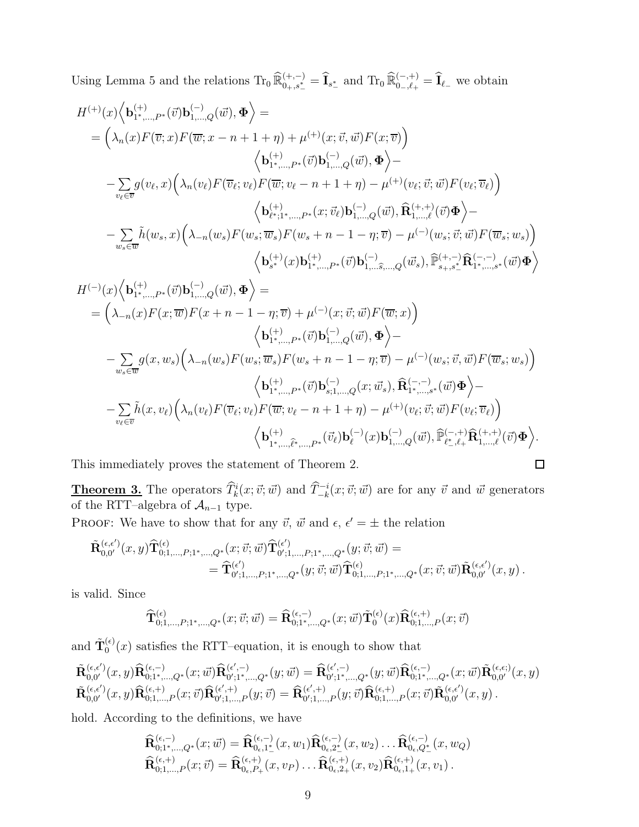Using Lemma 5 and the relations  $\text{Tr}_0 \widehat{\mathbb{R}}_{0_+,s_-^*}^{(+,-)} = \widehat{I}_{s_-^*}$  and  $\text{Tr}_0 \widehat{\mathbb{R}}_{0_-,\ell_+}^{(-,+)} = \widehat{I}_{\ell_-}$  we obtain

$$
H^{(+)}(x)\Big\langle \mathbf{b}_{1^*,\ldots,P^*}^{(+)}(\vec{v})\mathbf{b}_{1,\ldots,Q}^{(-)}(\vec{w}),\Phi \Big\rangle =
$$
\n
$$
= \Big(\lambda_n(x)F(\overline{v};x)F(\overline{w};x-n+1+\eta) + \mu^{(+)}(x;\overrightarrow{v},\overrightarrow{w})F(x;\overline{v})\Big) \Big\langle \mathbf{b}_{1^*,\ldots,P^*}^{(+)}(\vec{v})\mathbf{b}_{1,\ldots,Q}^{(-)}(\vec{w}),\Phi \Big\rangle -
$$
\n
$$
- \sum_{v_\ell \in \overline{v}} g(v_\ell,x) \Big(\lambda_n(v_\ell)F(\overline{v}_\ell;v_\ell)F(\overline{w};v_\ell-n+1+\eta) - \mu^{(+)}(v_\ell;\overrightarrow{v};\overrightarrow{w})F(v_\ell;\overline{v}_\ell)\Big) \Big\langle \mathbf{b}_{\ell^*;1^*,\ldots,P^*}^{(+)}(x;\overrightarrow{v}_\ell)\mathbf{b}_{1,\ldots,Q}^{(-)}(\vec{w}),\widehat{\mathbf{R}}_{1,\ldots,\ell}^{(+,+)}(\vec{v})\Phi \Big\rangle -
$$
\n
$$
- \sum_{w_s \in \overline{w}} \tilde{h}(w_s,x) \Big(\lambda_{-n}(w_s)F(w_s;\overrightarrow{w}_s)F(w_s+n-1-\eta;\overrightarrow{v}) - \mu^{(-)}(w_s;\overrightarrow{v};\overrightarrow{w})F(\overline{w}_s;w_s)\Big) \Big\langle \mathbf{b}_{s^*}^{(+)}(x)\mathbf{b}_{1^*,\ldots,P^*}^{(+)}(\vec{v})\mathbf{b}_{1,\ldots,\widehat{s},\ldots,Q}^{(-)}(\vec{w}_s),\widehat{\mathbb{P}}_{s_*,s^*}^{(+,-)}\widehat{\mathbf{R}}_{1^*,\ldots,s^*}^{(-,-,-)}(\vec{w})\Phi \Big\rangle
$$
\n
$$
H^{(-)}(x)\Big\langle \mathbf{b}_{1^*,\ldots,P^*}^{(+)}(\vec{v})\mathbf{b}_{1,\ldots,Q}^{(-)}(\vec{w})\mathbf{b}_{1^*,\ldots,P^*}^{(+)}(\vec{v})\mathbf{b}_{1,\ldots,\widehat{s},\ldots,Q}^{(-,-)}(\vec{w}_s),\widehat{\mathbb{P}}_{s_*,s^*}
$$

$$
\left\langle \mathbf{b}^{(+)}_{1^*,\dots,\hat{\ell}^*,\dots,P^*}(\vec{v}_{\ell})\mathbf{b}^{(-)}_{\ell}(x)\mathbf{b}^{(-)}_{1,\dots,Q}(\vec{w}),\widehat{\mathbb{P}}^{(-,+)}_{\ell^*,\ell+} \widehat{\mathbf{R}}^{(+,+)}_{1,\dots,\ell}(\vec{v})\boldsymbol{\Phi} \right\rangle.
$$
  
proves the statement of Theorem 2.

This immediately proves the statement of Theorem 2.

**Theorem 3.** The operators  $\widehat{T}_k^i(x; \vec{v}; \vec{w})$  and  $\widehat{T}_{-k}^{-i}(x; \vec{v}; \vec{w})$  are for any  $\vec{v}$  and  $\vec{w}$  generators of the RTT–algebra of  $\mathcal{A}_{n-1}$  type.

PROOF: We have to show that for any  $\vec{v}$ ,  $\vec{w}$  and  $\epsilon$ ,  $\epsilon' = \pm$  the relation

$$
\begin{aligned} \tilde{\bf R}^{(\epsilon,\epsilon')}_{0,0'}(x,y)\widehat{\bf T}^{(\epsilon)}_{0;1,\ldots,P;1^*,\ldots,Q^*}(x;\vec{v};\vec{w})\widehat{\bf T}^{(\epsilon')}_{0';1,\ldots,P;1^*,\ldots,Q^*}(y;\vec{v};\vec{w})= \\ =\hat{\bf T}^{(\epsilon')}_{0';1,\ldots,P;1^*,\ldots,Q^*}(y;\vec{v};\vec{w})\widehat{\bf T}^{(\epsilon)}_{0;1,\ldots,P;1^*,\ldots,Q^*}(x;\vec{v};\vec{w})\tilde{\bf R}^{(\epsilon,\epsilon')}_{0,0'}(x,y)\,. \end{aligned}
$$

is valid. Since

$$
\widehat{\mathbf{T}}_{0;1,...,P;1^{*},...,Q^{*}}^{(\epsilon)}(x;\vec{v};\vec{w})=\widehat{\mathbf{R}}_{0;1^{*},...,Q^{*}}^{(\epsilon,-)}(x;\vec{w})\widetilde{\mathbf{T}}_{0}^{(\epsilon)}(x)\widehat{\mathbf{R}}_{0;1,...,P}^{(\epsilon,+)}(x;\vec{v})
$$

and  $\tilde{\mathbf{T}}_0^{(\epsilon)}$  $\int_0^{(\epsilon)} (x)$  satisfies the RTT-equation, it is enough to show that

$$
\begin{array}{llll} & \tilde{\bf R}_{0,0^{\prime}}^{(\epsilon,\epsilon^{\prime})}(x,y) \hat{\bf R}_{0;1^*,\ldots,Q^*}^{(\epsilon,-)}(x;\vec{w}) \hat{\bf R}_{0^{\prime};1^*,\ldots,Q^*}^{(\epsilon^{\prime},-)}(y;\vec{w}) = \widehat{\bf R}_{0^{\prime};1^*,\ldots,Q^*}^{(\epsilon^{\prime},-)}(y;\vec{w}) \hat{\bf R}_{0;1^*,\ldots,Q^*}^{(\epsilon,-)}(x;\vec{w}) \tilde{\bf R}_{0,0^{\prime}}^{(\epsilon,\epsilon)}(x,y) \\ & \tilde{\bf R}_{0,0^{\prime}}^{(\epsilon,\epsilon^{\prime})}(x,y) \hat{\bf R}_{0;1,\ldots,P}^{(\epsilon,+)}(x;\vec{v}) \hat{\bf R}_{0^{\prime};1,\ldots,P}^{(\epsilon^{\prime},+)}(y;\vec{v}) = \widehat{\bf R}_{0^{\prime};1,\ldots,P}^{(\epsilon^{\prime},+)}(y;\vec{v}) \hat{\bf R}_{0;1,\ldots,P}^{(\epsilon,\epsilon)}(x;\vec{v}) \tilde{\bf R}_{0,0^{\prime}}^{(\epsilon,\epsilon^{\prime})}(x,y) \, . \end{array}
$$

hold. According to the definitions, we have

$$
\widehat{\mathbf{R}}_{0;1^*,...,Q^*}^{(\epsilon,-)}(x;\vec{w}) = \widehat{\mathbf{R}}_{0_{\epsilon},1^*}^{(\epsilon,-)}(x,w_1)\widehat{\mathbf{R}}_{0_{\epsilon},2^*}^{(\epsilon,-)}(x,w_2)\ldots\widehat{\mathbf{R}}_{0_{\epsilon},Q^*}^{(\epsilon,-)}(x,w_Q)
$$
\n
$$
\widehat{\mathbf{R}}_{0;1,...,P}^{(\epsilon,+)}(x;\vec{v}) = \widehat{\mathbf{R}}_{0_{\epsilon},P_+}^{(\epsilon,+)}(x,v_P)\ldots\widehat{\mathbf{R}}_{0_{\epsilon},2^+}^{(\epsilon,+)}(x,v_2)\widehat{\mathbf{R}}_{0_{\epsilon},1^+}^{(\epsilon,+)}(x,v_1)\,.
$$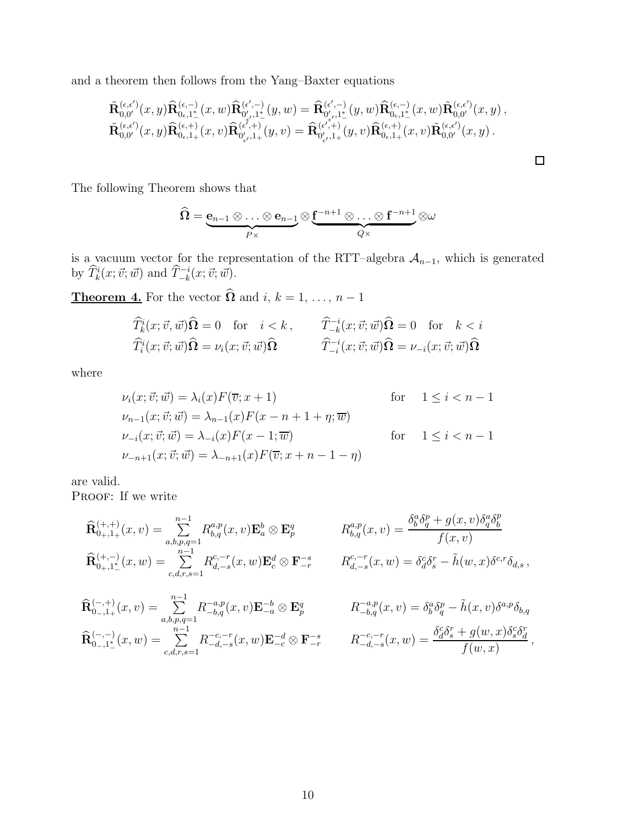and a theorem then follows from the Yang–Baxter equations

$$
\begin{array}{llll} & \tilde{\bf R}_{0,0^{\prime}}^{(\epsilon,\epsilon^{\prime})}(x,y)\hat{\bf R}_{0\epsilon,1^{\ast}}^{(\epsilon,-)}(x,w)\hat{\bf R}_{0^{\prime},1^{\ast}}^{(\epsilon^{\prime},-)}(y,w)=\hat{\bf R}_{0^{\prime},1^{\ast}}^{(\epsilon^{\prime},-)}(y,w)\hat{\bf R}_{0\epsilon,1^{\ast}}^{(\epsilon,-)}(x,w)\tilde{\bf R}_{0,0^{\prime}}^{(\epsilon,\epsilon^{\prime})}(x,y)\,,\\ & \tilde{\bf R}_{0,0^{\prime}}^{(\epsilon,\epsilon^{\prime})}(x,y)\hat{\bf R}_{0\epsilon,1^{\ast}}^{(\epsilon,+)}(x,v)\hat{\bf R}_{0^{\prime},1^{\ast}}^{(\epsilon^{\prime},+)}(y,v)=\hat{\bf R}_{0^{\prime},1^{\ast}}^{(\epsilon^{\prime},+)}(y,v)\hat{\bf R}_{0\epsilon,1^{\ast}}^{(\epsilon,+)}(x,v)\tilde{\bf R}_{0,0^{\prime}}^{(\epsilon,\epsilon^{\prime})}(x,y)\,. \end{array}
$$

The following Theorem shows that

$$
\widehat{\Omega} = \underbrace{\mathbf{e}_{n-1} \otimes \ldots \otimes \mathbf{e}_{n-1}}_{P \times} \otimes \underbrace{\mathbf{f}^{-n+1} \otimes \ldots \otimes \mathbf{f}^{-n+1}}_{Q \times} \otimes \omega
$$

is a vacuum vector for the representation of the RTT–algebra  $A_{n-1}$ , which is generated by  $\widehat{T}_k^i(x; \vec{v}; \vec{w})$  and  $\widehat{T}_{-k}^{-i}(x; \vec{v}; \vec{w})$ .

**Theorem 4.** For the vector  $\Omega$  and  $i, k = 1, ..., n - 1$ 

$$
\widehat{T}^i_k(x; \vec{v}, \vec{w})\widehat{\Omega} = 0 \quad \text{for} \quad i < k \,, \qquad \widehat{T}^{-i}_{-k}(x; \vec{v}; \vec{w})\widehat{\Omega} = 0 \quad \text{for} \quad k < i
$$
\n
$$
\widehat{T}^i_i(x; \vec{v}; \vec{w})\widehat{\Omega} = \nu_i(x; \vec{v}; \vec{w})\widehat{\Omega} \qquad \qquad \widehat{T}^{-i}_{-i}(x; \vec{v}; \vec{w})\widehat{\Omega} = \nu_{-i}(x; \vec{v}; \vec{w})\widehat{\Omega}
$$

where

$$
\nu_i(x; \vec{v}; \vec{w}) = \lambda_i(x) F(\overline{v}; x+1) \qquad \text{for} \quad 1 \le i < n-1
$$
  
\n
$$
\nu_{n-1}(x; \vec{v}; \vec{w}) = \lambda_{n-1}(x) F(x-n+1+\eta; \overline{w})
$$
  
\n
$$
\nu_{-i}(x; \vec{v}; \vec{w}) = \lambda_{-i}(x) F(x-1; \overline{w}) \qquad \text{for} \quad 1 \le i < n-1
$$
  
\n
$$
\nu_{-n+1}(x; \vec{v}; \vec{w}) = \lambda_{-n+1}(x) F(\overline{v}; x+n-1-\eta)
$$

are valid.

PROOF: If we write

$$
\widehat{\mathbf{R}}_{0+,1+}^{(+,+)}(x,v) = \sum_{a,b,p,q=1}^{n-1} R_{b,q}^{a,p}(x,v) \mathbf{E}_a^b \otimes \mathbf{E}_p^q \n\qquad\n\begin{aligned}\nR_{b,q}^{a,p}(x,v) &= \frac{\delta_b^a \delta_q^p + g(x,v) \delta_q^a \delta_b^p}{f(x,v)} \\
\widehat{\mathbf{R}}_{0+,1+}^{(+,-)}(x,w) &= \sum_{c,d,r,s=1}^{n-1} R_{d,-s}^{c,-r}(x,w) \mathbf{E}_c^d \otimes \mathbf{F}_{-r}^{-s} \n\end{aligned}\n\qquad\nR_{d,-s}^{c,-r}(x,w) = \delta_d^c \delta_s^r - \tilde{h}(w,x) \delta^{c,r} \delta_{d,s},
$$

$$
\widehat{\mathbf{R}}_{0-,1+}^{(-,+)}(x,v) = \sum_{a,b,p,q=1}^{n-1} R_{-b,q}^{-a,p}(x,v) \mathbf{E}_{-a}^{-b} \otimes \mathbf{E}_{p}^{q} \qquad R
$$
\n
$$
\widehat{\mathbf{R}}_{0-,1^{*}_{-}}^{(-,-)}(x,w) = \sum_{c,d,r,s=1}^{n-1} R_{-d,-s}^{-c,-r}(x,w) \mathbf{E}_{-c}^{-d} \otimes \mathbf{F}_{-r}^{-s} \qquad R
$$

$$
R_{-b,q}^{-a,p}(x,v) = \delta_b^a \delta_q^p - \tilde{h}(x,v) \delta^{a,p} \delta_{b,q}
$$

$$
R_{-d,-s}^{-c,-r}(x,w) = \frac{\delta_d^c \delta_s^r + g(w,x) \delta_s^c \delta_d^r}{f(w,x)},
$$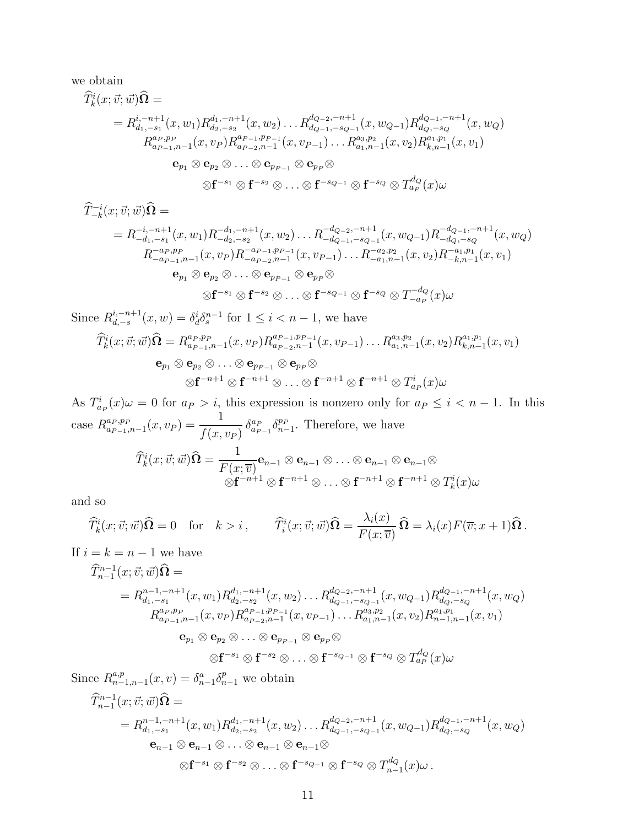we obtain

$$
\begin{split}\n\widehat{T}_{k}^{i}(x;\vec{v};\vec{w})\widehat{\Omega} &= \\
&= R_{d_{1},-s_{1}}^{i,-n+1}(x,w_{1})R_{d_{2},-s_{2}}^{d_{1},-n+1}(x,w_{2})\dots R_{d_{Q-1},-s_{Q-1}}^{d_{Q-2},-n+1}(x,w_{Q-1})R_{d_{Q},-s_{Q}}^{d_{Q-1},-n+1}(x,w_{Q}) \\
&\quad R_{a_{P-1},n-1}^{a_{P},p_{P}}(x,v_{P})R_{a_{P-2},n-1}^{a_{P-1},p_{P-1}}(x,v_{P-1})\dots R_{a_{1},n-1}^{a_{3},p_{2}}(x,v_{2})R_{k,n-1}^{a_{1},p_{1}}(x,v_{1}) \\
&\quad\mathbf{e}_{p_{1}} \otimes \mathbf{e}_{p_{2}} \otimes \dots \otimes \mathbf{e}_{p_{P-1}} \otimes \mathbf{e}_{p_{P}} \otimes \\
&\quad\otimes \mathbf{f}^{-s_{2}} \otimes \dots \otimes \mathbf{f}^{-s_{Q-1}} \otimes \mathbf{f}^{-s_{Q}} \otimes T_{a_{P}}^{d_{Q}}(x)\omega\n\end{split}
$$

$$
\begin{split}\n\widehat{T}_{-k}^{-i}(x;\vec{v};\vec{w})\widehat{\mathbf{\Omega}} &= \\
&= R_{-d_1,-s_1}^{-i,-n+1}(x,w_1)R_{-d_2,-s_2}^{-d_1,-n+1}(x,w_2)\dots R_{-d_{Q-1},-s_{Q-1}}^{-d_{Q-2},-n+1}(x,w_{Q-1})R_{-d_Q,-s_Q}^{-d_{Q-1},-n+1}(x,w_Q) \\
&R_{-a_P,p_P}^{-a_P,p_P}(x,v_P)R_{-a_{P-2},n-1}^{-a_{P-1},p_{P-1}}(x,v_{P-1})\dots R_{-a_1,n-1}^{-a_2,p_2}(x,v_2)R_{-k,n-1}^{-a_1,p_1}(x,v_1) \\
&\mathbf{e}_{p_1} \otimes \mathbf{e}_{p_2} \otimes \dots \otimes \mathbf{e}_{p_{P-1}} \otimes \mathbf{e}_{p_P} \otimes \\
&\otimes \mathbf{f}^{-s_1} \otimes \mathbf{f}^{-s_2} \otimes \dots \otimes \mathbf{f}^{-s_{Q-1}} \otimes \mathbf{f}^{-s_Q} \otimes T_{-a_P}^{-d_Q}(x)\omega\n\end{split}
$$

Since  $R_{d,-s}^{i,-n+1}$  $\delta_{d,-s}^{i,-n+1}(x,w) = \delta_d^i \delta_s^{n-1}$  for  $1 \le i < n-1$ , we have

$$
\begin{aligned}\n\widehat{T}_k^i(x; \vec{v}; \vec{w})\widehat{\mathbf{\Omega}} &= R_{a_{P-1},n-1}^{a_P, p_P}(x, v_P) R_{a_{P-2},n-1}^{a_{P-1}, p_{P-1}}(x, v_{P-1}) \dots R_{a_1,n-1}^{a_3, p_2}(x, v_2) R_{k,n-1}^{a_1, p_1}(x, v_1) \\
&\mathbf{e}_{p_1} \otimes \mathbf{e}_{p_2} \otimes \dots \otimes \mathbf{e}_{p_{P-1}} \otimes \mathbf{e}_{p_P} \otimes \\
&\otimes \mathbf{f}^{-n+1} \otimes \mathbf{f}^{-n+1} \otimes \dots \otimes \mathbf{f}^{-n+1} \otimes \mathbf{f}^{-n+1} \otimes T_{a_P}^i(x)\omega\n\end{aligned}
$$

As  $T_{a_p}^i(x) \omega = 0$  for  $a_p > i$ , this expression is nonzero only for  $a_p \leq i < n-1$ . In this case  $R_{a_{P-1},n-1}^{a_P,p_P}(x,v_P) = \frac{1}{f(x)}$  $f(x, v_P)$  $\delta_{a_{P-1}}^{a_P} \delta_{n-1}^{p_P}$ . Therefore, we have

$$
\widehat{T}_{k}^{i}(x; \vec{v}; \vec{w})\widehat{\Omega} = \frac{1}{F(x; \overline{v})}\mathbf{e}_{n-1} \otimes \mathbf{e}_{n-1} \otimes \ldots \otimes \mathbf{e}_{n-1} \otimes \mathbf{e}_{n-1} \otimes \mathbf{e}_{n-1}
$$

$$
\otimes \mathbf{f}^{-n+1} \otimes \mathbf{f}^{-n+1} \otimes \ldots \otimes \mathbf{f}^{-n+1} \otimes \mathbf{f}^{-n+1} \otimes T_{k}^{i}(x)\omega
$$

and so

$$
\widehat{T}_k^i(x; \vec{v}; \vec{w})\widehat{\Omega} = 0 \quad \text{for} \quad k > i \,, \qquad \widehat{T}_i^i(x; \vec{v}; \vec{w})\widehat{\Omega} = \frac{\lambda_i(x)}{F(x; \overline{v})}\widehat{\Omega} = \lambda_i(x)F(\overline{v}; x+1)\widehat{\Omega} \,.
$$

If  $i = k = n - 1$  we have

$$
\begin{split}\n\widehat{T}_{n-1}^{n-1}(x; \vec{v}; \vec{w})\widehat{\mathbf{\Omega}} &= \\
&= R_{d_1, -s_1}^{n-1, -n+1}(x, w_1) R_{d_2, -s_2}^{d_1, -n+1}(x, w_2) \dots R_{d_{Q-1}, -s_{Q-1}}^{d_{Q-2}, -n+1}(x, w_{Q-1}) R_{d_Q, -s_Q}^{d_{Q-1}, -n+1}(x, w_Q) \\
&R_{a_{P-1}, n-1}^{a_{P}, p_{P}}(x, v_P) R_{a_{P-2}, n-1}^{a_{P-1}, p_{P-1}}(x, v_{P-1}) \dots R_{a_1, n-1}^{a_3, p_2}(x, v_2) R_{n-1, n-1}^{a_1, p_1}(x, v_1) \\
&\mathbf{e}_{p_1} \otimes \mathbf{e}_{p_2} \otimes \dots \otimes \mathbf{e}_{p_{P-1}} \otimes \mathbf{e}_{p_P} \otimes \\
&\quad \otimes \mathbf{f}^{-s_1} \otimes \mathbf{f}^{-s_2} \otimes \dots \otimes \mathbf{f}^{-s_{Q-1}} \otimes \mathbf{f}^{-s_Q} \otimes T_{a_P}^{d_Q}(x)\omega\n\end{split}
$$

Since  $R_{n-1,n-1}^{a,p}(x,v) = \delta_{n-1}^a \delta_{n-1}^p$  we obtain

$$
\begin{split}\n\widehat{T}_{n-1}^{n-1}(x; \vec{v}; \vec{w})\widehat{\Omega} &=\\ \n&= R_{d_1, -s_1}^{n-1, -n+1}(x, w_1) R_{d_2, -s_2}^{d_1, -n+1}(x, w_2) \dots R_{d_{Q-1}, -s_{Q-1}}^{d_{Q-2}, -n+1}(x, w_{Q-1}) R_{d_Q, -s_Q}^{d_{Q-1}, -n+1}(x, w_Q)\\ \n&\mathbf{e}_{n-1} \otimes \mathbf{e}_{n-1} \otimes \dots \otimes \mathbf{e}_{n-1} \otimes \mathbf{e}_{n-1} \otimes\\ \n&\otimes \mathbf{f}^{-s_1} \otimes \mathbf{f}^{-s_2} \otimes \dots \otimes \mathbf{f}^{-s_{Q-1}} \otimes \mathbf{f}^{-s_Q} \otimes T_{n-1}^{d_Q}(x) \omega\,. \n\end{split}
$$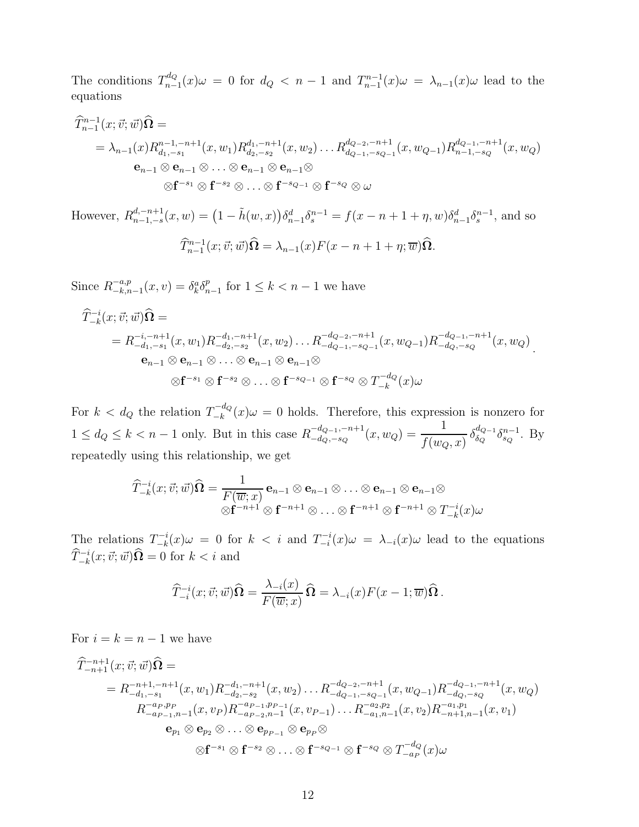The conditions  $T_{n-}^{d_Q}$  $n_{n-1}^{dQ}(x)$ ω = 0 for  $d_Q$  < n − 1 and  $T_{n-1}^{n-1}(x)$ ω =  $\lambda_{n-1}(x)$ ω lead to the equations

$$
\begin{split}\n\widehat{T}_{n-1}^{n-1}(x; \vec{v}; \vec{w})\widehat{\mathbf{\Omega}} &= \\
&= \lambda_{n-1}(x)R_{d_1, -s_1}^{n-1, -n+1}(x, w_1)R_{d_2, -s_2}^{d_1, -n+1}(x, w_2)\dots R_{d_{Q-1}, -s_{Q-1}}^{d_{Q-2}, -n+1}(x, w_{Q-1})R_{n-1, -s_Q}^{d_{Q-1}, -n+1}(x, w_Q) \\
&\mathbf{e}_{n-1} \otimes \mathbf{e}_{n-1} \otimes \dots \otimes \mathbf{e}_{n-1} \otimes \mathbf{e}_{n-1} \otimes \\
&\quad \otimes \mathbf{f}^{-s_1} \otimes \mathbf{f}^{-s_2} \otimes \dots \otimes \mathbf{f}^{-s_{Q-1}} \otimes \mathbf{f}^{-s_Q} \otimes \omega\n\end{split}
$$

However,  $R_{n-1,-s}^{d,-n+1}$  $_{n-1,-s}^{d,-n+1}(x,w) = (1 - \tilde{h}(w,x))\delta_{n-1}^d \delta_s^{n-1} = f(x-n+1+\eta,w)\delta_{n-1}^d \delta_s^{n-1},$  and so  $\widehat{T}_{n-1}^{n-1}(x;\vec{v};\vec{w})\widehat{\Omega} = \lambda_{n-1}(x)F(x-n+1+\eta;\overline{w})\widehat{\Omega}.$ 

Since  $R^{-a,p}_{-k,n}$  $\zeta_{-k,n-1}^{-a,p}(x,v) = \delta_k^a \delta_{n-1}^p$  for  $1 \le k < n-1$  we have

$$
\begin{split}\n\widehat{T}_{-k}^{-i}(x; \vec{v}; \vec{w})\widehat{\mathbf{\Omega}} &= \\
&= R_{-d_1, -s_1}^{-i, -n+1}(x, w_1) R_{-d_2, -s_2}^{-d_1, -n+1}(x, w_2) \dots R_{-d_{Q-1}, -s_{Q-1}}^{-d_{Q-2}, -n+1}(x, w_{Q-1}) R_{-d_Q, -s_Q}^{-d_{Q-1}, -n+1}(x, w_Q) \\
&\mathbf{e}_{n-1} \otimes \mathbf{e}_{n-1} \otimes \dots \otimes \mathbf{e}_{n-1} \otimes \mathbf{e}_{n-1} \otimes \\
&\otimes \mathbf{f}^{-s_1} \otimes \mathbf{f}^{-s_2} \otimes \dots \otimes \mathbf{f}^{-s_{Q-1}} \otimes \mathbf{f}^{-s_Q} \otimes T_{-k}^{-d_Q}(x)\omega\n\end{split}
$$

For  $k < d_Q$  the relation  $T_{-k}^{-d_Q}$  $-\frac{u}{k}a(x) \omega = 0$  holds. Therefore, this expression is nonzero for  $1 \leq d_Q \leq k < n-1$  only. But in this case  $R^{-d_{Q-1},-n+1}_{-d_Q,-s_Q}$  $\frac{-d_{Q-1}, -n+1}{-d_Q, -s_Q}(x, w_Q) = \frac{1}{f(w_Q)}$  $f(w_Q, x)$  $\delta_{\delta\alpha}^{d_{Q-1}}$  $\frac{d_{Q-1}}{\delta_Q} \delta_{s_Q}^{n-1}$ . By repeatedly using this relationship, we get

$$
\widehat{T}_{-k}^{-i}(x;\vec{v};\vec{w})\widehat{\Omega} = \frac{1}{F(\overline{w};x)} \mathbf{e}_{n-1} \otimes \mathbf{e}_{n-1} \otimes \ldots \otimes \mathbf{e}_{n-1} \otimes \mathbf{e}_{n-1} \otimes \ldots \otimes \mathbf{e}_{n-1}
$$

$$
\otimes \mathbf{f}^{-n+1} \otimes \mathbf{f}^{-n+1} \otimes \ldots \otimes \mathbf{f}^{-n+1} \otimes \mathbf{f}^{-n+1} \otimes T_{-k}^{-i}(x)\omega
$$

The relations  $T_{-k}^{-i}$  $\sum_{-k}^{n-i}(x)\omega = 0$  for  $k < i$  and  $T_{-i}^{-i}(x)\omega = \lambda_{-i}(x)\omega$  lead to the equations  $\widehat{T}_{-k}^{-i}(x; \vec{v}; \vec{w})\widehat{\Omega} = 0$  for  $k < i$  and

$$
\widehat{T}_{-i}^{-i}(x;\vec{v};\vec{w})\widehat{\Omega} = \frac{\lambda_{-i}(x)}{F(\overline{w};x)}\widehat{\Omega} = \lambda_{-i}(x)F(x-1;\overline{w})\widehat{\Omega}.
$$

For  $i = k = n - 1$  we have

$$
\hat{T}_{-n+1}^{-n+1}(x; \vec{v}; \vec{w})\hat{\Omega} =
$$
\n
$$
= R_{-d_1, -s_1}^{-n+1, -n+1}(x, w_1)R_{-d_2, -s_2}^{-d_1, -n+1}(x, w_2) \dots R_{-d_{Q-1}, -s_{Q-1}}^{-d_{Q-2}, -n+1}(x, w_{Q-1})R_{-d_Q, -s_Q}^{-d_{Q-1}, -n+1}(x, w_Q)
$$
\n
$$
R_{-a_{P-1}, n-1}^{-a_{P,P_P}(x, v_P)R_{-a_{P-2}, n-1}^{-a_{P-1}, p_{P-1}}(x, v_{P-1}) \dots R_{-a_1, n-1}^{-a_2, p_2}(x, v_2)R_{-n+1, n-1}^{-a_1, p_1}(x, v_1)
$$
\n
$$
\mathbf{e}_{p_1} \otimes \mathbf{e}_{p_2} \otimes \dots \otimes \mathbf{e}_{p_{P-1}} \otimes \mathbf{e}_{p_P} \otimes
$$
\n
$$
\otimes \mathbf{f}^{-s_1} \otimes \mathbf{f}^{-s_2} \otimes \dots \otimes \mathbf{f}^{-s_{Q-1}} \otimes \mathbf{f}^{-s_Q} \otimes T_{-a_P}^{-d_Q}(x) \omega
$$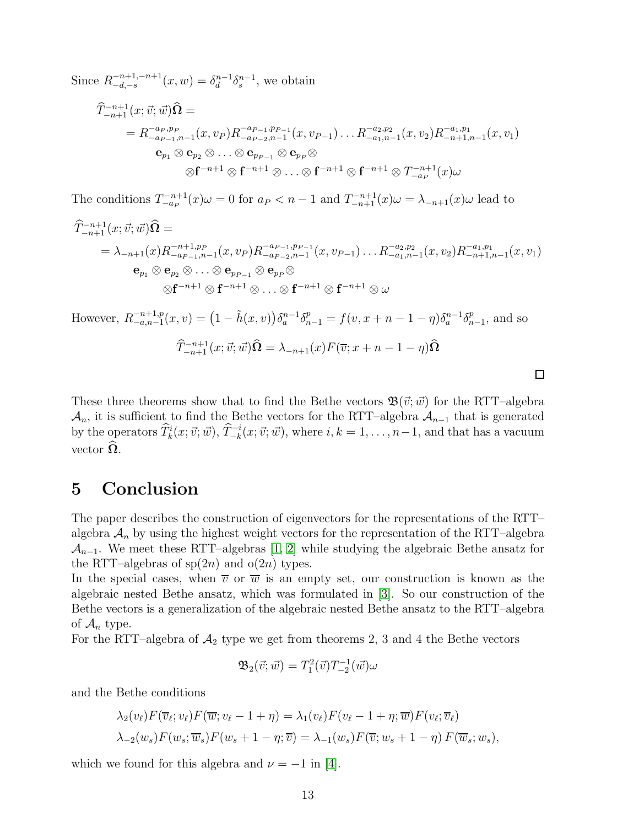Since  $R^{-n+1,-n+1}_{-d,-s}$  $\zeta_{-d,-s}^{n+1,-n+1}(x,w) = \delta_d^{n-1} \delta_s^{n-1}$ , we obtain

$$
\begin{split}\n\widehat{T}_{-n+1}^{-n+1}(x; \vec{v}; \vec{w})\widehat{\Omega} &= \\
&= R_{-a_{P-1},n-1}^{-a_{P},p_{P}}(x,v_{P})R_{-a_{P-2},n-1}^{-a_{P-1},p_{P-1}}(x,v_{P-1})\dots R_{-a_{1},n-1}^{-a_{2},p_{2}}(x,v_{2})R_{-n+1,n-1}^{-a_{1},p_{1}}(x,v_{1}) \\
&\mathbf{e}_{p_{1}} \otimes \mathbf{e}_{p_{2}} \otimes \dots \otimes \mathbf{e}_{p_{P-1}} \otimes \mathbf{e}_{p_{P}} \otimes \\
&\otimes \mathbf{f}^{-n+1} \otimes \mathbf{f}^{-n+1} \otimes \dots \otimes \mathbf{f}^{-n+1} \otimes \mathbf{f}^{-n+1} \otimes T_{-a_{P}}^{-n+1}(x)\omega\n\end{split}
$$

The conditions  $T_{-a}^{-n+1}(x)\omega = 0$  for  $a_P < n-1$  and  $T_{-n+1}^{-n+1}(x)\omega = \lambda_{-n+1}(x)\omega$  lead to

$$
\hat{T}_{-n+1}^{-n+1}(x; \vec{v}; \vec{w})\hat{\Omega} =
$$
\n
$$
= \lambda_{-n+1}(x)R_{-a_{P-1},n-1}^{-n+1, pp}(x, v_P)R_{-a_{P-2},n-1}^{-a_{P-1}, pp-1}(x, v_{P-1})\dots R_{-a_1,n-1}^{-a_2, pq}(x, v_2)R_{-n+1,n-1}^{-a_1, pq}(x, v_1)
$$
\n
$$
\mathbf{e}_{p_1} \otimes \mathbf{e}_{p_2} \otimes \dots \otimes \mathbf{e}_{p_{P-1}} \otimes \mathbf{e}_{p_P} \otimes
$$
\n
$$
\otimes \mathbf{f}^{-n+1} \otimes \mathbf{f}^{-n+1} \otimes \dots \otimes \mathbf{f}^{-n+1} \otimes \mathbf{f}^{-n+1} \otimes \omega
$$

However,  $R_{-a,n-1}^{-n+1,p}$  $\begin{array}{l} (-n+1,p(x,v)) = (1 - \tilde{h}(x,v))\delta_a^{n-1}\delta_{n-1}^p = f(v,x+n-1-\eta)\delta_a^{n-1}\delta_{n-1}^p, \text{ and so} \end{array}$  $\widehat{T}_{-n+1}^{-n+1}(x;\vec{v};\vec{\omega})\widehat{\mathbf{\Omega}} = \lambda_{-n+1}(x)F(\overline{v};x+n-1-\eta)\widehat{\mathbf{\Omega}}$ 

These three theorems show that to find the Bethe vectors  $\mathfrak{B}(\vec{v}; \vec{w})$  for the RTT–algebra  $\mathcal{A}_n$ , it is sufficient to find the Bethe vectors for the RTT–algebra  $\mathcal{A}_{n-1}$  that is generated by the operators  $\widehat{T}_k^i(x; \vec{v}; \vec{w})$ ,  $\widehat{T}_{-k}^{-i}(x; \vec{v}; \vec{w})$ , where  $i, k = 1, \ldots, n-1$ , and that has a vacuum vector  $\Omega$ .

 $\Box$ 

## 5 Conclusion

The paper describes the construction of eigenvectors for the representations of the RTT– algebra  $A_n$  by using the highest weight vectors for the representation of the RTT–algebra  $\mathcal{A}_{n-1}$ . We meet these RTT–algebras [\[1,](#page-13-0) [2\]](#page-13-1) while studying the algebraic Bethe ansatz for the RTT–algebras of  $sp(2n)$  and  $o(2n)$  types.

In the special cases, when  $\overline{v}$  or  $\overline{w}$  is an empty set, our construction is known as the algebraic nested Bethe ansatz, which was formulated in [\[3\]](#page-13-2). So our construction of the Bethe vectors is a generalization of the algebraic nested Bethe ansatz to the RTT–algebra of  $\mathcal{A}_n$  type.

For the RTT–algebra of  $A_2$  type we get from theorems 2, 3 and 4 the Bethe vectors

$$
\mathfrak{B}_{2}(\vec{v};\vec{w})=T_{1}^{2}(\vec{v})T_{-2}^{-1}(\vec{w})\omega
$$

and the Bethe conditions

$$
\lambda_2(v_\ell) F(\overline{v}_\ell; v_\ell) F(\overline{w}; v_\ell - 1 + \eta) = \lambda_1(v_\ell) F(v_\ell - 1 + \eta; \overline{w}) F(v_\ell; \overline{v}_\ell)
$$
  

$$
\lambda_{-2}(w_s) F(w_s; \overline{w}_s) F(w_s + 1 - \eta; \overline{v}) = \lambda_{-1}(w_s) F(\overline{v}; w_s + 1 - \eta) F(\overline{w}_s; w_s),
$$

which we found for this algebra and  $\nu = -1$  in [\[4\]](#page-13-3).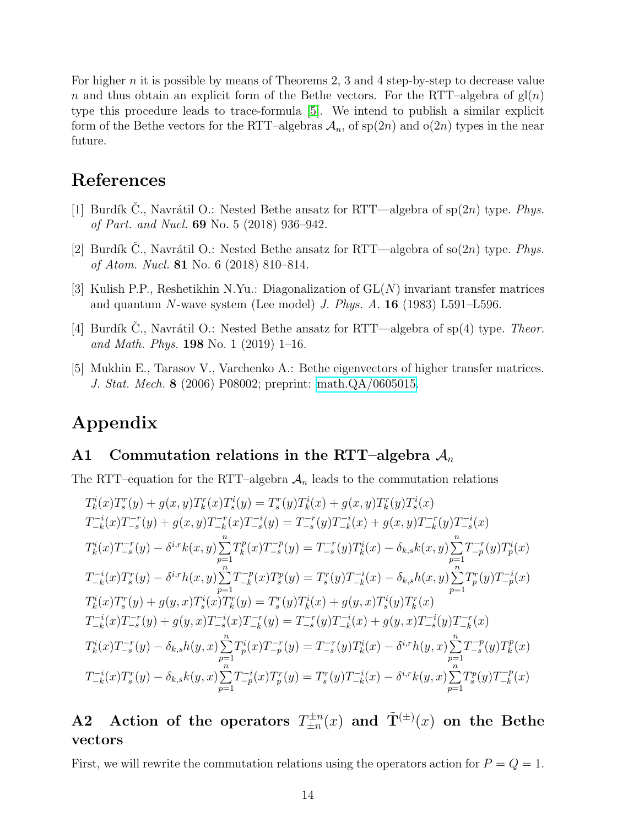For higher n it is possible by means of Theorems 2, 3 and 4 step-by-step to decrease value n and thus obtain an explicit form of the Bethe vectors. For the RTT–algebra of  $gl(n)$ type this procedure leads to trace-formula [\[5\]](#page-13-4). We intend to publish a similar explicit form of the Bethe vectors for the RTT–algebras  $\mathcal{A}_n$ , of sp(2n) and o(2n) types in the near future.

## <span id="page-13-0"></span>References

- [1] Burdík C., Navrátil O.: Nested Bethe ansatz for RTT—algebra of  $\text{sp}(2n)$  type. Phys. of Part. and Nucl. 69 No. 5 (2018) 936–942.
- <span id="page-13-1"></span>[2] Burdík C., Navrátil O.: Nested Bethe ansatz for RTT—algebra of so $(2n)$  type. Phys. of Atom. Nucl. 81 No. 6 (2018) 810–814.
- <span id="page-13-2"></span>[3] Kulish P.P., Reshetikhin N.Yu.: Diagonalization of GL(N) invariant transfer matrices and quantum N-wave system (Lee model) J. Phys.  $A$ . **16** (1983) L591–L596.
- <span id="page-13-4"></span><span id="page-13-3"></span>[4] Burdík C., Navrátil O.: Nested Bethe ansatz for RTT—algebra of sp(4) type. Theor. and Math. Phys. **198** No. 1 (2019) 1–16.
- [5] Mukhin E., Tarasov V., Varchenko A.: Bethe eigenvectors of higher transfer matrices. J. Stat. Mech. 8 (2006) P08002; preprint: [math.QA/0605015.](http://arxiv.org/abs/math/0605015)

# Appendix

#### A1 Commutation relations in the RTT–algebra  $A_n$

The RTT–equation for the RTT–algebra  $A_n$  leads to the commutation relations

$$
T_k^i(x)T_s^r(y) + g(x, y)T_k^r(x)T_s^i(y) = T_s^r(y)T_k^i(x) + g(x, y)T_k^r(y)T_s^i(x)
$$
  
\n
$$
T_{-k}^{-i}(x)T_{-s}^{-r}(y) + g(x, y)T_{-k}^{-r}(x)T_{-s}^{-i}(y) = T_{-s}^{-r}(y)T_{-k}^{-i}(x) + g(x, y)T_{-k}^{-r}(y)T_{-s}^{-i}(x)
$$
  
\n
$$
T_k^i(x)T_{-s}^{-r}(y) - \delta^{i,r}k(x, y)\sum_{p=1}^n T_k^p(x)T_{-s}^{-p}(y) = T_{-s}^{-r}(y)T_k^i(x) - \delta_{k,s}k(x, y)\sum_{p=1}^n T_{-p}^{-r}(y)T_p^i(x)
$$
  
\n
$$
T_{-k}^{-i}(x)T_s^r(y) - \delta^{i,r}h(x, y)\sum_{p=1}^n T_{-k}^{-p}(x)T_s^p(y) = T_s^r(y)T_{-k}^{-i}(x) - \delta_{k,s}h(x, y)\sum_{p=1}^n T_p^r(y)T_{-p}^{-i}(x)
$$
  
\n
$$
T_k^i(x)T_s^r(y) + g(y, x)T_s^i(x)T_k^r(y) = T_s^r(y)T_k^i(x) + g(y, x)T_s^i(y)T_k^r(x)
$$
  
\n
$$
T_{-k}^{-i}(x)T_{-s}^{-r}(y) + g(y, x)T_{-s}^{-i}(x)T_{-k}^{-r}(y) = T_{-s}^{-r}(y)T_{-k}^{-i}(x) + g(y, x)T_{-s}^{-i}(y)T_{-k}^{-r}(x)
$$
  
\n
$$
T_k^i(x)T_{-s}^{-r}(y) - \delta_{k,s}h(y, x)\sum_{p=1}^n T_p^i(x)T_{-p}^{-r}(y) = T_s^r(y)T_k^i(x) - \delta^{i,r}h(y, x)\sum_{p=1}^n T_{-s}^{-p}(y)T_k^p(x)
$$
  
\n
$$
T_{-k}^{-i}(x)T_s^r(y) - \delta_{k,s}k(y, x)\sum_{p=1}^n T_{-p}^{-i}(x)T_p^r(y) = T_s^r(y)T_{-k
$$

#### A2 Action of the operators  $T_{\pm n}^{\pm n}$  $\check{\mathtt{T}}^{\pm n}_\pm(x)$  and  $\tilde{\mathtt{T}}^{(\pm)}(x)$  on the Bethe vectors

First, we will rewrite the commutation relations using the operators action for  $P = Q = 1$ .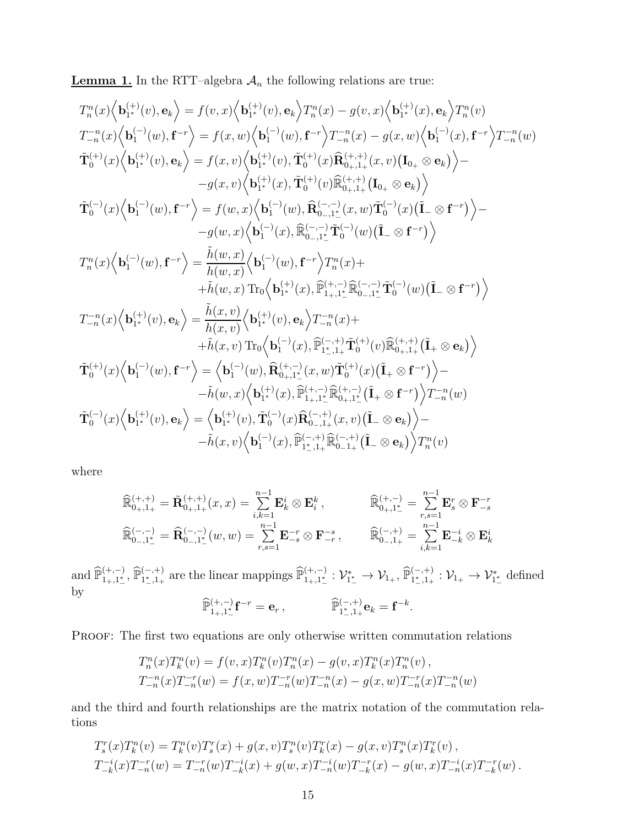**Lemma 1.** In the RTT–algebra  $A_n$  the following relations are true:

$$
\begin{array}{l} T_{n}^{n}(x)\Big\langle {\bf b}_{1^{+}}^{(+)}(v),{\bf e}_{k}\Big\rangle =f(v,x)\Big\langle {\bf b}_{1^{+}}^{(+)}(v),{\bf e}_{k}\Big\rangle T_{n}^{n}(x)-g(v,x)\Big\langle {\bf b}_{1^{+}}^{(+)}(x),{\bf e}_{k}\Big\rangle T_{n}^{n}(v)\\ T_{-n}^{-n}(x)\Big\langle {\bf b}_{1}^{(-)}(w),{\bf f}^{-r}\Big\rangle =f(x,w)\Big\langle {\bf b}_{1}^{(-)}(w),{\bf f}^{-r}\Big\langle T_{-n}^{-n}(x)-g(x,w)\Big\langle {\bf b}_{1}^{(-)}(x),{\bf f}^{-r}\Big\rangle T_{-n}^{-n}(w)\\ \tilde{\bf T}_{0}^{(+)}(x)\Big\langle {\bf b}_{1^{+}}^{(+)}(v),{\bf e}_{k}\Big\rangle =f(x,v)\Big\langle {\bf b}_{1^{+}}^{(+)}(v),\tilde{\bf T}_{0}^{(+)}(x)\widehat{\bf R}_{0+,1+}^{(+,+)}(x,v)\big(I_{0+}\otimes {\bf e}_{k}\big)\Big\rangle \\ -g(x,v)\Big\langle {\bf b}_{1^{+}}^{(-)}(x),\tilde{\bf T}_{0}^{(-)}(v),\tilde{\bf R}_{0-,1^{+}}^{(-)}(x,w)\tilde{\bf T}_{0}^{(-)}(x)\big(\tilde{\bf I}_{-}\otimes {\bf f}^{-r}\big)\Big\rangle \\ -g(w,x)\Big\langle {\bf b}_{1}^{(-)}(x),\tilde{\bf R}_{0-,1^{+}}^{(-)}\tilde{\bf T}_{0}^{(-)}(w)\big(\tilde{\bf I}_{-}\otimes {\bf f}^{-r}\big)\Big\rangle \\ -g(w,x)\Big\langle {\bf b}_{1}^{(-)}(x),\tilde{\bf R}_{0-,1^{+}}^{(-)}\tilde{\bf T}_{0}^{(-)}(w)\big(\tilde{\bf I}_{-}\otimes {\bf f}^{-r}\big)\Big\rangle \\ T_{n}^{n}(x)\Big\langle {\bf b}_{1}^{(-)}(w),{\bf f}^{-r}\Big\rangle =\frac{\tilde{h}(w,x)}{h(w,x)}\Big\langle {\bf b}_{1}^{(-)}(w),{\bf f}^{-r}\Big\rangle T_{n}^{n}(x)+\\ +\tilde{h}(w,x)\operatorname{Tr}_{0}\Big\langle {\bf b}_{1^{+}}^{(+)}(x),\tilde{\bf P}_{1+,1^{+}}^{(+)}\tilde{\bf R}_{0-,1^{+}}^{(-
$$

where

$$
\widehat{\mathbb{R}}_{0_{+},1_{+}}^{(+,+)} = \widetilde{\mathbf{R}}_{0_{+},1_{+}}^{(+,+)}(x,x) = \sum_{i,k=1}^{n-1} \mathbf{E}_{k}^{i} \otimes \mathbf{E}_{i}^{k}, \qquad \widehat{\mathbb{R}}_{0_{+},1_{-}^{*}}^{(+,-)} = \sum_{r,s=1}^{n-1} \mathbf{E}_{s}^{r} \otimes \mathbf{F}_{-s}^{-r}
$$
  

$$
\widehat{\mathbb{R}}_{0_{-},1_{-}^{*}}^{(-,-)} = \widehat{\mathbf{R}}_{0_{-},1_{-}^{*}}^{(-,-)}(w,w) = \sum_{r,s=1}^{n-1} \mathbf{E}_{-s}^{-r} \otimes \mathbf{F}_{-r}^{-s}, \qquad \widehat{\mathbb{R}}_{0_{-},1_{+}}^{(-,+)} = \sum_{i,k=1}^{n-1} \mathbf{E}_{-k}^{-i} \otimes \mathbf{E}_{k}^{i}
$$

and  $\widehat{\mathbb{P}}^{(+,-)}_{1_+,1_-^*}, \widehat{\mathbb{P}}^{(-,+)}_{1_-^*,1_+}$  are the linear mappings  $\widehat{\mathbb{P}}^{(+,-)}_{1_+,1_-^*}: \mathcal{V}^*_{1_+^*}$  $v_{1}^* \rightarrow \mathcal{V}_{1_+}, \widehat{\mathbb{P}}_{1^*_{-},1_+}^{(-,+)} : \mathcal{V}_{1_+} \rightarrow \mathcal{V}_{1^*_{-}}^*$  defined by  $\widehat{\mathbb{P}}^{(+,-)}_{1_+,1^*_-} \mathbf{f}^{-r} = \mathbf{e}_r \,, \qquad \qquad \widehat{\mathbb{P}}^{(-,+)}_{1^*,1_+} \mathbf{e}_k = \mathbf{f}^{-k}.$ 

PROOF: The first two equations are only otherwise written commutation relations

$$
T_n^n(x)T_k^n(v) = f(v, x)T_k^n(v)T_n^n(x) - g(v, x)T_k^n(x)T_n^n(v),
$$
  
\n
$$
T_{-n}^{-n}(x)T_{-n}^{-r}(w) = f(x, w)T_{-n}^{-r}(w)T_{-n}^{-n}(x) - g(x, w)T_{-n}^{-r}(x)T_{-n}^{-n}(w)
$$

and the third and fourth relationships are the matrix notation of the commutation relations

$$
T_s^r(x)T_k^n(v) = T_k^n(v)T_s^r(x) + g(x,v)T_s^n(v)T_k^r(x) - g(x,v)T_s^n(x)T_k^r(v),
$$
  
\n
$$
T_{-k}^{-i}(x)T_{-n}^{-r}(w) = T_{-n}^{-r}(w)T_{-k}^{-i}(x) + g(w,x)T_{-n}^{-i}(w)T_{-k}^{-r}(x) - g(w,x)T_{-n}^{-i}(x)T_{-k}^{-r}(w).
$$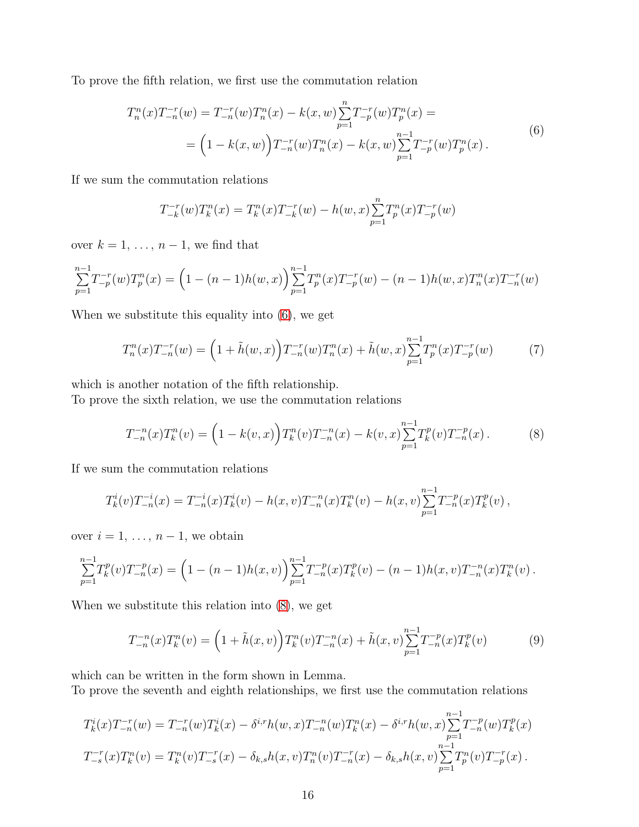To prove the fifth relation, we first use the commutation relation

<span id="page-15-0"></span>
$$
T_n^n(x)T_{-n}^{-r}(w) = T_{-n}^{-r}(w)T_n^n(x) - k(x,w)\sum_{p=1}^n T_{-p}^{-r}(w)T_p^n(x) =
$$
  
= 
$$
\left(1 - k(x,w)\right)T_{-n}^{-r}(w)T_n^n(x) - k(x,w)\sum_{p=1}^{n-1} T_{-p}^{-r}(w)T_p^n(x).
$$
 (6)

If we sum the commutation relations

$$
T_{-k}^{-r}(w)T_k^n(x) = T_k^n(x)T_{-k}^{-r}(w) - h(w, x)\sum_{p=1}^n T_p^n(x)T_{-p}^{-r}(w)
$$

over  $k = 1, \ldots, n - 1$ , we find that

$$
\sum_{p=1}^{n-1} T_{-p}^{-r}(w) T_p^n(x) = \left(1 - (n-1)h(w, x)\right) \sum_{p=1}^{n-1} T_p^n(x) T_{-p}^{-r}(w) - (n-1)h(w, x) T_n^n(x) T_{-n}^{-r}(w)
$$

When we substitute this equality into [\(6\)](#page-15-0), we get

<span id="page-15-3"></span>
$$
T_n^n(x)T_{-n}^{-r}(w) = \left(1 + \tilde{h}(w, x)\right)T_{-n}^{-r}(w)T_n^n(x) + \tilde{h}(w, x)\sum_{p=1}^{n-1} T_p^n(x)T_{-p}^{-r}(w) \tag{7}
$$

which is another notation of the fifth relationship.

To prove the sixth relation, we use the commutation relations

<span id="page-15-1"></span>
$$
T_{-n}^{-n}(x)T_k^n(v) = \left(1 - k(v,x)\right)T_k^n(v)T_{-n}^{-n}(x) - k(v,x)\sum_{p=1}^{n-1}T_k^p(v)T_{-n}^{-p}(x). \tag{8}
$$

If we sum the commutation relations

$$
T_k^i(v)T_{-n}^{-i}(x) = T_{-n}^{-i}(x)T_k^i(v) - h(x,v)T_{-n}^{-n}(x)T_k^n(v) - h(x,v)\sum_{p=1}^{n-1}T_{-n}^{-p}(x)T_k^p(v),
$$

over  $i = 1, \ldots, n-1$ , we obtain

$$
\sum_{p=1}^{n-1} T_k^p(v) T_{-n}^{-p}(x) = \left(1 - (n-1)h(x,v)\right) \sum_{p=1}^{n-1} T_{-n}^{-p}(x) T_k^p(v) - (n-1)h(x,v) T_{-n}^{-n}(x) T_k^n(v).
$$

When we substitute this relation into [\(8\)](#page-15-1), we get

<span id="page-15-2"></span>
$$
T_{-n}^{-n}(x)T_k^n(v) = \left(1 + \tilde{h}(x,v)\right)T_k^n(v)T_{-n}^{-n}(x) + \tilde{h}(x,v)\sum_{p=1}^{n-1}T_{-n}^{-p}(x)T_k^p(v) \tag{9}
$$

which can be written in the form shown in Lemma.

To prove the seventh and eighth relationships, we first use the commutation relations

$$
T_k^i(x)T_{-n}^{-r}(w) = T_{-n}^{-r}(w)T_k^i(x) - \delta^{i,r}h(w,x)T_{-n}^{-n}(w)T_k^n(x) - \delta^{i,r}h(w,x)\sum_{p=1}^{n-1}T_{-n}^{-p}(w)T_k^p(x)
$$
  

$$
T_{-s}^{-r}(x)T_k^n(v) = T_k^n(v)T_{-s}^{-r}(x) - \delta_{k,s}h(x,v)T_n^n(v)T_{-n}^{-r}(x) - \delta_{k,s}h(x,v)\sum_{p=1}^{n-1}T_p^n(v)T_{-p}^{-r}(x).
$$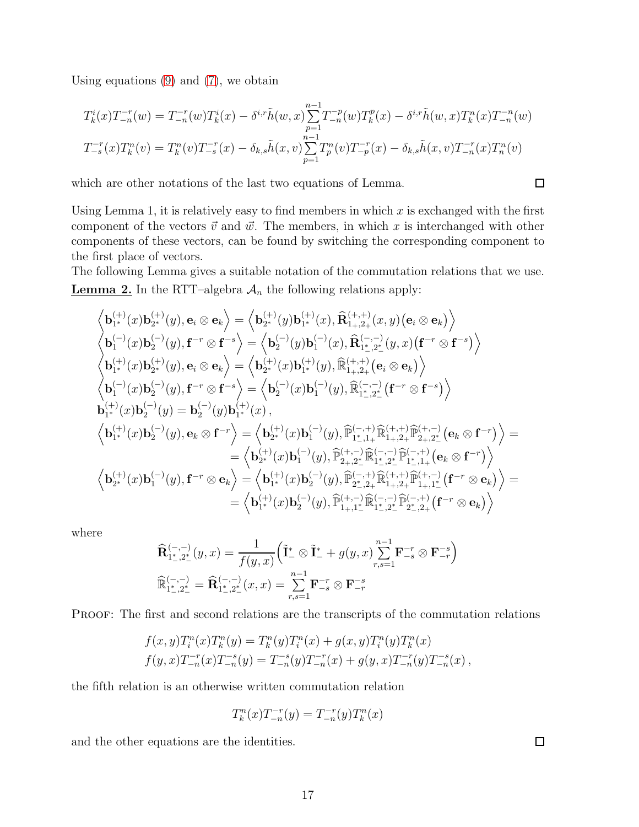Using equations [\(9\)](#page-15-2) and [\(7\)](#page-15-3), we obtain

$$
T_k^i(x)T_{-n}^{-r}(w) = T_{-n}^{-r}(w)T_k^i(x) - \delta^{i,r}\tilde{h}(w,x)\sum_{p=1}^{n-1}T_{-n}^{-p}(w)T_k^p(x) - \delta^{i,r}\tilde{h}(w,x)T_k^n(x)T_{-n}^{-n}(w)
$$
  

$$
T_{-s}^{-r}(x)T_k^n(v) = T_k^n(v)T_{-s}^{-r}(x) - \delta_{k,s}\tilde{h}(x,v)\sum_{p=1}^{n-1}T_p^n(v)T_{-p}^{-r}(x) - \delta_{k,s}\tilde{h}(x,v)T_{-n}^{-r}(x)T_n^n(v)
$$

which are other notations of the last two equations of Lemma.

Using Lemma 1, it is relatively easy to find members in which  $x$  is exchanged with the first component of the vectors  $\vec{v}$  and  $\vec{w}$ . The members, in which x is interchanged with other components of these vectors, can be found by switching the corresponding component to the first place of vectors.

The following Lemma gives a suitable notation of the commutation relations that we use. **Lemma 2.** In the RTT–algebra  $A_n$  the following relations apply:

$$
\left\langle \mathbf{b}^{(+)}_{1^*}(x)\mathbf{b}^{(+)}_{2^*}(y),\mathbf{e}_i\otimes \mathbf{e}_k \right\rangle=\left\langle \mathbf{b}^{(+)}_{2^*}(y)\mathbf{b}^{(+)}_{1^*}(x),\widehat{\mathbf{R}}^{(+,+)}_{1^*,2^+}(x,y)\big(\mathbf{e}_i\otimes \mathbf{e}_k \big) \right\rangle\\ \left\langle \mathbf{b}^{(-)}_{1}(x)\mathbf{b}^{(-)}_{2}(y),\mathbf{f}^{-r}\otimes \mathbf{f}^{-s} \right\rangle=\left\langle \mathbf{b}^{(-)}_{2}(y)\mathbf{b}^{(-)}_{1}(x),\widehat{\mathbf{R}}^{(-,-)}_{1^*,2^*}(y,x)\big(\mathbf{f}^{-r}\otimes \mathbf{f}^{-s} \big) \right\rangle\\ \left\langle \mathbf{b}^{(+)}_{1^*}(x)\mathbf{b}^{(+)}_{2^*}(y),\mathbf{e}_i\otimes \mathbf{e}_k \right\rangle=\left\langle \mathbf{b}^{(+)}_{2^*}(x)\mathbf{b}^{(+)}_{1^*}(y),\widehat{\mathbb{R}}^{(+,+)}_{1^*,2^+}(\mathbf{e}_i\otimes \mathbf{e}_k) \right\rangle\\ \left\langle \mathbf{b}^{(-)}_{1^*}(x)\mathbf{b}^{(-)}_{2}(y),\mathbf{f}^{-r}\otimes \mathbf{f}^{-s} \right\rangle=\left\langle \mathbf{b}^{(-)}_{2}(x)\mathbf{b}^{(-)}_{1}(y),\widehat{\mathbb{R}}^{(-,-)}_{1^*,2^*}( \mathbf{f}^{-r}\otimes \mathbf{f}^{-s} ) \right\rangle\\ \left\langle \mathbf{b}^{(+)}_{1^*}(x)\mathbf{b}^{(-)}_{2}(y),\mathbf{e}_k\otimes \mathbf{f}^{-r} \right\rangle=\left\langle \mathbf{b}^{(+)}_{2^*}(x)\mathbf{b}^{(-)}_{1}(y),\widehat{\mathbb{P}}^{(-,+)}_{1^*,1^+}\widehat{\mathbb{R}}^{(+,+)}_{1^*,2^+}\widehat{\mathbb{P}}^{(+,-)}_{2^*,2^*}(\mathbf{e}_k\otimes \mathbf{f}^{-r} ) \right\rangle\\ =\left\langle \mathbf{b}^{(+)}_{2^*}(x)\mathbf{b}^{(-)}_{1}(y),\
$$

where

$$
\begin{array}{l} \displaystyle \widehat{{\bf R}}^{(-,-)}_{1^*,2^*_-}(y,x) = \frac{1}{f(y,x)}\Bigl(\tilde{{\bf I}}^*_- \otimes \tilde{{\bf I}}^*_- + g(y,x) \underset{r,s=1}{\overset{n-1}{\sum}} {\bf F}^{-r}_{-s} \otimes {\bf F}^{-s}_{-r}\Bigr)\\ \displaystyle \widehat{\mathbb{R}}^{(-,-)}_{1^*,2^*_-} = \widehat{{\bf R}}^{(-,-)}_{1^*,2^*_-}(x,x) = \underset{r,s=1}{\overset{n-1}{\sum}} {\bf F}^{-r}_{-s} \otimes {\bf F}^{-s}_{-r} \end{array}
$$

PROOF: The first and second relations are the transcripts of the commutation relations

$$
f(x,y)T_i^n(x)T_k^n(y) = T_k^n(y)T_i^n(x) + g(x,y)T_i^n(y)T_k^n(x)
$$
  

$$
f(y,x)T_{-n}^{-r}(x)T_{-n}^{-s}(y) = T_{-n}^{-s}(y)T_{-n}^{-r}(x) + g(y,x)T_{-n}^{-r}(y)T_{-n}^{-s}(x),
$$

the fifth relation is an otherwise written commutation relation

$$
T_k^n(x)T_{-n}^{-r}(y) = T_{-n}^{-r}(y)T_k^n(x)
$$

and the other equations are the identities.

 $\Box$ 

 $\Box$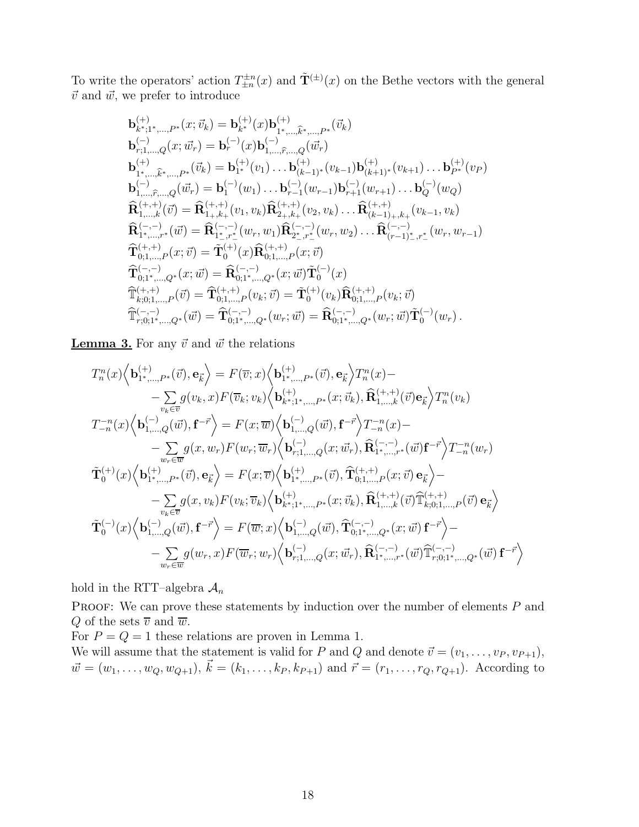To write the operators' action  $T_{\pm n}^{\pm n}(x)$  and  $\tilde{T}^{(\pm)}(x)$  on the Bethe vectors with the general  $\vec{v}$  and  $\vec{w}$ , we prefer to introduce

$$
\begin{array}{lllllllll} & \mathbf{b}^{(+)}_{k^*,1^*,\ldots,P^*}(x;\vec{v}_k)=\mathbf{b}^{(+)}_{k^*}(x)\mathbf{b}^{(+)}_{1^*,\ldots,\widehat{k}^*,\ldots,P^*}(\vec{v}_k)\\ & \mathbf{b}^{(-)}_{r;1,\ldots,Q}(x;\vec{w}_r)=\mathbf{b}^{(-)}_{r}(x)\mathbf{b}^{(-)}_{1,\ldots,\widehat{r},\ldots,Q}(\vec{w}_r)\\ & \mathbf{b}^{(+)}_{1^*,\ldots,\widehat{k}^*,\ldots,P^*}(\vec{v}_k)=\mathbf{b}^{(+)}_{1^*}(v_1)\ldots\mathbf{b}^{(+)}_{(k-1)^*}(v_{k-1})\mathbf{b}^{(+)}_{(k+1)^*}(v_{k+1})\ldots\mathbf{b}^{(+)}_{P^*}(v_P)\\ & \mathbf{b}^{(-)}_{1,\ldots,\widehat{r},\ldots,Q}(\vec{w}_r)=\mathbf{b}^{(-)}_{1}(w_1)\ldots\mathbf{b}^{(-)}_{r-1}(w_{r-1})\mathbf{b}^{(-)}_{r+1}(w_{r+1})\ldots\mathbf{b}^{(-)}_{Q}(w_Q)\\ & \mathbf{\widehat{R}^{(+,+)}_{1,\ldots,k}}(\vec{v})=\mathbf{\widehat{R}^{(+,+)}_{1^*,k^+}(v_1,v_k)\mathbf{\widehat{R}^{(+,+)}_{2^*,k^+}(v_2,v_k)\ldots\mathbf{\widehat{R}^{(+,+)}_{(k-1)+,k^+}(v_{k-1},v_k)}\\ & \mathbf{\widehat{R}^{(-,-)}_{1^*,\ldots,r^*}(\vec{w})=\mathbf{\widehat{R}^{(-,-)}_{1^*,r^*}(w_r,w_1)\mathbf{\widehat{R}^{(-,-)}_{2^*,r^*}(w_r,w_2)\ldots\mathbf{\widehat{R}^{(-,-)}_{(r-1)^*,r^*}(w_r,w_{r-1})}\\ & \mathbf{\widehat{T}^{(+,+)}_{0;1,\ldots,P}(x;\vec{v})=\mathbf{\widehat{T}^{(+)}_{0;1^*,\ldots,Q^*}(x;\vec{w})\mathbf{\widehat{T}^{(-)}_{0}}(x)\\ & \mathbf{\widehat{T}^{(-,-)}_{0;1^*,\ldots,Q^*}(x;\vec{w})=\mathbf{\widehat{R}^{(-,-)}_{0
$$

**Lemma 3.** For any  $\vec{v}$  and  $\vec{w}$  the relations

$$
T_{n}^{n}(x)\Big\langle\mathbf{b}_{1^{*},\ldots,P^{*}}^{(+)}(\vec{v}),\mathbf{e}_{\vec{k}}\Big\rangle=F(\overline{v};x)\Big\langle\mathbf{b}_{1^{*},\ldots,P^{*}}^{(+)}(\vec{v}),\mathbf{e}_{\vec{k}}\Big\rangle T_{n}^{n}(x)-\\-\sum_{v_{k}\in\overline{v}}g(v_{k},x)F(\overline{v}_{k};v_{k})\Big\langle\mathbf{b}_{k^{*};1^{*},\ldots,P^{*}}^{(+)}(\vec{v}),\widehat{\mathbf{R}}_{1,\ldots,k}^{(+,+)}(\vec{v})\mathbf{e}_{\vec{k}}\Big\rangle T_{n}^{n}(v_{k})\\T_{-n}^{-n}(x)\Big\langle\mathbf{b}_{1,\ldots,Q}^{(-)}(\vec{w}),\mathbf{f}^{-\vec{r}}\Big\rangle=F(x;\overline{w})\Big\langle\mathbf{b}_{1,\ldots,Q}^{(-)}(\vec{w}),\mathbf{f}^{-\vec{r}}\Big\rangle T_{-n}^{-n}(x)-\\-\sum_{w_{r}\in\overline{w}}g(x,w_{r})F(w_{r};\overline{w}_{r})\Big\langle\mathbf{b}_{r;1,\ldots,Q}^{(-)}(x;\vec{w}_{r}),\widehat{\mathbf{R}}_{1^{*},\ldots,r^{*}}^{(-,-)}(\vec{w})\mathbf{f}^{-\vec{r}}\Big\rangle T_{-n}^{-n}(w_{r})\\ \widetilde{\mathbf{T}}_{0}^{(+)}(x)\Big\langle\mathbf{b}_{1^{*},\ldots,P^{*}}^{(+)}(\vec{v}),\mathbf{e}_{\vec{k}}\Big\rangle=F(x;\overline{v})\Big\langle\mathbf{b}_{1^{*},\ldots,P^{*}}^{(+)}(\vec{v}),\widehat{\mathbf{T}}_{0;1,\ldots,P}^{(+,+)}(x;\vec{v})\mathbf{e}_{\vec{k}}\Big\rangle-\\-\sum_{v_{k}\in\overline{v}}g(x,v_{k})F(v_{k};\overline{v}_{k})\Big\langle\mathbf{b}_{k^{*};1^{*},\ldots,P^{*}}^{(+)}(x;\vec{v}_{k}),\widehat{\mathbf{R}}_{1,\ldots,k}^{(+,+)}(\vec{v})\widehat{\mathbb{T}}_{k;0;1,\ldots,P}^{(+,+)}(\vec{v})\mathbf{e}_{\vec{k}}\Big\rangle\\ \widetilde{\mathbf{T}}_{0}^{(-)}(x)\Big\
$$

hold in the RTT–algebra  $A_n$ 

PROOF: We can prove these statements by induction over the number of elements  $P$  and Q of the sets  $\overline{v}$  and  $\overline{w}$ .

For  $P = Q = 1$  these relations are proven in Lemma 1. We will assume that the statement is valid for P and Q and denote  $\vec{v} = (v_1, \ldots, v_P, v_{P+1}),$  $\vec{w} = (w_1, \ldots, w_Q, w_{Q+1}), \vec{k} = (k_1, \ldots, k_P, k_{P+1})$  and  $\vec{r} = (r_1, \ldots, r_Q, r_{Q+1})$ . According to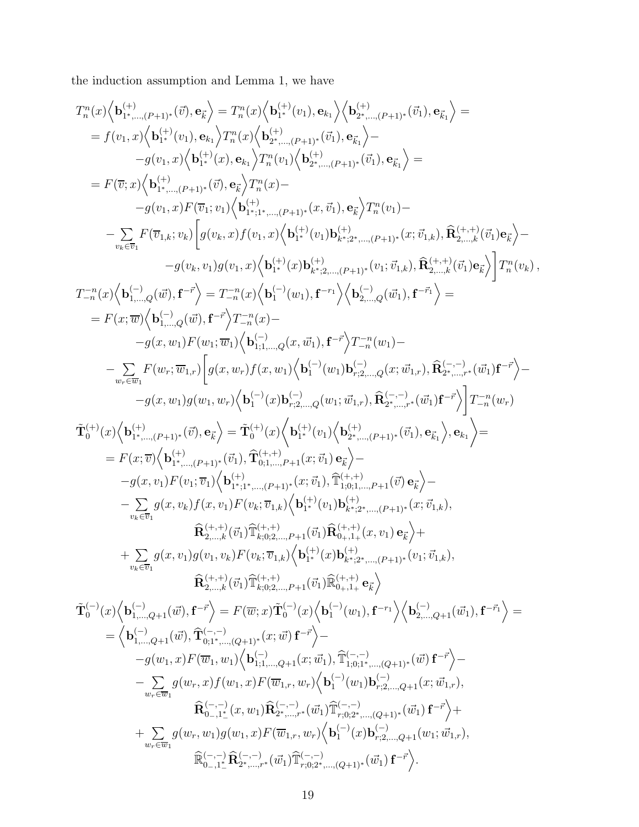the induction assumption and Lemma 1, we have

$$
\begin{array}{l} T_{n}^{n}(x)\Big \langle {\bf b}_{1}^{(+)}_{1},\ldots,(r+1)^{*}(0),{\bf e}_{K}^{+}\Big \rangle = T_{n}^{n}(x)\Big \langle {\bf b}_{1}^{(+)}_{2},\ldots,(r+1)^{*}(0,1),{\bf e}_{K_{1}}^{+}\Big \rangle = \\ = f(v_{1},x)\Big \langle {\bf b}_{1}^{(+)}(v_{1}),{\bf e}_{K_{1}}\Big \rangle T_{n}^{n}(x)\Big \langle {\bf b}_{2}^{(+)}_{2},\ldots,(r+1)^{*}(0,1),{\bf e}_{K_{1}}^{+}\Big \rangle = \\ -g(v_{1},x)\Big \langle {\bf b}_{1}^{(+)}(x),{\bf e}_{K_{1}}\Big \rangle T_{n}^{n}(v_{1})\Big \langle {\bf b}_{2}^{(+)}_{2},\ldots,(r+1)^{*}(0,1),{\bf e}_{K_{1}}^{+}\Big \rangle = \\ = F(\overline{v},x)\Big \langle {\bf b}_{1}^{(+)}(v_{1})\cdot ({\bf e}_{K_{1}}^{(+)})T_{n}^{n}(v_{1})\Big \langle {\bf b}_{2}^{(+)}(v_{2})\cdot ({\bf e}_{K_{1}}^{(+)})\cdot ({\bf f}_{1})\cdot ({\bf e}_{K_{1}}^{+})\cdot ({\bf f}_{1})\cdot ({\bf e}_{K_{1}}^{+})\cdot ({\bf f}_{1})\cdot ({\bf f}_{1})\cdot ({\bf f}_{1})\cdot ({\bf f}_{1})\cdot ({\bf f}_{1})\cdot ({\bf f}_{1})\cdot ({\bf f}_{1})\cdot ({\bf f}_{1})\cdot ({\bf f}_{1})\cdot ({\bf f}_{1})\cdot ({\bf f}_{1})\cdot ({\bf f}_{1})\cdot ({\bf f}_{1})\cdot ({\bf f}_{1})\cdot ({\bf f}_{1})\cdot ({\bf f}_{1})\cdot ({\bf f}_{1})\cdot ({\bf f}_{1})\cdot ({\bf f}_{1})\cdot ({\bf f}_{1})\cdot ({\bf f}_{1})\cdot ({\bf f}_{1})\cdot ({\bf f}_{1})\cdot ({\bf f}_{1})\cdot ({\bf f}_{1})\cdot ({\bf f}_{1})\cdot ({\bf f}_{1})\cdot ({\bf f}_{1})\cdot ({\bf f}_{1})\cdot ({\bf f}_{1})\cdot ({\bf f}_{1})\cdot ({\bf f}_{1})\cdot ({\bf f}_{1})\cdot ({\bf f}_{1})\cdot ({\bf f}_{1})\cdot ({\bf f}_{1})\cdot ({\bf f}_{1})\cdot ({\
$$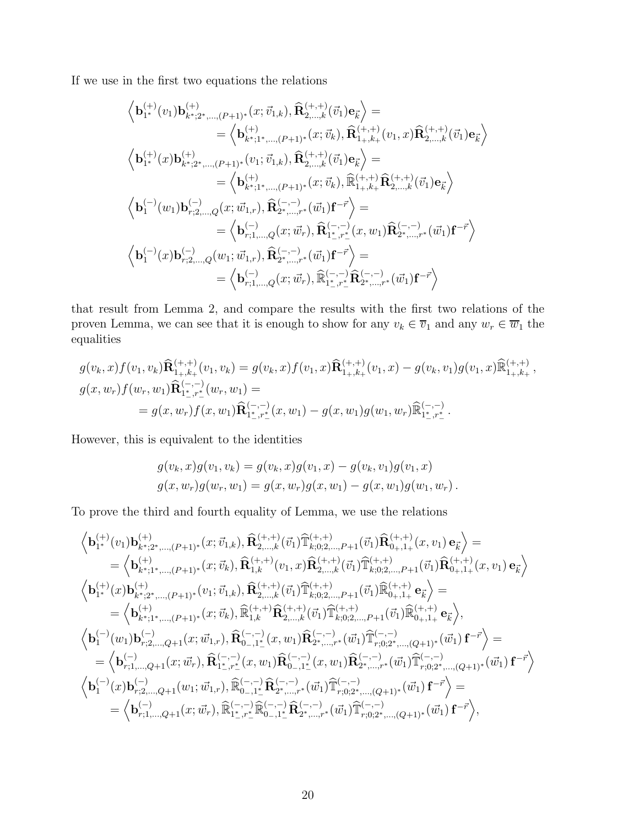If we use in the first two equations the relations

$$
\begin{aligned} &\left< \mathbf{b}^{(+)}_{1^*}(v_1)\mathbf{b}^{(+)}_{k^*;2^*,\ldots,(P+1)^*}(x;\vec{v}_{1,k}),\widehat{\mathbf{R}}^{(+,+)}_{2,\ldots,k}(\vec{v}_1)\mathbf{e}_{\vec{k}} \right> = \\ &= \left< \mathbf{b}^{(+)}_{k^*;1^*,\ldots,(P+1)^*}(x;\vec{v}_k),\widehat{\mathbf{R}}^{(+,+)}_{1+,k+}(v_1,x)\widehat{\mathbf{R}}^{(+,+)}_{2,\ldots,k}(\vec{v}_1)\mathbf{e}_{\vec{k}} \right> \\ &\left< \mathbf{b}^{(+)}_{1^*}(x)\mathbf{b}^{(+)}_{k^*;2^*,\ldots,(P+1)^*}(v_1;\vec{v}_{1,k}),\widehat{\mathbf{R}}^{(+,+)}_{2,\ldots,k}(\vec{v}_1)\mathbf{e}_{\vec{k}} \right> = \\ &= \left< \mathbf{b}^{(+)}_{k^*;1^*,\ldots,(P+1)^*}(x;\vec{v}_k),\widehat{\mathbb{R}}^{(+,+)}_{1+,k+}\widehat{\mathbf{R}}^{(+,+)}_{2,\ldots,k}(\vec{v}_1)\mathbf{e}_{\vec{k}} \right> \\ &\left< \mathbf{b}^{(-)}_{1}(w_1)\mathbf{b}^{(-)}_{r;2,\ldots,Q}(x;\vec{w}_{1,r}),\widehat{\mathbf{R}}^{(-,-)}_{2^*,\ldots,r^*}(\vec{w}_1)\mathbf{f}^{-\vec{r}} \right> = \\ &= \left< \mathbf{b}^{(-)}_{r;1,\ldots,Q}(x;\vec{w}_r),\widehat{\mathbf{R}}^{(-,-)}_{1^*,r^*}(x,w_1)\widehat{\mathbf{R}}^{(-,-)}_{2^*,\ldots,r^*}(\vec{w}_1)\mathbf{f}^{-\vec{r}} \right> \\ &\left< \mathbf{b}^{(-)}_{1}(x)\mathbf{b}^{(-)}_{r;2,\ldots,Q}(w_1;\vec{w}_{1,r}),\widehat{\mathbf{R}}^{(-,-)}_{2^*,\ldots,r^*}(\vec{w}_1)\mathbf{f}^{-\vec{r}} \right> = \\ &= \left< \mathbf{b}^{(-)}_{r;1,\ldots,Q}(x;\vec{w}_r),\widehat{\mathbb{R}}^{(-,-)}_{1^*,r^*} \widehat{\mathbf{R}}^{(-,-)}_{2^*,\ldots,r^
$$

that result from Lemma 2, and compare the results with the first two relations of the proven Lemma, we can see that it is enough to show for any  $v_k \in \overline{v}_1$  and any  $w_r \in \overline{w}_1$  the equalities

$$
g(v_k, x) f(v_1, v_k) \widehat{\mathbf{R}}_{1+,k+}^{(+,+)}(v_1, v_k) = g(v_k, x) f(v_1, x) \widehat{\mathbf{R}}_{1+,k+}^{(+,+)}(v_1, x) - g(v_k, v_1) g(v_1, x) \widehat{\mathbb{R}}_{1+,k+}^{(+,+)},
$$
  
\n
$$
g(x, w_r) f(w_r, w_1) \widehat{\mathbf{R}}_{1^*,r^*}^{(-,-)}(w_r, w_1) =
$$
  
\n
$$
= g(x, w_r) f(x, w_1) \widehat{\mathbf{R}}_{1^*,r^*}^{(-,-)}(x, w_1) - g(x, w_1) g(w_1, w_r) \widehat{\mathbb{R}}_{1^*,r^*}^{(-,-)}.
$$

However, this is equivalent to the identities

$$
g(v_k, x)g(v_1, v_k) = g(v_k, x)g(v_1, x) - g(v_k, v_1)g(v_1, x)
$$
  

$$
g(x, w_r)g(w_r, w_1) = g(x, w_r)g(x, w_1) - g(x, w_1)g(w_1, w_r).
$$

To prove the third and fourth equality of Lemma, we use the relations

$$
\left\langle \mathbf{b}^{(+)}_{1^*}(v_1)\mathbf{b}^{(+)}_{k^*;2^*,\ldots,(P+1)^*}(x;\vec{v}_{1,k}),\widehat{\mathbf{R}}^{(+,+)}_{2,\ldots,k}(\vec{v}_1)\widehat{\mathbf{T}}^{(+,+)}_{k;0;2,\ldots,P+1}(\vec{v}_1)\widehat{\mathbf{R}}^{(+,+)}_{0+,1+}(x,v_1)\,\mathbf{e}_{\vec{k}} \right\rangle = \\ = \left\langle \mathbf{b}^{(+)}_{k^*;1^*,\ldots,(P+1)^*}(x;\vec{v}_k),\widehat{\mathbf{R}}^{(+,+)}_{1,k}(v_1,x)\widehat{\mathbf{R}}^{(+,+)}_{2,\ldots,k}(\vec{v}_1)\widehat{\mathbf{T}}^{(+,+)}_{k;0;2,\ldots,P+1}(\vec{v}_1)\widehat{\mathbf{R}}^{(+,+)}_{0+,1+}(x,v_1)\,\mathbf{e}_{\vec{k}} \right\rangle \\ \left\langle \mathbf{b}^{(+)}_{1^*}(x)\mathbf{b}^{(+)}_{k^*;2^*,\ldots,(P+1)^*}(v_1;\vec{v}_{1,k}),\widehat{\mathbf{R}}^{(+,+)}_{2,\ldots,k}(\vec{v}_1)\widehat{\mathbf{T}}^{(+,+)}_{k;0;2,\ldots,P+1}(\vec{v}_1)\widehat{\mathbf{R}}^{(+,+)}_{0+,1+}\,\mathbf{e}_{\vec{k}} \right\rangle = \\ = \left\langle \mathbf{b}^{(+)}_{k^*;1^*,\ldots,(P+1)^*}(x;\vec{w}_k),\widehat{\mathbf{R}}^{(-,-)}_{1,k}(x,w_1)\widehat{\mathbf{R}}^{(-,-)}_{2,\ldots,k}(\vec{w}_1)\widehat{\mathbf{T}}^{(+,+)}_{k;0;2^*,\ldots,P+1}(\vec{v}_1)\widehat{\mathbf{R}}^{(+,+)}_{0+,1+}\,\mathbf{e}_{\vec{k}} \right\rangle, \\ \left\langle \mathbf{b}^{(-)}_{1}(w_1)\mathbf{b}^{(-)}_{r;2,\ldots,Q+1}(x;\vec{w}_{1,r}),\widehat{\mathbf{R}}^{(-,-)}_{0-,\mathbf{1}^*}(x,w_1)\widehat{\mathbf{R}}^{(-,-)}_{2^*,\ldots,r^*}(\vec{w}_1)\widehat{\mathbf{T}}^{(-,-)}_{r;0;2^*,\ldots,(Q+1)^*}(\vec{w
$$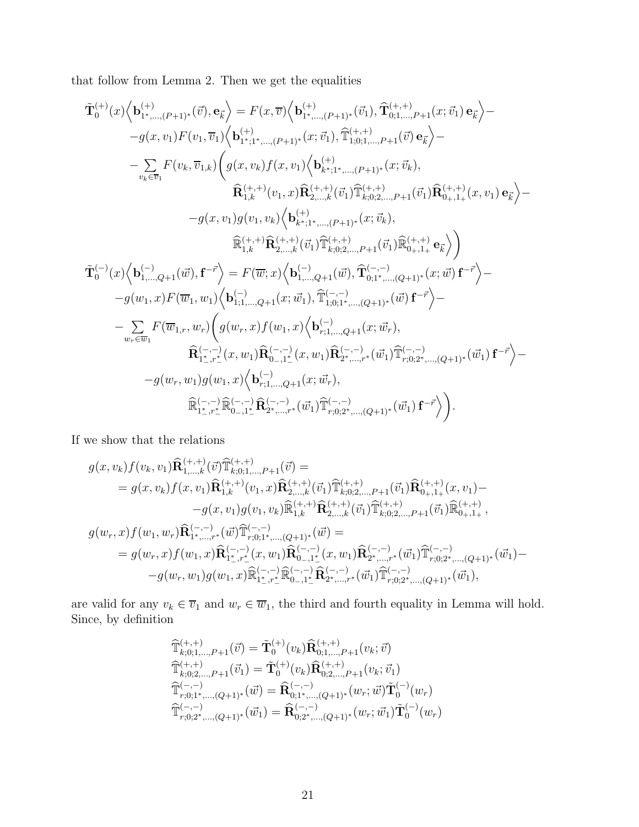that follow from Lemma 2. Then we get the equalities

$$
\tilde{\mathbf{T}}_{0}^{(+)}(x)\Big\langle\mathbf{b}_{1^{*},\ldots,(P+1)^{*}}^{(+)}(\vec{v}),\mathbf{e}_{\vec{k}}\Big\rangle=F(x,\overline{v})\Big\langle\mathbf{b}_{1^{*},\ldots,(P+1)^{*}}^{(+)}(\vec{v}_{1}),\widehat{\mathbf{T}}_{0;1,\ldots,P+1}^{(+,+)}(x;\vec{v}_{1})\,\mathbf{e}_{\vec{k}}\Big\rangle-\nonumber\\-g(x,v_{1})F(v_{1},\overline{v}_{1})\Big\langle\mathbf{b}_{1^{*},1^{*},\ldots,(P+1)^{*}}^{(+)}(x;\vec{v}_{1}),\widehat{\mathbb{T}}_{1;0;1,\ldots,P+1}^{(+,+)}(\vec{v})\,\mathbf{e}_{\vec{k}}\Big\rangle-\nonumber\\-\sum_{v_{k}\in\overline{v}_{1}}F(v_{k},\overline{v}_{1,k})\Bigg(g(x,v_{k})f(x,v_{1})\Big\langle\mathbf{b}_{k^{*},1^{*},\ldots,(P+1)^{*}}^{(+,+)}(x;\vec{v}_{k}),\\\widehat{\mathbf{R}}_{1,k}^{(+,+)}(v_{1},x)\widehat{\mathbf{R}}_{2,\ldots,k}^{(+,+)}(\vec{v}_{1})\widehat{\mathbb{T}}_{k;0;2,\ldots,P+1}^{(+,+)}(\vec{v}_{1})\widehat{\mathbf{R}}_{0+,1^{+}}^{(+,+)}(x,v_{1})\,\mathbf{e}_{\vec{k}}\Big\rangle-\nonumber\\-g(x,v_{1})g(v_{1},v_{k})\Big\langle\mathbf{b}_{k^{*},1^{*},\ldots,(P+1)^{*}}^{(+,+)}(x;\vec{v}_{k}),\\\widehat{\mathbb{R}}_{1,k}^{(+,+)}(\vec{\mathbf{R}}_{2,\ldots,k}^{(+,+)}(\vec{v}_{1})\widehat{\mathbb{T}}_{k;0;2,\ldots,P+1}^{(+,+)}(\vec{v}_{1})\widehat{\mathbb{R}}_{0+,1^{+}}^{(+,+)}\,\mathbf{e}_{\vec{k}}\Big\rangle\bigg)\\\nonumber\\ \tilde{\mathbf{T}}_{0}^{(-)}(x)\Big\langle\mathbf{b}_{1,\ldots,Q+1}^{(-)}(x\vec{v}),\mathbf{f}^{-\vec{r}}\Big\rangle=F(\overline{w};x)\Big\langle\mathbf{b}_{1,\ldots,Q+1}^{(-,-)}(x\vec{v}),\widehat{\mathbb{T}}_{
$$

If we show that the relations

$$
\begin{split} g(x,v_k)f(v_k,v_1)\widehat{\mathbf{R}}{}^{(+,+)}_{1,...,k}(\vec{v})\widehat{\mathbb{T}}{}^{(+,+)}_{k;0;1,...,P+1}(\vec{v}) =& \\ & = g(x,v_k)f(x,v_1)\widehat{\mathbf{R}}{}^{(+,+)}_{1,k}(v_1,x)\widehat{\mathbf{R}}{}^{(+,+)}_{2,...,k}(\vec{v}_1)\widehat{\mathbb{T}}{}^{(+,+)}_{k;0;2,...,P+1}(\vec{v}_1)\widehat{\mathbf{R}}{}^{(+,+)}_{0+,1+}(x,v_1) - \\ & -g(x,v_1)g(v_1,v_k)\widehat{\mathbb{R}}{}^{(+,+)}_{1,k}\widehat{\mathbf{R}}{}^{(+,+)}_{2,...,k}(\vec{v}_1)\widehat{\mathbb{T}}{}^{(+,+)}_{k;0;2,...,P+1}(\vec{v}_1)\widehat{\mathbb{R}}{}^{(+,+)}_{0+,1+}, \\ g(w_r,x)f(w_1,w_r)\widehat{\mathbf{R}}{}^{(-,-)}_{1^*,...,r^*}(\vec{w})\widehat{\mathbb{T}}{}^{(-,-)}_{r;0;1^*,...,(Q+1)^*}(\vec{w}) =& \\ & = g(w_r,x)f(w_1,x)\widehat{\mathbf{R}}{}^{(-,-)}_{1^*,r^*_-}(x,w_1)\widehat{\mathbf{R}}{}^{(-,-)}_{0-,1^*_-}(x,w_1)\widehat{\mathbf{R}}{}^{(-,-)}_{2^*,...,r^*}(\vec{w}_1)\widehat{\mathbb{T}}{}^{(-,-)}_{r;0;2^*,...,(Q+1)^*}(\vec{w}_1) - \\ & -g(w_r,w_1)g(w_1,x)\widehat{\mathbb{R}}{}^{(-,-)}_{1^*,r^*_-}\widehat{\mathbb{R}}{}^{(-,-)}_{0,-,1^*_-}\widehat{\mathbf{R}}{}^{(-,-)}_{2^*,...,r^*}(\vec{w}_1)\widehat{\mathbb{T}}{}^{(-,-)}_{r;0;2^*,...,(Q+1)^*}(\vec{w}_1), \end{split}
$$

are valid for any  $v_k \in \overline{v}_1$  and  $w_r \in \overline{w}_1$ , the third and fourth equality in Lemma will hold. Since, by definition

$$
\begin{array}{l} {\widehat{\mathbb{T}}}_{k;0;1,\ldots,P+1}^{(+,+)}(\vec{v}) = {\tilde{\mathbb{T}}}_0^{(+)}(v_k){\widehat{\mathbb{R}}}_{0;1,\ldots,P+1}^{(+,+)}(v_k;\vec{v})\\ {\widehat{\mathbb{T}}}_{k;0;2,\ldots,P+1}^{(+,+)}(\vec{v}_1) = {\tilde{\mathbb{T}}}_0^{(+)}(v_k){\widehat{\mathbb{R}}}_{0;2,\ldots,P+1}^{(+,+)}(v_k;\vec{v}_1)\\ {\widehat{\mathbb{T}}}_{r;0;1^*,\ldots,(Q+1)^*}^{(-,-)}(\vec{w}) = {\widehat{\mathbb{R}}}_{0;1^*,\ldots,(Q+1)^*}^{(-,-)}(w_r;\vec{w}){\tilde{\mathbb{T}}}_0^{(-)}(w_r)\\ {\widehat{\mathbb{T}}}_{r;0;2^*,\ldots,(Q+1)^*}^{(-,-)}(\vec{w}_1) = {\widehat{\mathbb{R}}}_{0;2^*,\ldots,(Q+1)^*}^{(-,-)}(w_r;\vec{w}_1){\tilde{\mathbb{T}}}_0^{(-)}(w_r) \end{array}
$$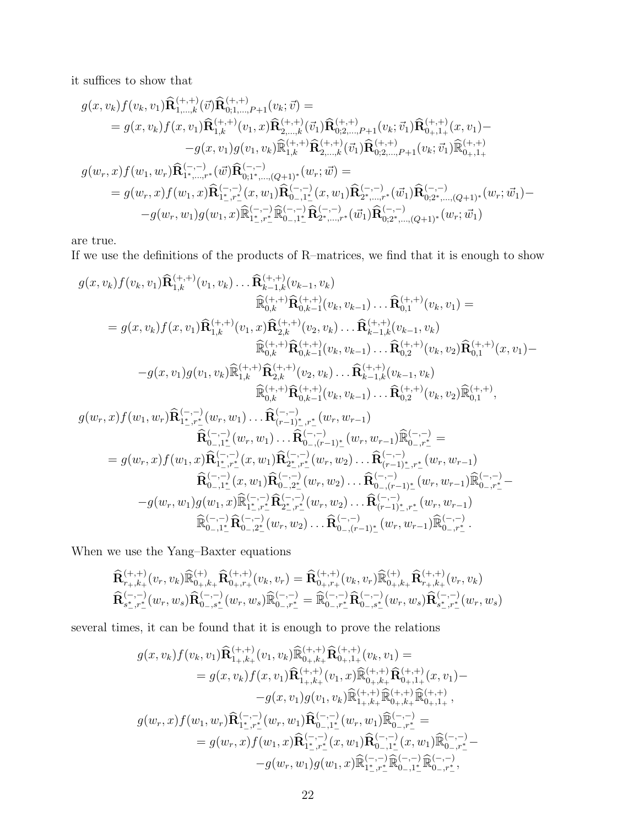it suffices to show that

$$
\begin{aligned} g(x,v_k)f(v_k,v_1)\widehat{\mathbf{R}}{}^{(+,+)}_{1,\ldots,k}(\vec{v})\widehat{\mathbf{R}}{}^{(+,+)}_{0;1,\ldots,P+1}(v_k;\vec{v}) &= \\ &= g(x,v_k)f(x,v_1)\widehat{\mathbf{R}}{}^{(+,+)}_{1,k}(v_1,x)\widehat{\mathbf{R}}{}^{(+,+)}_{2,\ldots,k}(\vec{v}_1)\widehat{\mathbf{R}}{}^{(+,+)}_{0;2,\ldots,P+1}(v_k;\vec{v}_1)\widehat{\mathbf{R}}{}^{(+,+)}_{0+,1+}(x,v_1) - \\ &-g(x,v_1)g(v_1,v_k)\widehat{\mathbb{R}}{}^{(+,+)}_{1,k}\widehat{\mathbf{R}}{}^{(+,+)}_{2,\ldots,k}(\vec{v}_1)\widehat{\mathbf{R}}{}^{(+,+)}_{0;2,\ldots,P+1}(v_k;\vec{v}_1)\widehat{\mathbb{R}}{}^{(+,+)}_{0+,1+} \\ g(w_r,x)f(w_1,w_r)\widehat{\mathbf{R}}{}^{(-,-)}_{1^*,\ldots,r^*}(\vec{w})\widehat{\mathbf{R}}{}^{(-,-)}_{0;1^*,\ldots,(Q+1)^*}(w_r;\vec{w}) &= \\ &= g(w_r,x)f(w_1,x)\widehat{\mathbf{R}}{}^{(-,-)}_{1^*,r^*_-}(x,w_1)\widehat{\mathbf{R}}{}^{(-,-)}_{0,-,1^*_-}(x,w_1)\widehat{\mathbf{R}}{}^{(-,-)}_{2^*,\ldots,r^*}(\vec{w}_1)\widehat{\mathbf{R}}{}^{(-,-)}_{0;2^*,\ldots,(Q+1)^*}(w_r;\vec{w}_1) - \\ &-g(w_r,w_1)g(w_1,x)\widehat{\mathbb{R}}{}^{(-,-)}_{1^*,r^*_-}\widehat{\mathbb{R}}{}^{(-,-)}_{0,-,1^*_-}\widehat{\mathbf{R}}{}^{(-,-)}_{2^*,\ldots,r^*}(\vec{w}_1)\widehat{\mathbf{R}}{}^{(-,-)}_{0;2^*,\ldots,(Q+1)^*}(w_r;\vec{w}_1) \end{aligned}
$$

are true.

If we use the definitions of the products of R–matrices, we find that it is enough to show

$$
g(x, v_k) f(v_k, v_1) \hat{\mathbf{R}}_{1,k}^{(+,+)}(v_1, v_k) \dots \hat{\mathbf{R}}_{k-1,k}^{(+,+)}(v_{k-1}, v_k)
$$
\n
$$
\hat{\mathbb{R}}_{0,k}^{(+,+)} \hat{\mathbf{R}}_{0,k-1}^{(+,+)}(v_k, v_{k-1}) \dots \hat{\mathbf{R}}_{0,1}^{(+,+)}(v_k, v_1) =
$$
\n
$$
= g(x, v_k) f(x, v_1) \hat{\mathbf{R}}_{1,k}^{(+,+)}(v_1, x) \hat{\mathbf{R}}_{2,k}^{(+,+)}(v_2, v_k) \dots \hat{\mathbf{R}}_{k-1,k}^{(+,+)}(v_{k-1}, v_k)
$$
\n
$$
\hat{\mathbb{R}}_{0,k}^{(+,+)} \hat{\mathbf{R}}_{0,k-1}^{(+,+)}(v_k, v_{k-1}) \dots \hat{\mathbf{R}}_{0,2}^{(+,+)}(v_k, v_2) \hat{\mathbf{R}}_{0,1}^{(+,+)}(x, v_1) -
$$
\n
$$
-g(x, v_1) g(v_1, v_k) \hat{\mathbb{R}}_{1,k}^{(+,+)} \hat{\mathbf{R}}_{2,k}^{(+,+)}(v_2, v_k) \dots \hat{\mathbf{R}}_{k-1,k}^{(+,+)}(v_{k-1}, v_k)
$$
\n
$$
\hat{\mathbb{R}}_{0,k}^{(+,+)} \hat{\mathbf{R}}_{0,k-1}^{(+,+)}(v_k, v_{k-1}) \dots \hat{\mathbf{R}}_{0,2}^{(-,+)}(v_k, v_2) \hat{\mathbb{R}}_{0,1}^{(+,+)},
$$
\n
$$
g(w_r, x) f(w_1, w_r) \hat{\mathbf{R}}_{1^*,r^*}^{(-,-)}(w_r, w_1) \dots \hat{\mathbf{R}}_{(r-1)^*,r^*}^{(-,-)}(w_r, w_{r-1})
$$
\n
$$
\hat{\mathbf{R}}_{0-1^*,r^*}^{(-,-)}(x, w_1) \dots \hat{\mathbf{R}}_{(r-1)^*,r^*}^{(-,-)}(w_r, w_2) \dots \hat{\mathbf{R}}_{(r-1)^*,r^*}^{(-,-)}(w_r, w_{r-1})
$$
\n
$$
g(w_r, x) f(w_1,
$$

When we use the Yang–Baxter equations

$$
\widehat{\mathbf{R}}_{r_+,k_+}^{(+,+)}(v_r, v_k)\widehat{\mathbb{R}}_{0_+,k_+}^{(+)}\widehat{\mathbf{R}}_{0_+,r_+}^{(+,+)}(v_k, v_r) = \widehat{\mathbf{R}}_{0_+,r_+}^{(+,+)}(v_k, v_r)\widehat{\mathbb{R}}_{0_+,k_+}^{(+)}\widehat{\mathbf{R}}_{r_+,k_+}^{(+,+)}(v_r, v_k)
$$
\n
$$
\widehat{\mathbf{R}}_{s_-^-,r_-^+}^{(-,-)}(w_r, w_s)\widehat{\mathbf{R}}_{0_-,s_-^+}^{(-,-)}(w_r, w_s)\widehat{\mathbb{R}}_{0_-,r_-^+}^{(-,-)}\widehat{\mathbf{R}}_{0_-,r_-^+}^{(-,-)}\widehat{\mathbf{R}}_{0_-,s_-^+}^{(-,-)}(w_r, w_s)\widehat{\mathbf{R}}_{s_-^-,r_-^+}^{(-,-)}(w_r, w_s)
$$

several times, it can be found that it is enough to prove the relations

$$
g(x, v_k) f(v_k, v_1) \widehat{\mathbf{R}}_{1+,k+}^{(+,+)}(v_1, v_k) \widehat{\mathbb{R}}_{0+,k+}^{(+,+)}\widehat{\mathbf{R}}_{0+,1+}^{(+,+)}(v_k, v_1) =
$$
  
\n
$$
= g(x, v_k) f(x, v_1) \widehat{\mathbf{R}}_{1+,k+}^{(+,+)}(v_1, x) \widehat{\mathbb{R}}_{0+,k+}^{(+,+)}\widehat{\mathbf{R}}_{0+,1+}^{(+,+)}(x, v_1) -
$$
  
\n
$$
-g(x, v_1) g(v_1, v_k) \widehat{\mathbb{R}}_{1+,k+}^{(+,+)}\widehat{\mathbb{R}}_{0+,k+}^{(+,+)}\widehat{\mathbb{R}}_{0+,1+}^{(+,+)},
$$
  
\n
$$
g(w_r, x) f(w_1, w_r) \widehat{\mathbf{R}}_{1^*,r^*}^{(-,-)}(w_r, w_1) \widehat{\mathbf{R}}_{0-,1^*}^{(-,-)}(w_r, w_1) \widehat{\mathbb{R}}_{0-,r^*}^{(-,-)} =
$$
  
\n
$$
= g(w_r, x) f(w_1, x) \widehat{\mathbf{R}}_{1^*,r^*}^{(-,-)}(x, w_1) \widehat{\mathbf{R}}_{0-,1^*}^{(-,-)}(x, w_1) \widehat{\mathbb{R}}_{0-,r^*}^{(-,-)} -
$$
  
\n
$$
-g(w_r, w_1) g(w_1, x) \widehat{\mathbb{R}}_{1^*,r^*}^{(-,-)} \widehat{\mathbb{R}}_{0-,1^*}^{(-,-)} \widehat{\mathbb{R}}_{0-,r^*}^{(-,-)},
$$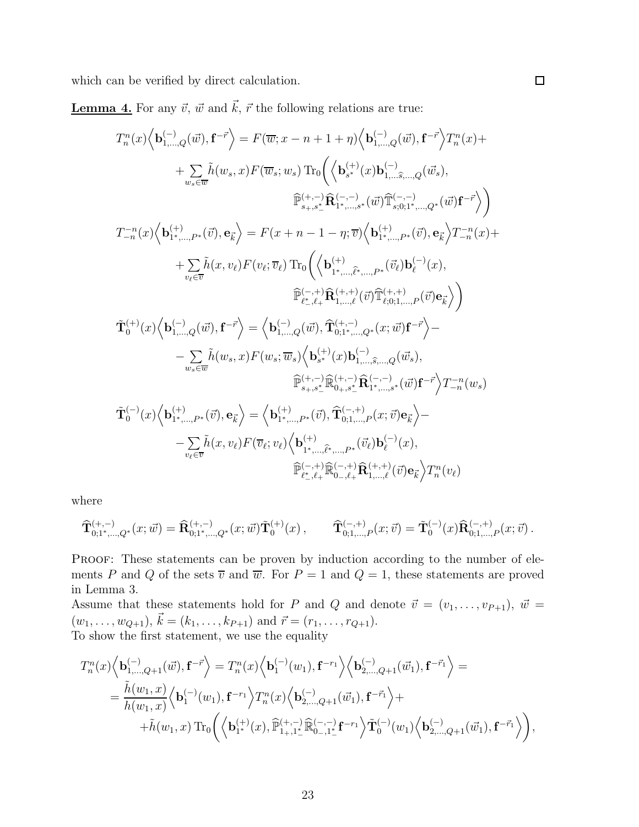which can be verified by direct calculation.

**Lemma 4.** For any  $\vec{v}$ ,  $\vec{w}$  and  $\vec{k}$ ,  $\vec{r}$  the following relations are true:

$$
\begin{split} T_{n}^{n}(x)&\Big\langle\mathbf{b}_{1,\ldots,Q}^{(-)}(\vec{w}),\mathbf{f}^{-\vec{r}}\Big\rangle=F(\overline{w};x-n+1+\eta)\Big\langle\mathbf{b}_{1,\ldots,Q}^{(-)}(\vec{w}),\mathbf{f}^{-\vec{r}}\Big\rangle T_{n}^{n}(x)+\\ &+\sum_{w_{s}\in\overline{w}}\tilde{h}(w_{s},x)F(\overline{w}_{s};w_{s})\operatorname{Tr}_{0}\bigg(\Big\langle\mathbf{b}_{s^{*}}^{(+)}(x)\mathbf{b}_{1,\ldots\widehat{s},\ldots,Q}^{(-,-)}(\vec{w}_{s}),\\ &\widehat{\mathbb{P}}_{s_{+},s_{-}^{+}}^{(+,-)}\widehat{\mathbf{R}}_{1^{*},\ldots,s^{*}}^{(-,-)}(\vec{w})\widehat{\mathbb{P}}_{s;0;1^{*},\ldots,Q_{s}}^{(-,-)}(\vec{w})\mathbf{f}^{-\vec{r}}\Big\rangle\bigg)\\ T_{-n}^{-n}(x)&\Big\langle\mathbf{b}_{1^{*},\ldots,P^{*}}^{(+)}(\vec{v}),\mathbf{e}_{\vec{k}}\Big\rangle=F(x+n-1-\eta;\overline{v})\Big\langle\mathbf{b}_{1^{*},\ldots,P^{*}}^{(+)}(\vec{v}),\mathbf{e}_{\vec{k}}\Big\rangle T_{-n}^{-n}(x)+\\ &+\sum_{v_{\ell}\in\overline{v}}\tilde{h}(x,v_{\ell})F(v_{\ell};\overline{v}_{\ell})\operatorname{Tr}_{0}\bigg(\Big\langle\mathbf{b}_{1^{*},\ldots,\widehat{\ell}^{*},\ldots,P^{*}}^{(+,-)}(\vec{v})\mathbf{b}_{\ell}^{(-)}(x),\\ &\widehat{\mathbb{P}}_{\ell_{-},\ell}^{(-,+)}\widehat{\mathbf{R}}_{1,\ldots,\ell}^{(+,+)}(\vec{v})\widehat{\mathbb{P}}_{\ell}^{(+,+)}(\vec{v})\mathbf{e}_{\vec{k}}\Big\rangle\bigg)\\ &\widehat{\mathbf{T}}_{0}^{(+)}(x)&\Big\langle\mathbf{b}_{1,\ldots,Q}^{(-)}(\vec{w}),\mathbf{f}^{-\vec{r}}\Big\rangle=\Big\langle\mathbf{b}_{1,\ldots,Q}^{(-,-)}(\vec{w}),\widehat{\mathbf{T}}_{0;1^{*},\ldots,Q_{s}^{+}}^{(+
$$

 $\Box$ 

where

$$
\widehat{\mathbf{T}}_{0;1^*,...,Q^*}^{(+,-)}(x;\vec{w})=\widehat{\mathbf{R}}_{0;1^*,...,Q^*}^{(+,-)}(x;\vec{w})\widetilde{\mathbf{T}}_0^{(+)}(x)\,,\qquad \widehat{\mathbf{T}}_{0;1,...,P}^{(-,+)}(x;\vec{v})=\widetilde{\mathbf{T}}_0^{(-)}(x)\widehat{\mathbf{R}}_{0;1,...,P}^{(-,+)}(x;\vec{v})\,.
$$

PROOF: These statements can be proven by induction according to the number of elements P and Q of the sets  $\overline{v}$  and  $\overline{w}$ . For  $P = 1$  and  $Q = 1$ , these statements are proved in Lemma 3.

Assume that these statements hold for P and Q and denote  $\vec{v} = (v_1, \ldots, v_{P+1}), \vec{w} =$  $(w_1, \ldots, w_{Q+1}), \vec{k} = (k_1, \ldots, k_{P+1})$  and  $\vec{r} = (r_1, \ldots, r_{Q+1}).$ To show the first statement, we use the equality

$$
T_n^n(x) \Big\langle \mathbf{b}_{1,\ldots,Q+1}^{(-)}(\vec{w}),\mathbf{f}^{-\vec{r}} \Big\rangle = T_n^n(x) \Big\langle \mathbf{b}_1^{(-)}(w_1),\mathbf{f}^{-r_1} \Big\rangle \Big\langle \mathbf{b}_{2,\ldots,Q+1}^{(-)}(\vec{w}_1),\mathbf{f}^{-\vec{r}_1} \Big\rangle =
$$
  
\n
$$
= \frac{\tilde{h}(w_1,x)}{h(w_1,x)} \Big\langle \mathbf{b}_1^{(-)}(w_1),\mathbf{f}^{-r_1} \Big\rangle T_n^n(x) \Big\langle \mathbf{b}_{2,\ldots,Q+1}^{(-)}(\vec{w}_1),\mathbf{f}^{-\vec{r}_1} \Big\rangle +
$$
  
\n
$$
+ \tilde{h}(w_1,x) \operatorname{Tr}_0 \Big( \Big\langle \mathbf{b}_{1^*}^{(+)}(x),\widehat{\mathbb{P}}_{1_+,1_-^*}^{(+,-)} \widehat{\mathbb{R}}_{0_-,1_-^*}^{(-,-)} \mathbf{f}^{-r_1} \Big\rangle \tilde{\mathbf{T}}_0^{(-)}(w_1) \Big\langle \mathbf{b}_{2,\ldots,Q+1}^{(-)}(\vec{w}_1),\mathbf{f}^{-\vec{r}_1} \Big\rangle \Big),
$$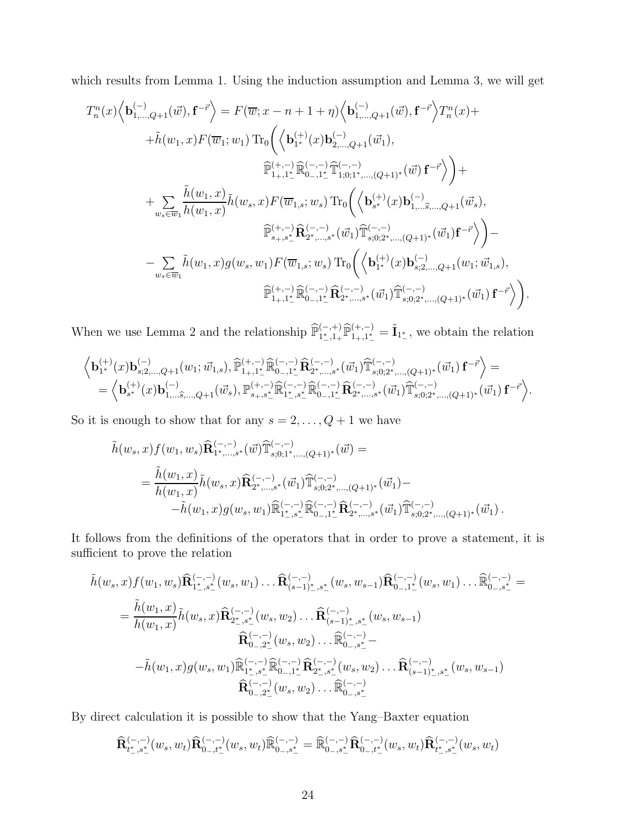which results from Lemma 1. Using the induction assumption and Lemma 3, we will get

$$
T_{n}^{n}(x)\Big\langle\mathbf{b}_{1,\ldots,Q+1}^{(-)}(\vec{w}),\mathbf{f}^{-\vec{r}}\Big\rangle=F(\overline{w};x-n+1+\eta)\Big\langle\mathbf{b}_{1,\ldots,Q+1}^{(-)}(\vec{w}),\mathbf{f}^{-\vec{r}}\Big\rangle T_{n}^{n}(x)+\\\hspace{2.5cm}+\tilde{h}(w_{1},x)F(\overline{w}_{1};w_{1})\operatorname{Tr}_{0}\Big(\Big\langle\mathbf{b}_{1^{*}}^{(+)}(x)\mathbf{b}_{2,\ldots,Q+1}^{(-)}(\vec{w}_{1}),\\ \widehat{\mathbb{P}}_{1,+1^{*}_{-}}^{(+,-)}\widehat{\mathbb{R}}_{0-,1^{*}_{-}}^{(-,-,-)}\widehat{\mathbb{T}}_{1;0;1^{*},\ldots,(Q+1)^{*}}^{(-,-)}(\vec{w})\,\mathbf{f}^{-\vec{r}}\Big\rangle\Big)+\\\hspace{2.5cm}+\sum_{w_{s}\in \overline{w}_{1}}\frac{\tilde{h}(w_{1},x)}{h(w_{1},x)}\tilde{h}(w_{s},x)F(\overline{w}_{1,s};w_{s})\operatorname{Tr}_{0}\Big(\Big\langle\mathbf{b}_{s^{*}}^{(+)}(x)\mathbf{b}_{1,\ldots\widehat{s},\ldots,Q+1}^{(-,-)}(\vec{w}_{s}),\\ \widehat{\mathbb{P}}_{s_{+},s^{*}_{-}}^{(+,-)}\widehat{\mathbb{R}}_{2^{*},\ldots,s^{*}}^{(-,-,-)}(\vec{w}_{1})\widehat{\mathbb{T}}_{s;0;2^{*},\ldots,(Q+1)^{*}}^{(-,-)}(\vec{w}_{1})\mathbf{f}^{-\vec{r}}\Big\rangle\Big)-\\\hspace{2.5cm}-\sum_{w_{s}\in \overline{w}_{1}}\tilde{h}(w_{1},x)g(w_{s},w_{1})F(\overline{w}_{1,s};w_{s})\operatorname{Tr}_{0}\Big(\Big\langle\mathbf{b}_{1^{*}}^{(+)}(x)\mathbf{b}_{s;2,\ldots,Q+1}^{(-,-)}(w_{1};\vec{w}_{1,s}),\\ \widehat{\mathbb{P}}_{1,+1^{*}_{-}}^{(+,-)}\widehat{\mathbb{R}}_{2^{-},\ldots,s^{*}}^{(-,-,-)}(\vec{w}_{1})\widehat{\mathbb{T}}_{s;0;2^{*},\ldots,(Q+1)^{*}}^{(-,-,-)}
$$

When we use Lemma 2 and the relationship  $\widehat{\mathbb{P}}_{1^*_{-},1^*}^{(-,+)}\widehat{\mathbb{P}}_{1^*_{+},1^*}^{(+,-)} = \tilde{\mathbf{I}}_{1^*_{-}}$ , we obtain the relation

$$
\begin{array}{l} \Big\langle {\bf b}_{1^*}^{(+)}(x){\bf b}_{s;2,\ldots,Q+1}^{(-)}(w_1;\vec w_{1,s}), \widehat{\mathbb P}^{(+,-)}_{1_+,1_-^*}\widehat{\mathbb R}^{(-,-)}_{0_-,1_-^*}\widehat{\bf R}^{(-,-)}_{2^*,\ldots,s^*}( \vec w_1) \widehat{\mathbb T}^{(-,-)}_{s;0;2^*,\ldots,(Q+1)^*}( \vec w_1) \, {\bf f}^{-\vec r} \Big\rangle = \\ = \Big\langle {\bf b}_{s^*}^{(+)}(x){\bf b}_{1,\ldots \widehat{s},\ldots,Q+1}^{(-)}( \vec w_s), \mathbb P^{(+,-)}_{s_+,s_-^*}\widehat{\mathbb R}^{(-,-)}_{1_-^*,s_-^*}\widehat{\mathbb R}^{(-,-)}_{0_-,1_-^*}\widehat{\bf R}^{(-,-)}_{2^*,\ldots,s^*}( \vec w_1) \widehat{\mathbb T}^{(-,-)}_{s;0;2^*,\ldots,(Q+1)^*}( \vec w_1) \, {\bf f}^{-\vec r} \Big\rangle. \end{array}
$$

So it is enough to show that for any  $s = 2, \ldots, Q + 1$  we have

$$
\tilde{h}(w_s, x) f(w_1, w_s) \hat{\mathbf{R}}_{1^*,...,s^*}^{(-,-)}(\vec{w}) \hat{\mathbb{T}}_{s;0;1^*,...,(Q+1)^*}^{(-,-)}(\vec{w}) =
$$
\n
$$
= \frac{\tilde{h}(w_1, x)}{h(w_1, x)} \tilde{h}(w_s, x) \hat{\mathbf{R}}_{2^*,...,s^*}^{(-,-)}(\vec{w_1}) \hat{\mathbb{T}}_{s;0;2^*,...,(Q+1)^*}^{(-,-)}(\vec{w_1}) -
$$
\n
$$
- \tilde{h}(w_1, x) g(w_s, w_1) \hat{\mathbb{R}}_{1^*,s^*}^{(-,-)} \hat{\mathbb{R}}_{0^*,1^*}^{(-,-)} \hat{\mathbf{R}}_{2^*,...,s^*}^{(-,-)}(\vec{w_1}) \hat{\mathbb{T}}_{s;0;2^*,...,(Q+1)^*}^{(-,-)}(\vec{w_1}).
$$

It follows from the definitions of the operators that in order to prove a statement, it is sufficient to prove the relation

$$
\tilde{h}(w_s, x) f(w_1, w_s) \hat{\mathbf{R}}_{1^*, s^*}^{(-,-)}(w_s, w_1) \dots \hat{\mathbf{R}}_{(s-1)^*, s^*}^{(-,-)}(w_s, w_{s-1}) \hat{\mathbf{R}}_{0-,1^*}^{(-,-)}(w_s, w_1) \dots \hat{\mathbf{R}}_{0-,s^*}^{(-,-)} =
$$
\n
$$
= \frac{\tilde{h}(w_1, x)}{h(w_1, x)} \tilde{h}(w_s, x) \hat{\mathbf{R}}_{2^*, s^*}^{(-,-)}(w_s, w_2) \dots \hat{\mathbf{R}}_{(s-1)^*, s^*}^{(-,-)}(w_s, w_{s-1})
$$
\n
$$
\hat{\mathbf{R}}_{0-,2^*}^{(-,-)}(w_s, w_2) \dots \hat{\mathbf{R}}_{0-,s^*}^{(-,-)} -
$$
\n
$$
- \tilde{h}(w_1, x) g(w_s, w_1) \hat{\mathbf{R}}_{1^*, s^*}^{(-,-)} \hat{\mathbf{R}}_{0-,1^*}^{(-,-)}(\hat{\mathbf{R}}_{2^*, s^*}^{(-,-)}(w_s, w_2) \dots \hat{\mathbf{R}}_{(s-1)^*, s^*}^{(-,-)}(w_s, w_{s-1})
$$
\n
$$
\hat{\mathbf{R}}_{0-,2^*}^{(-,-)}(w_s, w_2) \dots \hat{\mathbf{R}}_{0-,s^*}^{(-,-)}
$$

By direct calculation it is possible to show that the Yang–Baxter equation

$$
\widehat{\mathbf{R}}_{t^*_{-},s^*_{-}}^{(-,-)}(w_s,w_t)\widehat{\mathbf{R}}_{0-,t^*_{-}}^{(-,-)}(w_s,w_t)\widehat{\mathbb{R}}_{0-,s^*_{-}}^{(-,-)}=\widehat{\mathbb{R}}_{0-,s^*_{-}}^{(-,-)}\widehat{\mathbf{R}}_{0-,t^*_{-}}^{(-,-)}(w_s,w_t)\widehat{\mathbf{R}}_{t^*_{-},s^*_{-}}^{(-,-)}(w_s,w_t)
$$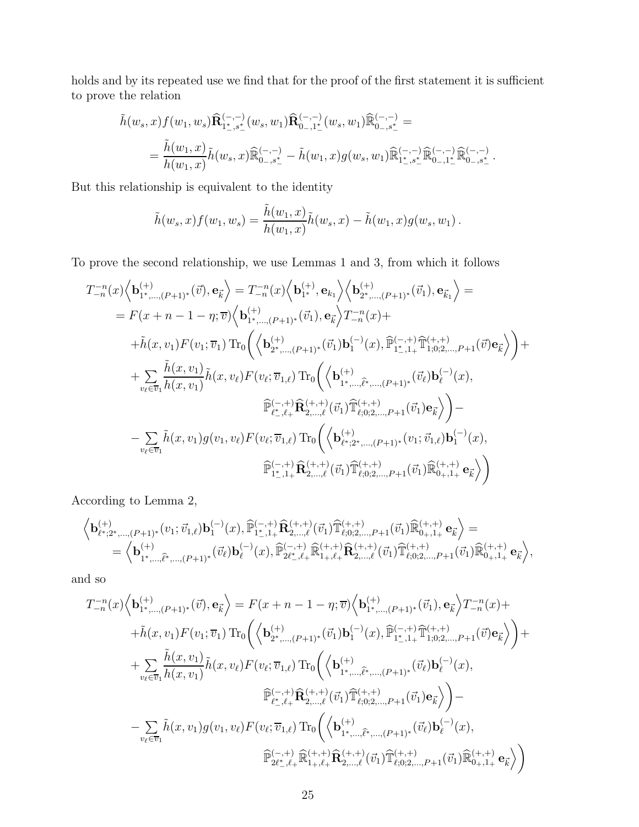holds and by its repeated use we find that for the proof of the first statement it is sufficient to prove the relation

$$
\tilde{h}(w_s, x) f(w_1, w_s) \hat{\mathbf{R}}_{1^*, s^*}^{(-,-)}(w_s, w_1) \hat{\mathbf{R}}_{0-, 1^*}^{(-,-)}(w_s, w_1) \hat{\mathbb{R}}_{0-, s^*}^{(-,-)} =
$$
\n
$$
= \frac{\tilde{h}(w_1, x)}{h(w_1, x)} \tilde{h}(w_s, x) \hat{\mathbb{R}}_{0-, s^*}^{(-,-)} - \tilde{h}(w_1, x) g(w_s, w_1) \hat{\mathbb{R}}_{1^*, s^*}^{(-,-)} \hat{\mathbb{R}}_{0-, 1^*}^{(-,-)} \hat{\mathbb{R}}_{0-, s^*}^{(-,-)}.
$$

But this relationship is equivalent to the identity

$$
\tilde{h}(w_s, x) f(w_1, w_s) = \frac{\tilde{h}(w_1, x)}{h(w_1, x)} \tilde{h}(w_s, x) - \tilde{h}(w_1, x) g(w_s, w_1).
$$

To prove the second relationship, we use Lemmas 1 and 3, from which it follows

$$
T_{-n}^{-n}(x)\Big\langle \mathbf{b}_{1^*,\ldots,(P+1)^*}^{(+)}(\vec{v}),\mathbf{e}_{\vec{k}}\Big\rangle = T_{-n}^{-n}(x)\Big\langle \mathbf{b}_{1^*}^{(+)},\mathbf{e}_{k_1}\Big\rangle \Big\langle \mathbf{b}_{2^*,\ldots,(P+1)^*}^{(+)}(\vec{v}_1),\mathbf{e}_{\vec{k}_1}\Big\rangle =
$$
\n
$$
= F(x+n-1-\eta;\overline{v})\Big\langle \mathbf{b}_{1^*,\ldots,(P+1)^*}^{(+)}(\vec{v}_1),\mathbf{e}_{\vec{k}}\Big\rangle T_{-n}^{-n}(x) +
$$
\n
$$
+ \tilde{h}(x,v_1)F(v_1;\overline{v}_1) \operatorname{Tr}_0\Big(\Big\langle \mathbf{b}_{2^*,\ldots,(P+1)^*}^{(+)}(\vec{v}_1)\mathbf{b}_1^{(-)}(x),\widehat{\mathbb{P}}_{1^*,1^+}^{(-,+)}\widehat{\mathbb{T}}_{1^0,0^2,\ldots,P+1}^{(+,+)}(\vec{v})\mathbf{e}_{\vec{k}}\Big\rangle\Big) +
$$
\n
$$
+ \sum_{v_\ell \in \overline{v}_1} \frac{\tilde{h}(x,v_1)}{h(x,v_1)} \tilde{h}(x,v_\ell) F(v_\ell;\overline{v}_{1,\ell}) \operatorname{Tr}_0\Big(\Big\langle \mathbf{b}_{1^*,\ldots,\widehat{\ell}^*,\ldots,(P+1)^*}^{(+,+)}(\vec{v}_\ell)\mathbf{b}_\ell^{(-)}(x),
$$
\n
$$
\widehat{\mathbb{P}}_{\ell^*,\ell^+}^{(-,+)}\widehat{\mathbf{R}}_{2,\ldots,\ell}^{(+,+)}(\vec{v}_1)\widehat{\mathbb{T}}_{\ell;0;2,\ldots,P+1}^{(+,+)}(\vec{v}_1)\mathbf{e}_{\vec{k}}\Big\rangle\Big) -
$$
\n
$$
- \sum_{v_\ell \in \overline{v}_1} \tilde{h}(x,v_1)g(v_1,v_\ell)F(v_\ell;\overline{v}_{1,\ell}) \operatorname{Tr}_0\Big(\Big\langle \mathbf{b}_{\ell^*,2^*,\ldots,(P+1)^*}^{(+,+)}(v_1;\vec{v}_{1,\ell})\mathbf{b}_1^{(-)}(x),
$$

According to Lemma 2,

$$
\begin{array}{l} \left\langle \mathbf{b}^{(+)}_{\ell^{\ast};2^{\ast},\ldots, (P+1)^{\ast}}(v_{1};\vec{v}_{1,\ell})\mathbf{b}^{(-)}_{1}(x),\widehat{\mathbb{P}}^{(-,+)}_{1^{\ast},1+}\widehat{\mathbf{R}}^{(+,+)}_{2,\ldots,\ell}(\vec{v}_{1})\widehat{\mathbb{T}}^{(+,+)}_{\ell;0;2,\ldots,P+1}(\vec{v}_{1})\widehat{\mathbb{R}}^{(+,+)}_{0_{+},1_{+}}\,\mathbf{e}_{\vec{k}} \right\rangle = \\ = \left\langle \mathbf{b}^{(+)}_{1^{\ast},\ldots,\widehat{\ell}^{\ast},\ldots,(P+1)^{\ast}}(\vec{v}_{\ell})\mathbf{b}^{(-)}_{\ell}(x),\widehat{\mathbb{P}}^{(-,+)}_{2\ell^{\ast},\ell_{+}}\widehat{\mathbb{R}}^{(+,+)}_{1+,\ell_{+}}\widehat{\mathbf{R}}^{(+,+)}_{2,\ldots,\ell}(\vec{v}_{1})\widehat{\mathbb{T}}^{(+,+)}_{\ell;0;2,\ldots,P+1}(\vec{v}_{1})\widehat{\mathbb{R}}^{(+,+)}_{0_{+},1_{+}}\,\mathbf{e}_{\vec{k}} \right\rangle, \end{array}
$$

and so

$$
T_{-n}^{-n}(x)\Big\langle \mathbf{b}_{1^*,...,(P+1)^*}^{(+)}(\vec{v}),\mathbf{e}_{\vec{k}} \Big\rangle = F(x+n-1-\eta;\overline{v})\Big\langle \mathbf{b}_{1^*,...,(P+1)^*}^{(+)}(\vec{v}_1),\mathbf{e}_{\vec{k}} \Big\rangle T_{-n}^{-n}(x) +
$$
  
+ $\tilde{h}(x,v_1)F(v_1;\overline{v}_1) \operatorname{Tr}_{0}\Big(\Big\langle \mathbf{b}_{2^*,...,(P+1)^*}^{(+)}(\vec{v}_1)\mathbf{b}_{1}^{(-)}(x),\widehat{\mathbb{P}}_{1^*,1+}^{(-,+)}\widehat{\mathbb{T}}_{1,0;2,...,P+1}^{(+,+)}(\vec{v})\mathbf{e}_{\vec{k}} \Big\rangle \Big) +$   
+ $\sum_{v_{\ell}\in\overline{v}_1} \frac{\tilde{h}(x,v_1)}{h(x,v_1)} \tilde{h}(x,v_{\ell})F(v_{\ell};\overline{v}_{1,\ell}) \operatorname{Tr}_{0}\Big(\Big\langle \mathbf{b}_{1^*,...,\widehat{\ell}^*,...,(P+1)^*}^{(+,+)}(\vec{v}_{\ell})\mathbf{b}_{\ell}^{(-)}(x),$   
 $\widehat{\mathbb{P}}_{\ell^*,\ell^+}^{(-,+)}\widehat{\mathbf{R}}_{2,...,\ell}^{(+,+)}(\vec{v}_1)\widehat{\mathbb{T}}_{\ell;0;2,...,P+1}^{(+,+)}(\vec{v}_1)\mathbf{e}_{\vec{k}} \Big\rangle \Big) -$   
- $\sum_{v_{\ell}\in\overline{v}_1} \tilde{h}(x,v_1)g(v_1,v_{\ell})F(v_{\ell};\overline{v}_{1,\ell}) \operatorname{Tr}_{0}\Big(\Big\langle \mathbf{b}_{1^*,...,\widehat{\ell}^*,...,(P+1)^*}^{(+,+)}(\vec{v}_{\ell})\mathbf{b}_{\ell}^{(-)}(x),$   
 $\widehat{\mathbb{P}}_{2\ell^*,\ell^+}^{(-,+)}\widehat{\mathbb{R}}_{1^*,\ell^+}^{(+,+)}\widehat{\mathbb{R}}_{2,...,\ell}^{(+,+)}(\vec{v}_1)\widehat{\mathbb{T}}_{\ell;0;2,...,P+1}^{(+,+)}(\vec{v}_1)\widehat{\mathbb{R}}_{0^$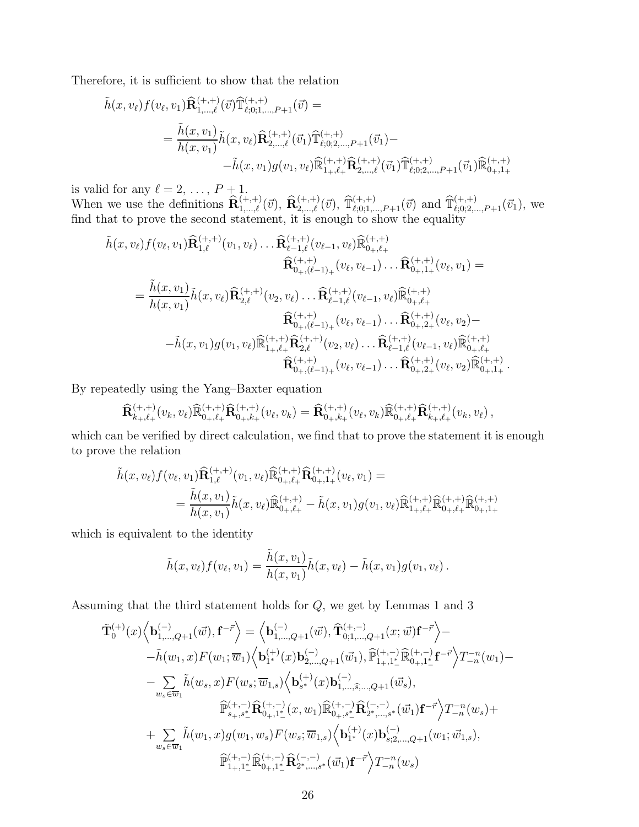Therefore, it is sufficient to show that the relation

$$
\tilde{h}(x, v_{\ell}) f(v_{\ell}, v_{1}) \hat{\mathbf{R}}_{1, \dots, \ell}^{(+, +)}(\vec{v}) \hat{\mathbb{T}}_{\ell;0;1, \dots, P+1}^{(+, +)}(\vec{v}) =
$$
\n
$$
= \frac{\tilde{h}(x, v_{1})}{h(x, v_{1})} \tilde{h}(x, v_{\ell}) \hat{\mathbf{R}}_{2, \dots, \ell}^{(+, +)}(\vec{v}_{1}) \hat{\mathbb{T}}_{\ell;0;2, \dots, P+1}^{(+, +)}(\vec{v}_{1}) -
$$
\n
$$
- \tilde{h}(x, v_{1}) g(v_{1}, v_{\ell}) \hat{\mathbb{R}}_{1+, \ell+1}^{(+, +)} \hat{\mathbf{R}}_{2, \dots, \ell}^{(+, +)}(\vec{v}_{1}) \hat{\mathbb{T}}_{\ell;0;2, \dots, P+1}^{(+, +)}(\vec{v}_{1}) \hat{\mathbb{R}}_{0+,1+1}^{(+, +)}
$$

is valid for any  $\ell = 2, \ldots, P + 1$ .

When we use the definitions  $\hat{\mathbf{R}}_{1,\dots,\ell}^{(+, +)}(\vec{v})$ ,  $\hat{\mathbf{R}}_{2,\dots,\ell}^{(+, +)}(\vec{v})$ ,  $\hat{\mathbb{T}}_{\ell;0;1,\dots,P+1}^{(+, +)}(\vec{v})$  and  $\hat{\mathbb{T}}_{\ell;0;2,\dots,P+1}^{(+, +)}(\vec{v}_1)$ , we find that to prove the second statement, it is enough to show the equality

$$
\tilde{h}(x, v_{\ell}) f(v_{\ell}, v_{1}) \hat{\mathbf{R}}_{1,\ell}^{(+,+)}(v_{1}, v_{\ell}) \dots \hat{\mathbf{R}}_{\ell-1,\ell}^{(+,+)}(v_{\ell-1}, v_{\ell}) \hat{\mathbb{R}}_{0_{+},\ell+}^{(+,+)} \n\hat{\mathbf{R}}_{0_{+},(\ell-1)_{+}}^{(+,+)}(v_{\ell}, v_{\ell-1}) \dots \hat{\mathbf{R}}_{0_{+},1_{+}}^{(+,+)}(v_{\ell}, v_{1}) = \n= \frac{\tilde{h}(x, v_{1})}{h(x, v_{1})} \tilde{h}(x, v_{\ell}) \hat{\mathbf{R}}_{2,\ell}^{(+,+)}(v_{2}, v_{\ell}) \dots \hat{\mathbf{R}}_{\ell-1,\ell}^{(+,+)}(v_{\ell-1}, v_{\ell}) \hat{\mathbb{R}}_{0_{+},\ell+}^{(+,+)} \n\hat{\mathbf{R}}_{0_{+},(\ell-1)_{+}}^{(+,+)}(v_{\ell}, v_{\ell-1}) \dots \hat{\mathbf{R}}_{0_{+},2_{+}}^{(+,+)}(v_{\ell}, v_{2}) - \n- \tilde{h}(x, v_{1}) g(v_{1}, v_{\ell}) \hat{\mathbb{R}}_{1_{+},\ell_{+}}^{(+,+)} \hat{\mathbf{R}}_{2,\ell}^{(+,+)}(v_{2}, v_{\ell}) \dots \hat{\mathbf{R}}_{\ell-1,\ell}^{(+,+)}(v_{\ell-1}, v_{\ell}) \hat{\mathbb{R}}_{0_{+},\ell+}^{(+,+)} \n\hat{\mathbf{R}}_{0_{+},(\ell-1)_{+}}^{(+,+)}(v_{\ell}, v_{\ell-1}) \dots \hat{\mathbf{R}}_{0_{+},2_{+}}^{(+,+)}(v_{\ell}, v_{2}) \hat{\mathbb{R}}_{0_{+},1_{+}}^{(+,+)}.
$$

By repeatedly using the Yang–Baxter equation

$$
\widehat{\mathbf{R}}_{k_+,\ell_+}^{(+,+)}(v_k,v_\ell)\widehat{\mathbb{R}}_{0_+,\ell_+}^{(+,+)}\widehat{\mathbf{R}}_{0_+,k_+}^{(+,+)}(v_\ell,v_k)=\widehat{\mathbf{R}}_{0_+,k_+}^{(+,+)}(v_\ell,v_k)\widehat{\mathbb{R}}_{0_+,\ell_+}^{(+,+)}\widehat{\mathbf{R}}_{k_+,\ell_+}^{(+,+)}(v_k,v_\ell),
$$

which can be verified by direct calculation, we find that to prove the statement it is enough to prove the relation

$$
\tilde{h}(x, v_{\ell}) f(v_{\ell}, v_{1}) \hat{\mathbf{R}}_{1,\ell}^{(+,+)}(v_{1}, v_{\ell}) \hat{\mathbb{R}}_{0_{+},\ell_{+}}^{(+,+)} \hat{\mathbf{R}}_{0_{+},1+}^{(+,+)}(v_{\ell}, v_{1}) =
$$
\n
$$
= \frac{\tilde{h}(x, v_{1})}{h(x, v_{1})} \tilde{h}(x, v_{\ell}) \hat{\mathbb{R}}_{0_{+},\ell_{+}}^{(+,+)} - \tilde{h}(x, v_{1}) g(v_{1}, v_{\ell}) \hat{\mathbb{R}}_{1_{+},\ell_{+}}^{(+,+)} \hat{\mathbb{R}}_{0_{+},\ell_{+}}^{(+,+)} \hat{\mathbb{R}}_{0_{+},1+}^{(+,+)}
$$

which is equivalent to the identity

$$
\tilde{h}(x,v_{\ell})f(v_{\ell},v_1)=\frac{\tilde{h}(x,v_1)}{h(x,v_1)}\tilde{h}(x,v_{\ell})-\tilde{h}(x,v_1)g(v_1,v_{\ell}).
$$

Assuming that the third statement holds for  $Q$ , we get by Lemmas 1 and 3

$$
\tilde{\mathbf{T}}_{0}^{(+)}(x)\Big\langle\mathbf{b}_{1,\ldots,Q+1}^{(-)}(\vec{w}),\mathbf{f}^{-\vec{r}}\Big\rangle=\Big\langle\mathbf{b}_{1,\ldots,Q+1}^{(-)}(\vec{w}),\widehat{\mathbf{T}}_{0;1,\ldots,Q+1}^{(+,-)}(x;\vec{w})\mathbf{f}^{-\vec{r}}\Big\rangle-\tilde{h}(w_{1},x)F(w_{1};\overline{w}_{1})\Big\langle\mathbf{b}_{1^{*}}^{(+)}(x)\mathbf{b}_{2,\ldots,Q+1}^{(-)}(\vec{w}_{1}),\widehat{\mathbb{P}}_{1,+1^{*}}^{(+,-)}\widehat{\mathbb{R}}_{0+,1^{*}_{-}}^{(+,-)}\mathbf{f}^{-\vec{r}}\Big\rangle T_{-n}^{-n}(w_{1})-\tilde{\sum}_{w_{s}\in\overline{w}_{1}}\tilde{h}(w_{s},x)F(w_{s};\overline{w}_{1,s})\Big\langle\mathbf{b}_{s^{*}}^{(+)}(x)\mathbf{b}_{1,\ldots,\widehat{s},\ldots,Q+1}^{(-)}(\vec{w}_{s}),\\\widehat{\mathbb{P}}_{s+,s^{*}_{-}}^{(+,-)}\widehat{\mathbf{R}}_{0+,1^{*}_{-}}^{(+,-)}(x,w_{1})\widehat{\mathbb{R}}_{0+,s^{*}_{-}}^{(+,-)}\widehat{\mathbb{R}}_{2^{*},\ldots,s^{*}}^{(-,-)}(\vec{w}_{1})\mathbf{f}^{-\vec{r}}\Big\rangle T_{-n}^{-n}(w_{s})+\tilde{\sum}_{w_{s}\in\overline{w}_{1}}\tilde{h}(w_{1},x)g(w_{1},w_{s})F(w_{s};\overline{w}_{1,s})\Big\langle\mathbf{b}_{1^{*}}^{(+)}(x)\mathbf{b}_{s;2,\ldots,Q+1}^{(-)}(w_{1};\vec{w}_{1,s}),\\\widehat{\mathbb{P}}_{1,+1^{*}_{-}}^{(+,-)}\widehat{\mathbb{R}}_{0+,1^{*}_{-}}^{(-,-)}\widehat{\mathbb{R}}_{2^{*},\ldots,s^{*}}^{(-,-)}(\vec{w}_{1})\mathbf{f}^{-\vec{r}}\Big\rangle T_{-n}^{-n}(w_{s})
$$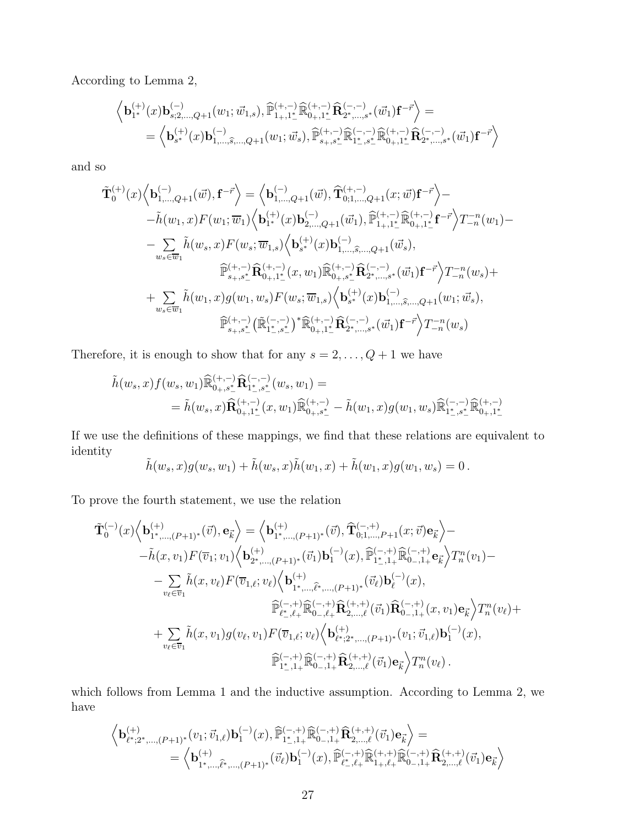According to Lemma 2,

$$
\begin{array}{l} \left\langle {\bf b}^{(+)}_{1*}(x){\bf b}^{(-)}_{s;2,...,Q+1}(w_{1};\vec{w}_{1,s}), \widehat{\mathbb{P}}^{(+,-)}_{1+,1^{*}_{-}}\widehat{\mathbb{R}}^{(+,-)}_{0+,1^{*}_{-}}\widehat{\mathbf{R}}^{(-,-)}_{2^{*},...,s^{*}}(\vec{w}_{1}){\bf f}^{-\vec{r}} \right\rangle = \\ = \left\langle {\bf b}^{(+)}_{s^{*}}(x){\bf b}^{(-)}_{1,...,\widehat{s},...,Q+1}(w_{1};\vec{w}_{s}), \widehat{\mathbb{P}}^{(+,-)}_{s_{+},s^{*}_{-}}\widehat{\mathbb{R}}^{(-,-)}_{1^{*}_{-},s^{*}_{-}}\widehat{\mathbb{R}}^{(+,-)}_{0+,1^{*}_{-}}\widehat{\mathbf{R}}^{(-,-)}_{2^{*},...,s^{*}}(\vec{w}_{1}){\bf f}^{-\vec{r}} \right\rangle \end{array}
$$

and so

$$
\tilde{\mathbf{T}}_{0}^{(+)}(x)\Big\langle\mathbf{b}_{1,\ldots,Q+1}^{(-)}(\vec{w}),\mathbf{f}^{-\vec{r}}\Big\rangle=\Big\langle\mathbf{b}_{1,\ldots,Q+1}^{(-)}(\vec{w}),\widehat{\mathbf{T}}_{0;1,\ldots,Q+1}^{(+,-)}(x;\vec{w})\mathbf{f}^{-\vec{r}}\Big\rangle-\tilde{h}(w_{1},x)F(w_{1};\overline{w}_{1})\Big\langle\mathbf{b}_{1^{*}}^{(+)}(x)\mathbf{b}_{2,\ldots,Q+1}^{(-)}(\vec{w}_{1}),\widehat{\mathbb{P}}_{1,+1^{*}}^{(+,-)}\widehat{\mathbb{R}}_{0+,1^{*}_{-}}^{(+,-)}\mathbf{f}^{-\vec{r}}\Big\rangle T_{-n}^{-n}(w_{1})-\tilde{\sum}_{w_{s}\in\overline{w}_{1}}\tilde{h}(w_{s},x)F(w_{s};\overline{w}_{1,s})\Big\langle\mathbf{b}_{s^{*}}^{(+)}(x)\mathbf{b}_{1,\ldots,\widehat{s},\ldots,Q+1}^{(-)}(\vec{w}_{s}),\\\widehat{\mathbb{P}}_{s+,s^{*}_{-}}^{(+,-)}\widehat{\mathbf{R}}_{0+,1^{*}_{-}}^{(+,-)}(x,w_{1})\widehat{\mathbb{R}}_{0+,s^{*}_{-}}^{(+,-)}\widehat{\mathbf{R}}_{2^{*},\ldots,s^{*}}^{(-,-)}(\vec{w}_{1})\mathbf{f}^{-\vec{r}}\Big\rangle T_{-n}^{-n}(w_{s})+\tilde{\sum}_{w_{s}\in\overline{w}_{1}}\tilde{h}(w_{1},x)g(w_{1},w_{s})F(w_{s};\overline{w}_{1,s})\Big\langle\mathbf{b}_{s^{*}}^{(+)}(x)\mathbf{b}_{1,\ldots,\widehat{s},\ldots,Q+1}^{(-)}(w_{1};\vec{w}_{s}),\\\widehat{\mathbb{P}}_{s+,s^{*}_{-}}^{(+,-)}(\widetilde{\mathbb{R}}_{1^{*}_{-},s^{*}_{-}}^{(+,-)})^{*}\widehat{\mathbb{R}}_{0+,1^{*}_{-}}^{(+,-)}\widehat{\mathbf{R}}_{2^{*},\ldots,s^{*}}^{(-,-)}(\vec{w}_{1})\mathbf{f}^{-\vec{r}}\Big\rangle T_{-n}^{-n}(w_{s})
$$

Therefore, it is enough to show that for any  $s = 2, \ldots, Q + 1$  we have

$$
\begin{aligned} \tilde{h}(w_s, x) f(w_s, w_1) \widehat{\mathbb{R}}^{(+,-)}_{0_+,s_-^*} \widehat{\mathbf{R}}^{(-,-)}_{1_-^*,s_-^*}(w_s, w_1) & = \\ & = \tilde{h}(w_s, x) \widehat{\mathbf{R}}^{(+,-)}_{0_+,1_-^*}(x, w_1) \widehat{\mathbb{R}}^{(+,-)}_{0_+,s_-^*} - \tilde{h}(w_1, x) g(w_1, w_s) \widehat{\mathbb{R}}^{(-,-)}_{1_-^*,s_-^*} \widehat{\mathbb{R}}^{(+,-)}_{0_+,1_-^*} \end{aligned}
$$

If we use the definitions of these mappings, we find that these relations are equivalent to identity

$$
\tilde{h}(w_s, x)g(w_s, w_1) + \tilde{h}(w_s, x)\tilde{h}(w_1, x) + \tilde{h}(w_1, x)g(w_1, w_s) = 0.
$$

To prove the fourth statement, we use the relation

$$
\tilde{\mathbf{T}}_{0}^{(-)}(x)\Big\langle\mathbf{b}_{1^{*},\ldots,(P+1)^{*}}^{(+)}(\vec{v}),\mathbf{e}_{\vec{k}}\Big\rangle = \Big\langle\mathbf{b}_{1^{*},\ldots,(P+1)^{*}}^{(+)}(\vec{v}),\widehat{\mathbf{T}}_{0;1,\ldots,P+1}^{(-,+)}(x;\vec{v})\mathbf{e}_{\vec{k}}\Big\rangle - \n- \tilde{h}(x,v_{1})F(\overline{v}_{1};v_{1})\Big\langle\mathbf{b}_{2^{*},\ldots,(P+1)^{*}}^{(+)}(\vec{v}_{1})\mathbf{b}_{1}^{(-)}(x),\widehat{\mathbb{P}}_{1^{*},1+}^{(-,+)}\widehat{\mathbb{R}}_{0-,1+}^{(-,+)}\mathbf{e}_{\vec{k}}\Big\rangle T_{n}^{n}(v_{1}) - \n- \sum_{v_{\ell}\in\overline{v}_{1}} \tilde{h}(x,v_{\ell})F(\overline{v}_{1,\ell};v_{\ell})\Big\langle\mathbf{b}_{1^{*},\ldots,\widehat{\ell}^{*},\ldots,(P+1)^{*}}^{(+)}(\vec{v}_{\ell})\mathbf{b}_{\ell}^{(-)}(x),\n\widehat{\mathbb{P}}_{\ell^{*},\ell^{+}}^{(-,+)}\widehat{\mathbb{R}}_{0-,\ell^{+}}^{(+,+)}\widehat{\mathbb{R}}_{2,\ldots,\ell}^{(+,+)}(\vec{v}_{1})\widehat{\mathbb{R}}_{0-1+}^{(-,+)}(x,v_{1})\mathbf{e}_{\vec{k}}\Big\rangle T_{n}^{n}(v_{\ell}) + \n+ \sum_{v_{\ell}\in\overline{v}_{1}} \tilde{h}(x,v_{1})g(v_{\ell},v_{1})F(\overline{v}_{1,\ell};v_{\ell})\Big\langle\mathbf{b}_{\ell^{*};2^{*},\ldots,(P+1)^{*}}^{(+)}(v_{1};\vec{v}_{1,\ell})\mathbf{b}_{1}^{(-)}(x),\n\widehat{\mathbb{P}}_{1^{*},1+}^{(-,+)}\widehat{\mathbb{R}}_{0-,1+}^{(+,+)}\widehat{\mathbb{R}}_{2,\ldots,\ell}^{(+,+)}(\vec{v}_{1})\mathbf{e}_{\vec{k}}\Big\rangle T_{n}^{n}(v_{\ell}).
$$

which follows from Lemma 1 and the inductive assumption. According to Lemma 2, we have

$$
\begin{array}{llll} \left\langle \mathbf{b}^{(+)}_{\ell^{\ast};2^{\ast},\ldots, (P+1)^{\ast}}(v_{1};\vec{v}_{1,\ell})\mathbf{b}^{(-)}_{1}(x),\widehat{\mathbb{P}}^{(-,+)}_{1^{\ast},1+}\widehat{\mathbb{R}}^{(-,+)}_{0-,1+}\widehat{\mathbf{R}}^{(+,+)}_{2,\ldots,\ell}(\vec{v}_{1})\mathbf{e}_{\vec{k}} \right\rangle = \\ = \left\langle \mathbf{b}^{(+)}_{1^{\ast},\ldots,\widehat{\ell}^{\ast},\ldots, (P+1)^{\ast}}(\vec{v}_{\ell})\mathbf{b}^{(-)}_{1}(x),\widehat{\mathbb{P}}^{(-,+)}_{\ell^{\ast},\ell+}\widehat{\mathbb{R}}^{(+,+)}_{1+,\ell+}\widehat{\mathbb{R}}^{(-,+)}_{0-,1+}\widehat{\mathbf{R}}^{(+,+)}_{2,\ldots,\ell}(\vec{v}_{1})\mathbf{e}_{\vec{k}} \right\rangle \end{array}
$$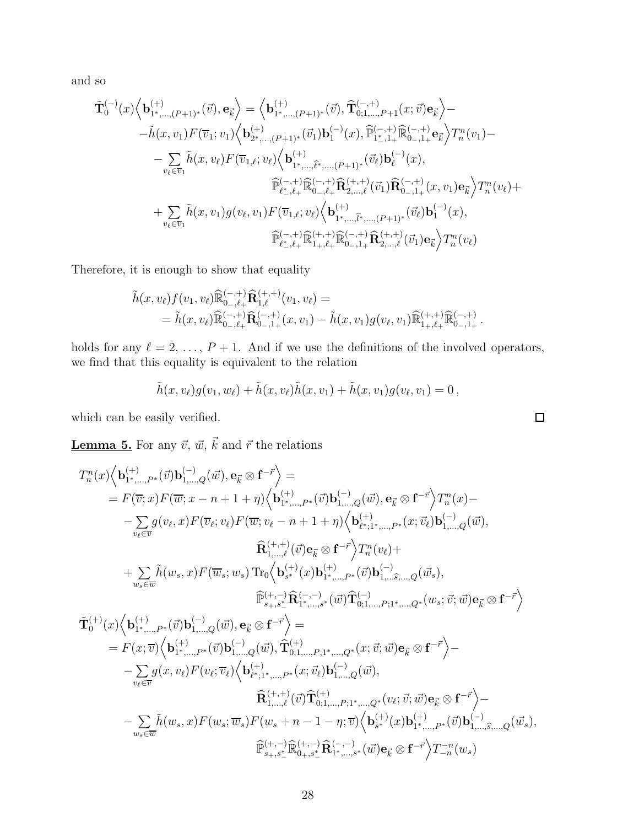and so

$$
\tilde{\mathbf{T}}_{0}^{(-)}(x)\Big\langle \mathbf{b}_{1^{*},\ldots,(P+1)^{*}}^{(+)}(\vec{v}),\mathbf{e}_{\vec{k}}\Big\rangle = \Big\langle \mathbf{b}_{1^{*},\ldots,(P+1)^{*}}^{(+)}(\vec{v}),\widehat{\mathbf{T}}_{0;1,\ldots,P+1}^{(-,+)}(x;\vec{v})\mathbf{e}_{\vec{k}}\Big\rangle - \n- \tilde{h}(x,v_{1})F(\overline{v}_{1};v_{1})\Big\langle \mathbf{b}_{2^{*},\ldots,(P+1)^{*}}^{(+)}(\vec{v}_{1})\mathbf{b}_{1}^{(-)}(x),\widehat{\mathbb{P}}_{1^{*},1+}^{(-,+)}\widehat{\mathbb{R}}_{0-,1+}^{(-,+)}\mathbf{e}_{\vec{k}}\Big\rangle T_{n}^{n}(v_{1}) - \n- \sum_{v_{\ell}\in\overline{v}_{1}} \tilde{h}(x,v_{\ell})F(\overline{v}_{1,\ell};v_{\ell})\Big\langle \mathbf{b}_{1^{*},\ldots,\widehat{\ell}^{*},\ldots,(P+1)^{*}}^{(+)}(\vec{v}_{\ell})\mathbf{b}_{\ell}^{(-)}(x),\n\widehat{\mathbb{P}}_{\ell^{*},\ell^{+}}^{(-,+)}\widehat{\mathbb{R}}_{0-,\ell^{+}}^{(+,+)}\widehat{\mathbb{R}}_{2,\ldots,\ell}^{(+,+)}(\vec{v}_{1})\widehat{\mathbb{R}}_{0-1+}^{(-,+)}(x,v_{1})\mathbf{e}_{\vec{k}}\Big\rangle T_{n}^{n}(v_{\ell}) + \n+ \sum_{v_{\ell}\in\overline{v}_{1}} \tilde{h}(x,v_{1})g(v_{\ell},v_{1})F(\overline{v}_{1,\ell};v_{\ell})\Big\langle \mathbf{b}_{1^{*},\ldots,\widehat{\ell}^{*},\ldots,(P+1)^{*}}^{(+)}(\vec{v}_{\ell})\mathbf{b}_{1}^{(-)}(x),\n\widehat{\mathbb{P}}_{\ell^{*},\ell^{+}}^{(-,+)}\widehat{\mathbb{R}}_{1+,\ell^{+}}^{(+,+)}\widehat{\mathbb{R}}_{0-1,1}^{(+,+)}\widehat{\mathbb{R}}_{2,\ldots,\ell}^{(+,+)}(\vec{v}_{1})\mathbf{e}_{\vec{k}}\Big\rangle T_{n}^{
$$

Therefore, it is enough to show that equality

$$
\tilde{h}(x,v_{\ell})f(v_1,v_{\ell})\widehat{\mathbb{R}}_{0_{-},\ell_{+}}^{(-,+)}\widehat{\mathbf{R}}_{1,\ell}^{(+,+)}(v_1,v_{\ell}) = \n= \tilde{h}(x,v_{\ell})\widehat{\mathbb{R}}_{0_{-},\ell_{+}}^{(-,+)}\widehat{\mathbf{R}}_{0_{-},1_{+}}^{(-,+)}(x,v_1) - \tilde{h}(x,v_1)g(v_{\ell},v_1)\widehat{\mathbb{R}}_{1_{+},\ell_{+}}^{(+,+)}\widehat{\mathbb{R}}_{0_{-},1_{+}}^{(-,+)}.
$$

holds for any  $\ell = 2, \ldots, P + 1$ . And if we use the definitions of the involved operators, we find that this equality is equivalent to the relation

$$
\tilde{h}(x,v_{\ell})g(v_1,w_{\ell})+\tilde{h}(x,v_{\ell})\tilde{h}(x,v_1)+\tilde{h}(x,v_1)g(v_{\ell},v_1)=0,
$$

which can be easily verified.

**Lemma 5.** For any  $\vec{v}$ ,  $\vec{w}$ ,  $\vec{k}$  and  $\vec{r}$  the relations

$$
\begin{split} T_{n}^{n}(x)&\Big\langle\mathbf{b}_{1^{*},\ldots,P^{*}}^{(+)}(\vec{v})\mathbf{b}_{1,\ldots,Q}^{(-)}(\vec{w}),\mathbf{e}_{\vec{k}}\otimes\mathbf{f}^{-\vec{r}}\Big\rangle=\\ &=F(\overline{v};x)F(\overline{w};x-n+1+\eta)\Big\langle\mathbf{b}_{1^{*},\ldots,P^{*}}^{(+)}(\vec{v})\mathbf{b}_{1,\ldots,Q}^{(-)}(\vec{w}),\mathbf{e}_{\vec{k}}\otimes\mathbf{f}^{-\vec{r}}\Big\rangle T_{n}^{n}(x)-\\ &-\sum_{v_{\ell}\in\overline{v}}g(v_{\ell},x)F(\overline{v}_{\ell};v_{\ell})F(\overline{w};v_{\ell}-n+1+\eta)\Big\langle\mathbf{b}_{\ell^{*},1^{*},\ldots,P^{*}}^{(+)}(x;\overrightarrow{v}_{\ell})\mathbf{b}_{1,\ldots,Q}^{(-)}(\vec{w}),\\ &\widehat{\mathbf{R}}_{1,\ldots,\ell}^{(+,+)}(\vec{v})\mathbf{e}_{\vec{k}}\otimes\mathbf{f}^{-\vec{r}}\Big\rangle T_{n}^{n}(v_{\ell})+\\ &+\sum_{w_{s}\in\overline{w}}\tilde{h}(w_{s},x)F(\overline{w}_{s};w_{s})\operatorname{Tr}_{0}\Big\langle\mathbf{b}_{s^{+}}^{(+)}(x)\mathbf{b}_{1^{*},\ldots,P^{*}}^{(+)}(\vec{v})\mathbf{b}_{1,\ldots,\widehat{s},\ldots,Q}^{(-)}(\vec{w}_{s}),\\ &\widehat{\mathbb{P}}_{s^{+},s^{+}}^{(+,-,-)}\widehat{\mathbf{R}}_{1^{*},\ldots,s^{*}}^{(+)}(\vec{w})\widehat{\mathbf{T}}_{0;1,\ldots,P;1^{*},\ldots,Q^{*}}^{(-)}(w_{s};\vec{v};\vec{w})\mathbf{e}_{\vec{k}}\otimes\mathbf{f}^{-\vec{r}}\Big\rangle\\ &=F(x;\overline{v})\Big\langle\mathbf{b}_{1^{*},\ldots,P^{*}}^{(+)}(\vec{v})\mathbf{b}_{1,\ldots,Q}^{(-)}(\vec{w}),\widehat{\mathbf{T}}_{0;1,\ldots,P;1^{*},\ldots,Q^{*}}^{(+)}(x;\overrightarrow{v};\vec{w})\mathbf{e}_{\vec{k}}\otimes\math
$$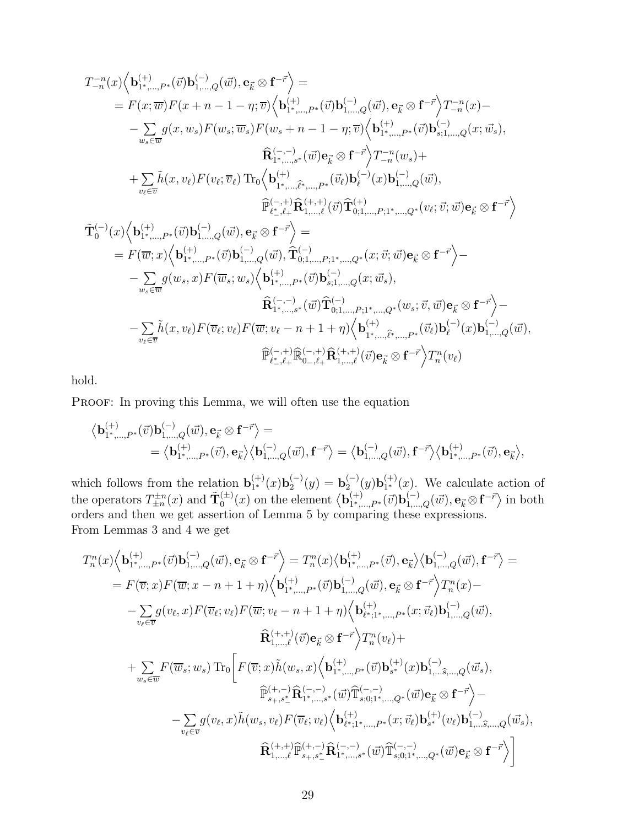$$
\begin{split} T_{-n}^{-n}(x)&\Bigl\langle\mathbf{b}_{1^*,\ldots,P^*}^{(+)}(\vec{v})\mathbf{b}_{1,\ldots,Q}^{(-)}(\vec{w}),\mathbf{e}_{\vec{k}}\otimes\mathbf{f}^{-\vec{r}}\Bigr\rangle=\\ &=F(x;\overline{w})F(x+n-1-\eta;\overline{v})\Bigl\langle\mathbf{b}_{1^*,\ldots,P^*}^{(+)}(\vec{v})\mathbf{b}_{1,\ldots,Q}^{(-)}(\vec{w}),\mathbf{e}_{\vec{k}}\otimes\mathbf{f}^{-\vec{r}}\Bigr\rangle T_{-n}^{-n}(x)-\\ &-\sum_{w_{s}\in\overline{w}}g(x,w_{s})F(w_{s};\overline{w}_{s})F(w_{s}+n-1-\eta;\overline{v})\Bigl\langle\mathbf{b}_{1^*,\ldots,P^*}^{(+)}(\vec{v})\mathbf{b}_{s;1,\ldots,Q}^{(-)}(x;\vec{w}_{s}),\\ &\widehat{\mathbf{R}}_{1^*,\ldots,s}^{(-,-)}(\vec{w})\mathbf{e}_{\vec{k}}\otimes\mathbf{f}^{-\vec{r}}\Bigr\rangle T_{-n}^{-n}(w_{s})+\\ &+\sum_{v_{\ell}\in\overline{v}}\tilde{h}(x,v_{\ell})F(v_{\ell};\overline{v}_{\ell})\operatorname{Tr}_{0}\Bigl\langle\mathbf{b}_{1^*,\ldots,\widehat{\ell}^*,\ldots,P^*}^{(+)}(\vec{v}_{\ell})\mathbf{b}_{\ell}^{(-)}(x)\mathbf{b}_{1,\ldots,Q}^{(-)}(x)\Bigr\rangle,\\ &\widehat{\mathbb{P}}_{\ell^*,\ell+}^{(-,+)}\widehat{\mathbf{R}}_{1,\ldots,\ell}^{(+,+)}(\vec{v})\widehat{\mathbf{T}}_{0;1,\ldots,P;1^*,\ldots,Q^*}^{(+)}(v_{\ell};\vec{v};\vec{w})\mathbf{e}_{\vec{k}}\otimes\mathbf{f}^{-\vec{r}}\Bigr\rangle\\ &=F(\overline{w};x)\Bigl\langle\mathbf{b}_{1^*,\ldots,P^*}^{(+)}(\vec{v})\mathbf{b}_{1,\ldots,Q}^{(-)}(\vec{w}),\widehat{\mathbf{T}}_{0;1,\ldots,P;1^*,\ldots,Q^*}^{(-)}(x;\vec{v};\vec{w})\mathbf{e}_{\vec{k}}\otimes\mathbf
$$

hold.

PROOF: In proving this Lemma, we will often use the equation

$$
\begin{aligned} \big\langle \mathbf{b}^{(+)}_{1^*,\dots,P^*}(\vec{v}) \mathbf{b}^{(-)}_{1,\dots,Q}(\vec{w}),\mathbf{e}_{\vec{k}} \otimes \mathbf{f}^{-\vec{r}} \big\rangle = \\ = \big\langle \mathbf{b}^{(+)}_{1^*,\dots,P^*}(\vec{v}),\mathbf{e}_{\vec{k}} \big\rangle \big\langle \mathbf{b}^{(-)}_{1,\dots,Q}(\vec{w}),\mathbf{f}^{-\vec{r}} \big\rangle = \big\langle \mathbf{b}^{(-)}_{1,\dots,Q}(\vec{w}),\mathbf{f}^{-\vec{r}} \big\rangle \big\langle \mathbf{b}^{(+)}_{1^*,\dots,P^*}(\vec{v}),\mathbf{e}_{\vec{k}} \big\rangle, \end{aligned}
$$

which follows from the relation  $\mathbf{b}_{1^*}^{(+)}$  $_{1}^{(+)}(x)$ **b**<sub>2</sub><sup> $(-)$ </sup>  ${\bf b}_2^{(-)}(y) = {\bf b}_2^{(-)}$  $_{2}^{(-)}(y) {\bf b}_{1^*}^{(+)}$  $\binom{(+)}{1^*}(x)$ . We calculate action of the operators  $T_{\pm n}^{\pm n}(x)$  and  $\tilde{\mathbf{T}}_0^{(\pm)}$  $\mathfrak{b}_0^{(\pm)}(x)$  on the element  $\big\langle \mathbf{b}_{1^*, \dots}^{(+)} \big\rangle$  $\overrightarrow{a}^{(+)}_{1^*,...,P^*}(\vec{v})\mathbf{b}^{(-)}_{1,...,Q}(\vec{w}), \mathbf{e}_{\vec{k}} \otimes \mathbf{f}^{-\vec{r}}\big>$  in both orders and then we get assertion of Lemma 5 by comparing these expressions. From Lemmas 3 and 4 we get

$$
\begin{split} T_{n}^{n}(x)\Big\langle\mathbf{b}_{1^{*},\ldots,P^{*}}^{(+)}(\vec{v})\mathbf{b}_{1,\ldots,Q}^{(-)}(\vec{w}),\mathbf{e}_{\vec{k}}\otimes\mathbf{f}^{-\vec{r}}\Big\rangle &=T_{n}^{n}(x)\big\langle\mathbf{b}_{1^{*},\ldots,P^{*}}^{(+)}(\vec{v}),\mathbf{e}_{\vec{k}}\big\rangle\big\langle\mathbf{b}_{1,\ldots,Q}^{(-)}(\vec{w}),\mathbf{f}^{-\vec{r}}\big\rangle = \\ &=F(\overline{v};x)F(\overline{w};x-n+1+\eta)\Big\langle\mathbf{b}_{1^{*},\ldots,P^{*}}^{(+)}(\vec{v})\mathbf{b}_{1,\ldots,Q}^{(-)}(\vec{w}),\mathbf{e}_{\vec{k}}\otimes\mathbf{f}^{-\vec{r}}\Big\rangle T_{n}^{n}(x)- \\ &-\sum_{v_{\ell}\in\overline{v}}g(v_{\ell},x)F(\overline{v}_{\ell};v_{\ell})F(\overline{w};v_{\ell}-n+1+\eta)\Big\langle\mathbf{b}_{\ell^{*};1^{*},\ldots,P^{*}}^{(+)}(x;\overrightarrow{v}_{\ell})\mathbf{b}_{1,\ldots,Q}^{(-)}(\vec{w}),\\ &\widehat{\mathbf{R}}_{1,\ldots,\ell}^{(+,+)}(\vec{v})\mathbf{e}_{\vec{k}}\otimes\mathbf{f}^{-\vec{r}}\Big\rangle T_{n}^{n}(v_{\ell})+ \\ &+\sum_{w_{s}\in\overline{w}}F(\overline{w}_{s};w_{s})\operatorname{Tr}_{0}\bigg[F(\overline{v};x)\tilde{h}(w_{s},x)\Big\langle\mathbf{b}_{1^{*},\ldots,P^{*}}^{(+)}(\vec{v})\mathbf{b}_{s^{*}}^{(+)}(x)\mathbf{b}_{1,\ldots,\widehat{s},\ldots,Q}^{(-)}(\vec{w}_{s}),\\ &\widehat{\mathbb{P}}_{s_{+},s_{-}^{*}}^{(+,-)}\widehat{\mathbf{R}}_{1^{*},\ldots,s^{*}}^{(-,-,-)}(\vec{w})\widehat{\mathbb{T}}_{s;0;1^{*},\ldots,Q^{*}}^{(-,-)}(\vec{w})\mathbf{e}_{\vec{k}}\otimes\mathbf{f}^{-\vec{r}}\Big\rangle- \\ &-\sum_{v_{\ell}\in\overline{v}}g(v_{\ell},x)\
$$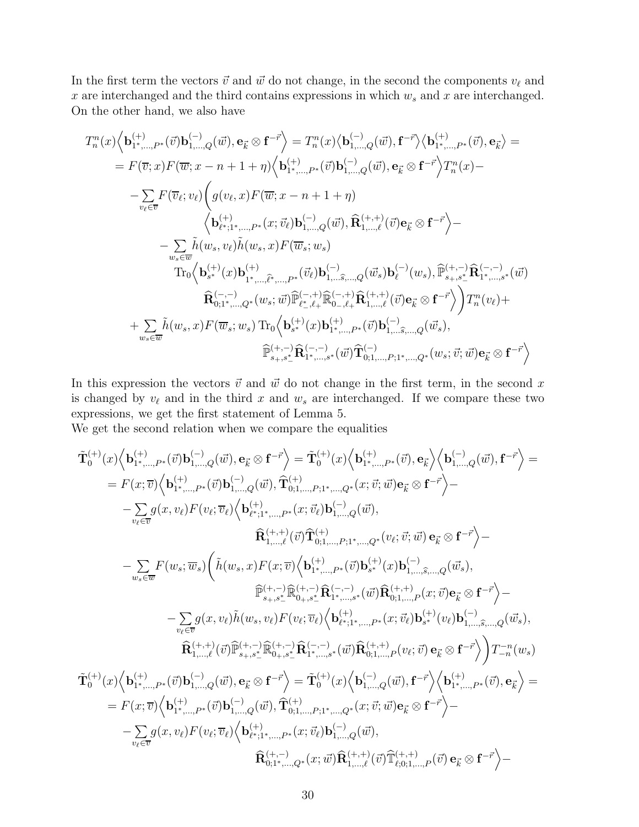In the first term the vectors  $\vec{v}$  and  $\vec{w}$  do not change, in the second the components  $v_{\ell}$  and x are interchanged and the third contains expressions in which  $w_s$  and x are interchanged. On the other hand, we also have

$$
\begin{split} T_{n}^{n}(x)&\Big\langle\mathbf{b}_{1^{*},\ldots,P^{*}}^{(+)}(\vec{v})\mathbf{b}_{1,\ldots,Q}^{(-)}(\vec{w}),\mathbf{e}_{\vec{k}}\otimes\mathbf{f}^{-\vec{r}}\Big\rangle=T_{n}^{n}(x)\big\langle\mathbf{b}_{1,\ldots,Q}^{(-)}(\vec{w}),\mathbf{f}^{-\vec{r}}\big\rangle\big\langle\mathbf{b}_{1^{*},\ldots,P^{*}}^{(+)}(\vec{v}),\mathbf{e}_{\vec{k}}\big\rangle=\\ &=F(\overline{v};x)F(\overline{w};x-n+1+\eta)\Big\langle\mathbf{b}_{1^{*},\ldots,P^{*}}^{(+)}(\vec{v})\mathbf{b}_{1,\ldots,Q}^{(-)}(\vec{w}),\mathbf{e}_{\vec{k}}\otimes\mathbf{f}^{-\vec{r}}\Big\rangle T_{n}^{n}(x)-\\ &-\sum_{v_{\ell}\in\overline{v}}F(\overline{v}_{\ell};v_{\ell})\bigg(g(v_{\ell},x)F(\overline{w};x-n+1+\eta)\\ &\Big\langle\mathbf{b}_{\ell^{*},1^{*},\ldots,P^{*}}^{(+)}(x;\overrightarrow{v}_{\ell})\mathbf{b}_{1,\ldots,Q}^{(-)}(\vec{w}),\widehat{\mathbf{R}}_{1,\ldots,\ell}^{(+,+)}(\vec{v})\mathbf{e}_{\vec{k}}\otimes\mathbf{f}^{-\vec{r}}\Big\rangle-\\ &-\sum_{w_{s}\in\overline{w}}\tilde{h}(w_{s},v_{\ell})\tilde{h}(w_{s},x)F(\overline{w}_{s};w_{s})\\ &\text{Tr}_{0}\Big\langle\mathbf{b}_{s^{*}}^{(+)}(x)\mathbf{b}_{1^{*},\ldots,\widehat{\ell^{*}},\ldots,P^{*}}^{(+)}(\vec{v}_{\ell})\mathbf{b}_{1,\ldots\widehat{s},\ldots,Q}^{(-)}(\vec{w}_{s})\mathbf{b}_{\ell}^{(-)}(w_{s}),\widehat{\mathbb{P}}_{s+},s_{-}^{*}\mathbf{R}_{1^{*},\ldots,s}^{(-,-)}(x)}^{(+,-,-)}(\vec{w})\\ &\qquad\qquad \widehat{\mathbf{R}}_{0;1^{*},\ldots,Q^{*}}^{(-,-)}(w_{s};\vec{w})\widehat{\mathbb{P}}_{\ell^{*},\ell+}^{(-,+)}\wide
$$

In this expression the vectors  $\vec{v}$  and  $\vec{w}$  do not change in the first term, in the second x is changed by  $v_{\ell}$  and in the third x and  $w_s$  are interchanged. If we compare these two expressions, we get the first statement of Lemma 5.

We get the second relation when we compare the equalities

$$
\begin{split} \tilde{\mathbf{T}}_{0}^{(+)}(x)\Big\langle\mathbf{b}_{1^{*},\ldots,P^{*}}^{(+)}(\vec{v})\mathbf{b}_{1,\ldots,Q}^{(-)}(\vec{w}),\mathbf{e}_{\vec{k}}\otimes\mathbf{f}^{-\vec{r}}\Big\rangle&=\tilde{\mathbf{T}}_{0}^{(+)}(x)\Big\langle\mathbf{b}_{1^{*},\ldots,P^{*}}^{(+)}(\vec{v}),\mathbf{e}_{\vec{k}}\Big\rangle\Big\langle\mathbf{b}_{1,\ldots,Q}^{(-)}(\vec{w}),\mathbf{f}^{-\vec{r}}\Big\rangle&=\ &F(x;\overline{v})\Big\langle\mathbf{b}_{1^{*},\ldots,P^{*}}^{(+)}(\vec{v})\mathbf{b}_{1,\ldots,Q}^{(-)}(\vec{w}),\widehat{\mathbf{T}}_{0;1,\ldots,P;1^{*},\ldots,Q^{*}}^{(+)}(\vec{v};\vec{w})\mathbf{e}_{\vec{k}}\otimes\mathbf{f}^{-\vec{r}}\Big\rangle&-\ &\quad\quad-\sum_{v_{\ell}\in\overline{v}}g(x,v_{\ell})F(v_{\ell};\overline{v}_{\ell})\Big\langle\mathbf{b}_{\ell^{*},1^{*},\ldots,P^{*}}^{(+)}(\vec{v};\vec{v}_{\ell})\mathbf{b}_{1,\ldots,Q}^{(-)}(\vec{w}),\\ &\widehat{\mathbf{R}}_{1,\ldots,\ell}^{(+,+)}(\vec{v})\widehat{\mathbf{T}}_{0;1,\ldots,P;1^{*},\ldots,Q^{*}}^{(+)}(\vec{v};\vec{w})\mathbf{e}_{\vec{k}}\otimes\mathbf{f}^{-\vec{r}}\Big\rangle&-\ &\quad\quad-\sum_{w_{s}\in\overline{w}}F(w_{s};\overline{w}_{s})\Bigg(\tilde{h}(w_{s},x)F(x;\overline{v})\Big\langle\mathbf{b}_{1^{*},\ldots,P^{*}}^{(+)}(\vec{v})\mathbf{b}_{s^{*}}^{(+)}(x)\mathbf{b}_{1,\ldots,\widehat{s},\ldots,Q}^{(-)}(\vec{w}_{s}),\\ &\widehat{\mathbb{P}}_{s_{+},s_{-}^{*}}^{(+,-)}(\overline{\mathbb{R}}_{0;1,s_{-}^{*}}^{(+)}(\vec{w})\mathbf{R}_{0;1,\ldots,P^{*}}^{(+)}(x;\overline{v})\mathbf{e}_{\vec{k}}\otimes\
$$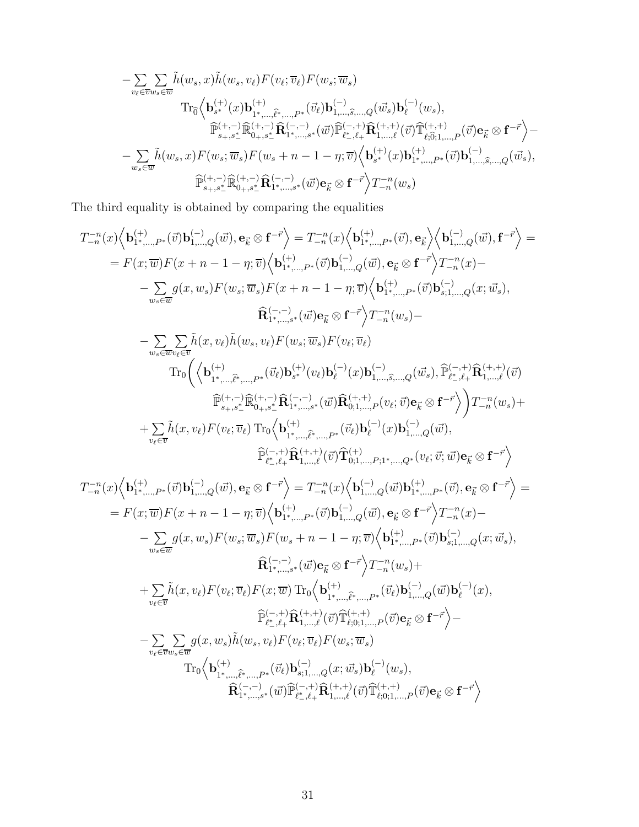$$
\begin{aligned}\label{eq:R1} &-\sum_{v_\ell\in\overline{v}w_s\in\overline{w}}\sum_{\tilde{v}}\tilde{h}(w_s,x)\tilde{h}(w_s,v_\ell)F(v_\ell;\overline{v}_\ell)F(w_s;\overline{w}_s)\\ &\text{Tr}_{\widehat{0}}\Big\langle\mathbf{b}_{s^*}^{(+)}(x)\mathbf{b}_{1^*,\dots,\widehat{\ell}^*,\dots,P^*}^{(+)}(\overline{v}_\ell)\mathbf{b}_{1,\dots,\widehat{s},\dots,Q}^{(-)}(\overline{w}_s)\mathbf{b}_{\ell}^{(-)}(w_s),\\ &\widehat{\mathbb{P}}_{s_+,s_-^*}^{(+,-)}\widehat{\mathbb{R}}_{0_+,s_-^*}^{(+,-,-)}\mathbf{R}_{1^*,\dots,s}^{(-,-)}(\overline{w})\widehat{\mathbb{P}}_{\ell^*,\ell+}^{(-,+)}\widehat{\mathbb{R}}_{1,\dots,\ell}^{(+,+)}(\overline{v})\widehat{\mathbb{T}}_{\ell,\widehat{0},1,\dots,P}^{(+,+)}(\overline{v})\mathbf{e}_{\vec{k}}\otimes\mathbf{f}^{-\vec{r}}\Big\rangle-\\ &-\sum_{w_s\in\overline{w}}\tilde{h}(w_s,x)F(w_s;\overline{w}_s)F(w_s+n-1-\eta;\overline{v})\Big\langle\mathbf{b}_{s^*}^{(+)}(x)\mathbf{b}_{1^*,\dots,P^*}^{(+)}(\overline{v})\mathbf{b}_{1,\dots,\widehat{s},\dots,Q}^{(-,-)}(\overline{w}_s),\\ &\widehat{\mathbb{P}}_{s_+,s_-^*}^{(+,-)}\widehat{\mathbb{R}}_{0_+,s_-^*}^{(+,-)}\widehat{\mathbb{R}}_{1^*,\dots,s^*}^{(-,-)}(\overline{w})\mathbf{e}_{\vec{k}}\otimes\mathbf{f}^{-\vec{r}}\Big\}T_{-n}^{-n}(w_s)\end{aligned}
$$

The third equality is obtained by comparing the equalities

$$
\begin{split} T_{-n}^{-n}(x)\Big\langle \mathbf{b}_{1^+,...,P^*}^{(+)}(\vec{v})\mathbf{b}_{1,...,Q}^{(-)}(\vec{w}),\mathbf{e}_{\vec{k}}\otimes\mathbf{f}^{-\vec{r}}\Big\rangle &=T_{-n}^{-n}(x)\Big\langle \mathbf{b}_{1^+,...,P^*}^{(+)}(\vec{v}),\mathbf{e}_{\vec{k}}\Big\rangle \Big\langle \mathbf{b}_{1,...,Q}^{(-)}(\vec{w}),\mathbf{f}^{-\vec{r}}\Big\rangle &=\\ &=F(x;\overline{w})F(x+n-1-\eta;\overline{v})\Big\langle \mathbf{b}_{1^+,...,P^*}^{(+)}(\vec{v})\mathbf{b}_{1,...,Q}^{(-)}(\vec{w}),\mathbf{e}_{\vec{k}}\otimes\mathbf{f}^{-\vec{r}}\Big\rangle T_{-n}^{-n}(x)-\\ &-\sum_{w_{s}\in\overline{w}}g(x,w_{s})F(w_{s};\overline{w}_{s})F(x+n-1-\eta;\overline{v})\Big\langle \mathbf{b}_{1^+,...,P^*}^{(+)}(\vec{v})\mathbf{b}_{s;1,...,Q}^{(-)}(x;\overline{w}_{s}),\\ \widehat{\mathbf{R}}_{1^+,...,s^*}^{(-,-)}(\vec{w})\mathbf{e}_{\vec{k}}\otimes\mathbf{f}^{-\vec{r}}\Big\rangle T_{-n}^{-n}(w_{s})-\\ &-\sum_{w_{s}\in\overline{w}_{v_{\xi}}\in\overline{v}}\widehat{h}(x,v_{\ell})\widetilde{h}(w_{s},v_{\ell})F(w_{s};\overline{w}_{s})F(v_{\ell};\overline{v}_{\ell})\\ &\text{Tr}_{0}\Big(\Big\langle \mathbf{b}_{1^+,...,P^*}^{(+,-)}(\vec{\mathbf{p}}(\mathbf{b}_{1^+}^{(-,-)}\mathbf{c}_{\ell})\mathbf{b}_{\vec{k}}^{(-,-)}(x)\mathbf{b}_{1,...,S,...,Q}^{(-,-)}(\vec{w}_{s}),\overline{\mathbf{p}}_{\vec{k}^+,\vec{k}}^{(-,+)}(\vec{w})\mathbf{f}\Big\rangle \Big) T_{-n}^{-n}(w_{s})+\\ &+\sum_{v_{\ell}\in\overline{v}}\widetilde{h}(x,v_{\ell})F(v_{\ell};\overline{v}_{\ell})\mathbf{F}_{0}^{(-,-
$$